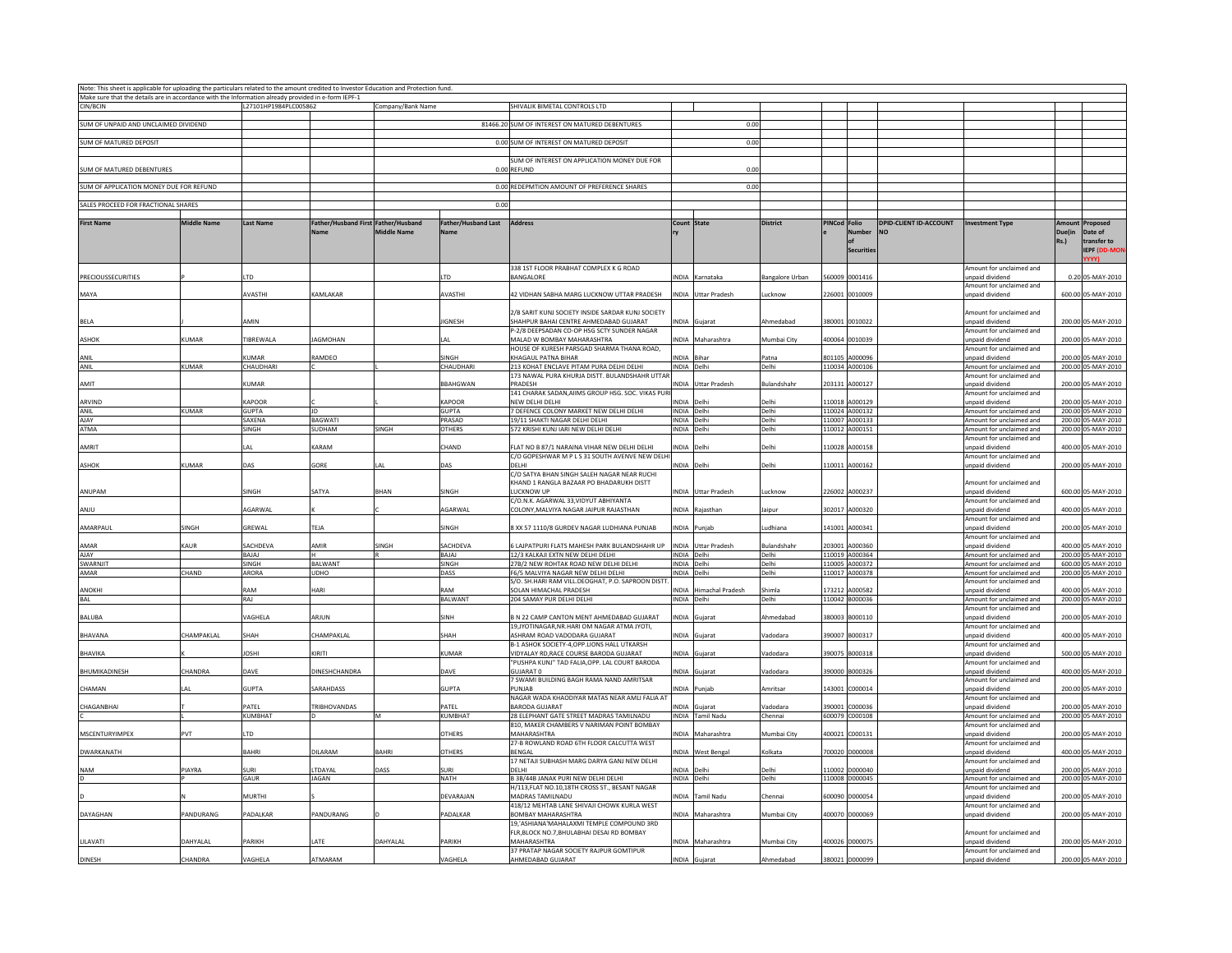| Note: This sheet is applicable for uploading the particulars related to the amount credited to Investor Education and Protection fund. |                    |                          |                                             |                    |                                           |                                                                                                |                            |                            |                        |              |                                  |                                            |                                                      |                                  |                                               |
|----------------------------------------------------------------------------------------------------------------------------------------|--------------------|--------------------------|---------------------------------------------|--------------------|-------------------------------------------|------------------------------------------------------------------------------------------------|----------------------------|----------------------------|------------------------|--------------|----------------------------------|--------------------------------------------|------------------------------------------------------|----------------------------------|-----------------------------------------------|
| Make sure that the details are in accordance with the Information already provided in e-form IEPF-1                                    |                    |                          |                                             |                    |                                           |                                                                                                |                            |                            |                        |              |                                  |                                            |                                                      |                                  |                                               |
| CIN/RCIN                                                                                                                               |                    | L27101HP1984PLC005862    |                                             | Company/Bank Name  |                                           | SHIVALIK BIMETAL CONTROLS LTD                                                                  |                            |                            |                        |              |                                  |                                            |                                                      |                                  |                                               |
| SUM OF UNPAID AND UNCLAIMED DIVIDEND                                                                                                   |                    |                          |                                             |                    |                                           | 81466.20 SUM OF INTEREST ON MATURED DEBENTURES                                                 |                            | 0.00                       |                        |              |                                  |                                            |                                                      |                                  |                                               |
| SUM OF MATURED DEPOSIT                                                                                                                 |                    |                          |                                             |                    |                                           | 0.00 SUM OF INTEREST ON MATURED DEPOSIT                                                        |                            | 0.00                       |                        |              |                                  |                                            |                                                      |                                  |                                               |
|                                                                                                                                        |                    |                          |                                             |                    |                                           |                                                                                                |                            |                            |                        |              |                                  |                                            |                                                      |                                  |                                               |
| <b>SUM OF MATURED DEBENTURES</b>                                                                                                       |                    |                          |                                             |                    |                                           | SUM OF INTEREST ON APPLICATION MONEY DUE FOR<br>0.00 REFUND                                    |                            | 0.00                       |                        |              |                                  |                                            |                                                      |                                  |                                               |
| SUM OF APPLICATION MONEY DUE FOR REFUND                                                                                                |                    |                          |                                             |                    |                                           | 0.00 REDEPMTION AMOUNT OF PREFERENCE SHARES                                                    |                            | 0.00                       |                        |              |                                  |                                            |                                                      |                                  |                                               |
| SALES PROCEED FOR FRACTIONAL SHARES                                                                                                    |                    |                          |                                             |                    | 0.00                                      |                                                                                                |                            |                            |                        |              |                                  |                                            |                                                      |                                  |                                               |
|                                                                                                                                        |                    |                          |                                             |                    |                                           |                                                                                                |                            |                            |                        |              |                                  |                                            |                                                      |                                  |                                               |
| <b>First Name</b>                                                                                                                      | <b>Middle Name</b> | <b>Last Name</b>         | Father/Husband First Father/Husband<br>Name | <b>Middle Name</b> | <b>Father/Husband Last</b><br><b>Name</b> | Address                                                                                        | Count State                |                            | <b>District</b>        | PINCod Folio | Number<br><b>Securities</b>      | <b>DPID-CLIENT ID-ACCOUNT</b><br><b>NO</b> | <b>Investment Type</b>                               | Amount<br>Duelin Date of<br>Rs.) | Proposed<br>transfer to<br><b>IEPF (DD-MO</b> |
| PRECIOUSSECURITIES                                                                                                                     |                    | TD                       |                                             |                    | ITD                                       | 338 1ST FLOOR PRABHAT COMPLEX K G ROAD<br>BANGALORE                                            |                            | INDIA Karnataka            |                        |              | 560009 0001416                   |                                            | mount for unclaimed and<br>unpaid dividend           |                                  | 0.20 05-MAY-2010                              |
|                                                                                                                                        |                    |                          |                                             |                    |                                           |                                                                                                |                            |                            | <b>Bangalore Urban</b> |              |                                  |                                            | Amount for unclaimed and                             |                                  |                                               |
| MAYA                                                                                                                                   |                    | AVASTHI                  | KAMLAKAR                                    |                    | AVASTHI                                   | 42 VIDHAN SABHA MARG LUCKNOW UTTAR PRADESH                                                     |                            | INDIA Uttar Pradesh        | ucknow                 |              | 226001 0010009                   |                                            | inpaid dividend                                      |                                  | 600.00 05-MAY-2010                            |
| <b>BELA</b>                                                                                                                            |                    | AMIN                     |                                             |                    | <b>JIGNESH</b>                            | 2/B SARIT KUNJ SOCIETY INSIDE SARDAR KUNJ SOCIETY<br>SHAHPUR BAHAI CENTRE AHMEDABAD GUJARAT    |                            | INDIA Gujarat              | Ahmedabad              |              | 380001 0010022                   |                                            | Amount for unclaimed and<br>unpaid dividend          |                                  | 200.00 05-MAY-2010                            |
| <b>ASHOK</b>                                                                                                                           | KUMAR              | <b>TIBREWALA</b>         | <b>IAGMOHAN</b>                             |                    | $\Delta$                                  | P-2/8 DEEPSADAN CO-OP HSG SCTY SUNDER NAGAR<br>MAI AD W ROMBAY MAHARASHTRA                     |                            | NDIA Maharashtra           | Mumhai City            |              | 400064 0010039                   |                                            | Amount for unclaimed and<br>unpaid dividend          |                                  | 200.00 05-MAY-2010                            |
|                                                                                                                                        |                    |                          |                                             |                    |                                           | HOUSE OF KURESH PARSGAD SHARMA THANA ROAD,                                                     |                            |                            |                        |              |                                  |                                            | Amount for unclaimed and                             |                                  |                                               |
| ANIL<br>ANIL                                                                                                                           | KUMAR              | <b>UMAR</b><br>CHAUDHARI | RAMDEO                                      |                    | SINGH<br>CHAUDHARI                        | KHAGAUL PATNA BIHAR<br>213 KOHAT ENCLAVE PITAM PURA DELHI DELHI                                | NDIA Bihar<br>INDIA Delhi  |                            | Patna<br>Delhi         |              | 801105 A000096<br>110034 A000106 |                                            | unpaid dividend<br>Amount for unclaimed and          |                                  | 200.00 05-MAY-2010<br>200.00 05-MAY-2010      |
|                                                                                                                                        |                    |                          |                                             |                    |                                           | 173 NAWAL PURA KHURJA DISTT. BULANDSHAHR UTTAF                                                 |                            |                            |                        |              |                                  |                                            | Amount for unclaimed and                             |                                  |                                               |
| AMIT                                                                                                                                   |                    | <b>UMAR</b>              |                                             |                    | <b>BBAHGWAN</b>                           | PRADESH<br>141 CHARAK SADAN, AIIMS GROUP HSG. SOC. VIKAS PUR                                   |                            | <b>INDIA</b> Uttar Pradesh | Bulandshah             |              | 203131 A000127                   |                                            | unpaid dividend<br>Amount for unclaimed and          |                                  | 200.00 05-MAY-2010                            |
| ARVIND                                                                                                                                 |                    | KAPOOR                   |                                             |                    | KAPOOR                                    | NEW DELHI DELHI                                                                                | INDIA Delh                 |                            | Delhi                  |              | 110018 A000129                   |                                            | unpaid dividend                                      |                                  | 200.00 05-MAY-2010                            |
| ANIL<br><b>AJAY</b>                                                                                                                    | KUMAR              | <b>GUPTA</b><br>SAXENA   | JD<br><b>BAGWATI</b>                        |                    | <b>GUPTA</b><br>PRASAD                    | 7 DEFENCE COLONY MARKET NEW DELHI DELHI<br>19/11 SHAKTI NAGAR DELHI DELHI                      | INDIA Delhi<br>INDIA Delhi |                            | Delhi<br>Delhi         |              | 110024 A000132<br>110007 A000133 |                                            | Amount for unclaimed and<br>Amount for unclaimed and |                                  | 200.00 05-MAY-2010<br>200.00 05-MAY-2010      |
| ATMA                                                                                                                                   |                    | SINGH                    | SUDHAM                                      | SINGH              | <b>OTHERS</b>                             | 572 KRISHI KUNJ IARI NEW DELHI DELHI                                                           | INDIA Delhi                |                            | Delhi                  |              | 110012 A000151                   |                                            | Amount for unclaimed and                             |                                  | 200.00 05-MAY-2010                            |
|                                                                                                                                        |                    |                          |                                             |                    |                                           |                                                                                                |                            |                            |                        |              |                                  |                                            | Amount for unclaimed and                             |                                  |                                               |
| AMRIT                                                                                                                                  |                    | AI                       | KARAM                                       |                    | CHAND                                     | FLAT NO B 87/1 NARAINA VIHAR NEW DELHI DELHI<br>C/O GOPESHWAR M P L S 31 SOUTH AVENVE NEW DELH | INDIA Delh                 |                            | Delhi                  |              | 110028 A000158                   |                                            | unpaid dividend<br>Amount for unclaimed and          |                                  | 400.00 05-MAY-2010                            |
| <b>ASHOK</b>                                                                                                                           | KUMAR              | DAS.                     | GORE                                        |                    | DAS                                       | DELHI<br>C/O SATYA BHAN SINGH SALEH NAGAR NEAR RUCHI                                           | NDIA Delhi                 |                            | Delhi                  |              | 110011 A000162                   |                                            | unpaid dividend                                      |                                  | 200.00 05-MAY-2010                            |
| ANUPAM                                                                                                                                 |                    | SINGH                    | SATYA                                       | <b>BHAN</b>        | SINGH                                     | KHAND 1 RANGLA BAZAAR PO BHADARUKH DISTT<br>LUCKNOW UP                                         |                            | INDIA Uttar Pradesh        | ucknov                 |              | 226002 A000237                   |                                            | Amount for unclaimed and<br>inpaid dividend          |                                  | 600.00 05-MAY-2010                            |
|                                                                                                                                        |                    |                          |                                             |                    |                                           | C/O.N.K. AGARWAL 33, VIDYUT ABHIYANTA                                                          |                            |                            |                        |              |                                  |                                            | Amount for unclaimed and                             |                                  |                                               |
| <b>ANJU</b>                                                                                                                            |                    | AGARWAI                  |                                             |                    | AGARWAI                                   | COLONY.MALVIYA NAGAR JAIPUR RAJASTHAN                                                          |                            | INDIA Rajasthan            | laipur                 |              | 302017 A000320                   |                                            | unpaid dividend<br>Amount for unclaimed and          |                                  | 400.00 05-MAY-2010                            |
| AMARPAUL                                                                                                                               | SINGH              | GRFWAI                   | TF IA                                       |                    | SINGH                                     | 8 XX 57 1110/8 GURDEV NAGAR LUDHIANA PUNJAB                                                    |                            | INDIA Puniah               | udhiana                |              | 141001 A000341                   |                                            | unpaid dividend<br>Amount for unclaimed and          |                                  | 200.00 05-MAY-2010                            |
| AMAR                                                                                                                                   | <b>AUR</b>         | SACHDEVA                 | AMIR                                        | SINGH              | SACHDEVA                                  | S LAJPATPURI FLATS MAHESH PARK BULANDSHAHR UP                                                  |                            | <b>INDIA</b> Uttar Pradesh | <b>Bulandshah</b>      |              | 203001 A000360                   |                                            | unpaid dividend                                      |                                  | 400.00 05-MAY-2010                            |
| <b>AJAY</b>                                                                                                                            |                    | BAJAJ                    |                                             |                    | BAJAJ                                     | 12/3 KALKAJI EXTN NEW DELHI DELHI                                                              | INDIA Delhi                |                            | Delhi                  |              | 110019 A000364                   |                                            | Amount for unclaimed and                             |                                  | 200.00 05-MAY-2010                            |
| SWARNJIT<br>AMAR                                                                                                                       | CHAND              | SINGH<br>ARORA           | <b>BALWANT</b><br><b>UDHO</b>               |                    | SINGH<br>DASS                             | 27B/2 NEW ROHTAK ROAD NEW DELHI DELHI<br>F6/5 MALVIYA NAGAR NEW DELHI DELHI                    | INDIA Delh<br>INDIA Delhi  |                            | Delhi<br>Delhi         |              | 110005 A000372                   |                                            | Amount for unclaimed and<br>Amount for unclaimed and |                                  | 600.00 05-MAY-2010<br>200.00 05-MAY-2010      |
|                                                                                                                                        |                    |                          |                                             |                    |                                           | S/O. SH.HARI RAM VILL.DEOGHAT, P.O. SAPROON DISTT                                              |                            |                            |                        |              | 110017 A000378                   |                                            | Amount for unclaimed and                             |                                  |                                               |
| ANOKHI<br>BAL                                                                                                                          |                    | RAM<br>RAJ               | HARI                                        |                    | RAM<br>BALWANT                            | SOLAN HIMACHAL PRADESH<br>204 SAMAY PUR DELHI DELHI                                            | INDIA Delhi                | INDIA Himachal Pradesh     | Shimla<br>Delhi        |              | 173212 A000582<br>110042 B000036 |                                            | unpaid dividend<br>Amount for unclaimed and          |                                  | 400.00 05-MAY-2010<br>200.00 05-MAY-2010      |
|                                                                                                                                        |                    |                          |                                             |                    |                                           |                                                                                                |                            |                            |                        |              |                                  |                                            | Amount for unclaimed and                             |                                  |                                               |
| <b>BALUBA</b>                                                                                                                          |                    | VAGHELA                  | <b>ARIUN</b>                                |                    | SINH                                      | B N 22 CAMP CANTON MENT AHMEDABAD GUJARAT<br>19, JYOTINAGAR, NR. HARI OM NAGAR ATMA JYOTI,     |                            | INDIA Guiarat              | Ahmedabad              |              | 380003 B000110                   |                                            | unpaid dividend<br>Amount for unclaimed and          |                                  | 200.00 05-MAY-2010                            |
| BHAVANA                                                                                                                                | CHAMPAKLAL         | SHAH                     | CHAMPAKI AI                                 |                    | SHAH                                      | ASHRAM ROAD VADODARA GUJARAT<br>B-1 ASHOK SOCIETY-4, OPP. LIONS HALL UTKARSH                   |                            | INDIA Gujarat              | Vadodara               |              | 390007 B000317                   |                                            | unpaid dividend<br>Amount for unclaimed and          |                                  | 400.00 05-MAY-2010                            |
| BHAVIKA                                                                                                                                |                    | <b>JOSHI</b>             | KIRITI                                      |                    | <b>KUMAR</b>                              | VIDYALAY RD.RACE COURSE BARODA GUJARAT<br>"PUSHPA KUNJ" TAD FALIA, OPP. LAL COURT BARODA       |                            | INDIA Guiarat              | Vadodara               |              | 390075 B000318                   |                                            | unpaid dividend<br>Amount for unclaimed and          |                                  | 500.00 05-MAY-2010                            |
| <b>BHUMIKADINESH</b>                                                                                                                   | CHANDRA            | DAVE                     | DINESHCHANDRA                               |                    | DAVE                                      | GUJARAT 0                                                                                      |                            | INDIA Guiarat              | Vadodara               |              | 390000 B000326                   |                                            | unpaid dividend                                      |                                  | 400.00 05-MAY-2010                            |
| CHAMAN                                                                                                                                 |                    | GUPTA                    | SARAHDASS                                   |                    | <b>GUPTA</b>                              | 7 SWAMI BUILDING BAGH RAMA NAND AMRITSAR<br>PUNJAB                                             |                            | INDIA Punjab               | Amritsar               |              | 143001 C000014                   |                                            | Amount for unclaimed and<br>unpaid dividend          |                                  | 200.00 05-MAY-2010                            |
| CHAGANBHAI                                                                                                                             |                    | PATEL                    | TRIBHOVANDAS                                |                    | PATEL                                     | NAGAR WADA KHAODIYAR MATAS NEAR AMLI FALIA AT<br><b>BARODA GUJARAT</b>                         |                            | NDIA Gujarat               | /adodara               |              | 390001 C000036                   |                                            | Amount for unclaimed and<br>unpaid dividend          |                                  | 200.00 05-MAY-2010                            |
|                                                                                                                                        |                    | KUMBHAT                  | In                                          | M                  | <b>KUMBHAT</b>                            | 28 ELEPHANT GATE STREET MADRAS TAMILNADU                                                       |                            | INDIA Tamil Nadu           | Chennai                |              | 600079 C000108                   |                                            | Amount for unclaimed and                             |                                  | 200.00 05-MAY-2010                            |
| MSCENTURYIMPEX                                                                                                                         | PVT                | <b>TD</b>                |                                             |                    | <b>OTHERS</b>                             | 810, MAKER CHAMBERS V NARIMAN POINT BOMBAY<br>MAHARASHTRA                                      |                            | INDIA Maharashtra          | Mumbai City            |              | 100021 C000131                   |                                            | Amount for unclaimed and<br>unpaid dividend          |                                  | 200.00 05-MAY-2010                            |
| DWARKANATH                                                                                                                             |                    | BAHRI                    | DILARAM                                     | <b>BAHRI</b>       | <b>OTHERS</b>                             | 27-B ROWLAND ROAD 6TH FLOOR CALCUTTA WEST<br>BENGAL                                            |                            | INDIA West Bengal          | Kolkata                |              | 700020 D000008                   |                                            | Amount for unclaimed and<br>unpaid dividend          |                                  | 400.00 05-MAY-2010                            |
| <b>NAM</b>                                                                                                                             | PIAYRA             | <b>SURI</b>              | LTDAYAL                                     | DASS               | SURI                                      | 17 NETAJI SUBHASH MARG DARYA GANJ NEW DELHI<br>DELHI                                           | INDIA Delh                 |                            | Jelhi                  |              | 110002 D000040                   |                                            | Amount for unclaimed and<br>unpaid dividend          |                                  | 200.00 05-MAY-2010                            |
| D                                                                                                                                      |                    | GAUR                     | <b>JAGAN</b>                                |                    | <b>NATH</b>                               | B 3B/44B JANAK PURI NEW DELHI DELHI                                                            | INDIA Delhi                |                            | Delhi                  |              | 110008 D000045                   |                                            | Amount for unclaimed and                             |                                  | 200.00 05-MAY-2010                            |
|                                                                                                                                        |                    | MURTHI                   |                                             |                    | DEVARAJAN                                 | H/113, FLAT NO.10, 18TH CROSS ST., BESANT NAGAR<br>MADRAS TAMILNADU                            |                            | INDIA Tamil Nadu           | Chennai                |              | 600090 D000054                   |                                            | Amount for unclaimed and<br>unpaid dividend          |                                  | 200.00 05-MAY-2010                            |
| DAYAGHAN                                                                                                                               | PANDURANG          | PADALKAR                 | PANDURANG                                   |                    | PADALKAR                                  | 418/12 MEHTAB LANE SHIVAJI CHOWK KURLA WEST<br>BOMBAY MAHARASHTRA                              |                            | INDIA Maharashtra          | Mumbai City            |              | 400070 D000069                   |                                            | Amount for unclaimed and<br>unpaid dividend          |                                  | 200.00 05-MAY-2010                            |
|                                                                                                                                        |                    |                          |                                             |                    |                                           | 19. ASHIANA MAHAI AXMI TEMPI E COMPOUND 3RD<br>FLR, BLOCK NO.7, BHULABHAI DESAI RD BOMBAY      |                            |                            |                        |              |                                  |                                            | mount for unclaimed and                              |                                  |                                               |
| LILAVATI                                                                                                                               | DAHYALAL           | PARIKH                   | LATE                                        | DAHYALAL           | <b>PARIKH</b>                             | MAHARASHTRA                                                                                    |                            | INDIA Maharashtra          | Mumbai City            |              | 400026 D000075                   |                                            | unpaid dividend                                      |                                  | 200.00 05-MAY-2010                            |
| <b>DINESH</b>                                                                                                                          | CHANDRA            | VAGHELA                  | ATMARAM                                     |                    | VAGHELA                                   | 37 PRATAP NAGAR SOCIETY RAJPUR GOMTIPUR<br>AHMEDABAD GUJARAT                                   |                            | INDIA Gujarat              | Ahmedabad              |              | 380021 D000099                   |                                            | Amount for unclaimed and<br>unpaid dividend          |                                  | 200.00 05-MAY-2010                            |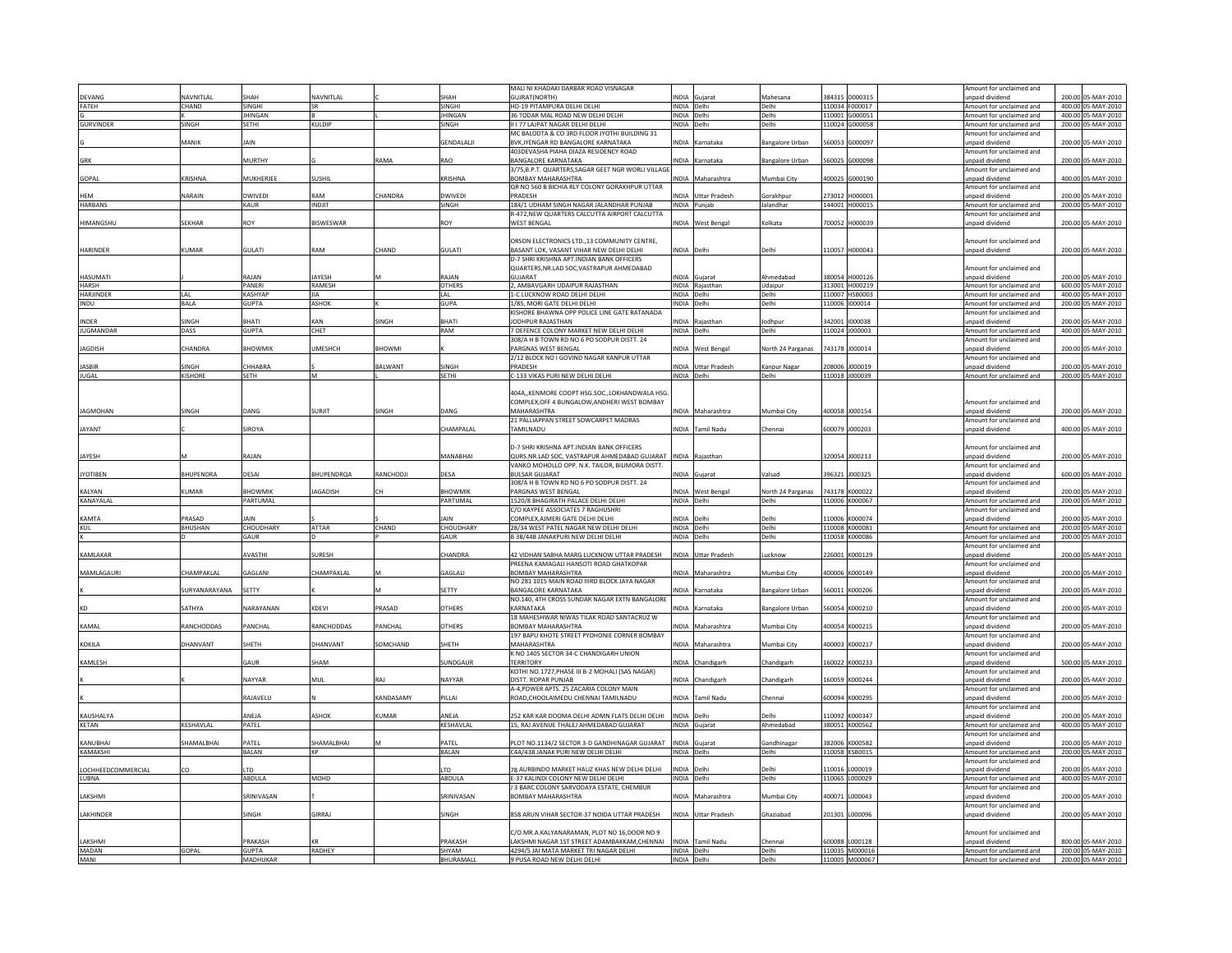|                            |                  |                          |               |                |                           | MALI NI KHADAKI DARBAR ROAD VISNAGAR                                                |              |                            |                        |        |                                  | Amount for unclaimed and                             |        |                                          |
|----------------------------|------------------|--------------------------|---------------|----------------|---------------------------|-------------------------------------------------------------------------------------|--------------|----------------------------|------------------------|--------|----------------------------------|------------------------------------------------------|--------|------------------------------------------|
| DEVANG                     | <b>JAVNITLAI</b> | SHAH                     | NAVNITLAL     |                | SHAH                      | <b>GUJRAT(NORTH)</b>                                                                | NDIA         | Guiarat                    | Mahesana               |        | 84315 D000315                    | inpaid dividend                                      |        | 200.00 05-MAY-2010                       |
| FATEH                      | CHAND            | <b>SINGHI</b>            | <b>SR</b>     |                | <b>SINGHI</b>             | HD-19 PITAMPURA DELHI DELHI                                                         | INDIA Delhi  |                            | Delhi                  |        | 110034 F000017                   | Amount for unclaimed and                             |        | 400.00 05-MAY-2010                       |
|                            |                  | <b>JHINGAN</b>           |               |                | <b>JHINGAN</b>            | 36 TODAR MAL ROAD NEW DELHI DELHI                                                   | INDIA Delhi  |                            | Delhi                  |        | 110001 G000051                   | Amount for unclaimed and                             |        | 400.00 05-MAY-2010                       |
| GURVINDER                  | <b>SINGH</b>     | <b>SETHI</b>             | KULDIP        |                | <b>SINGH</b>              | II I 77 LAJPAT NAGAR DELHI DELHI                                                    | INDIA Delhi  |                            | Delhi                  |        | 110024 G000058                   | Amount for unclaimed and                             |        | 200.00 05-MAY-2010                       |
|                            |                  |                          |               |                |                           |                                                                                     |              |                            |                        |        |                                  |                                                      |        |                                          |
|                            | MANIK            | JAIN                     |               |                | <b>GENDALALJI</b>         | MC BALODTA & CO 3RD FLOOR JYOTHI BUILDING 31<br>BVK, IYENGAR RD BANGALORE KARNATAKA |              | INDIA Karnataka            | <b>Bangalore Urban</b> |        | 60053 G000097                    | Amount for unclaimed and                             |        | 200.00 05-MAY-2010                       |
|                            |                  |                          |               |                |                           |                                                                                     |              |                            |                        |        |                                  | unpaid dividend                                      |        |                                          |
|                            |                  |                          |               |                |                           | 403DEVASHA PIAHA DIAZA RESIDENCY ROAD                                               |              |                            |                        |        |                                  | Amount for unclaimed and                             |        |                                          |
| <b>GRK</b>                 |                  | MURTHY                   |               | AMA            | RAO                       | <b>BANGALORE KARNATAKA</b>                                                          | <b>INDIA</b> | Karnataka                  | <b>Bangalore Urban</b> | 60025  | G000098                          | unpaid dividend                                      |        | 200.00 05-MAY-2010                       |
|                            |                  |                          |               |                |                           | 3/75.B.P.T. QUARTERS.SAGAR GEET NGR WORLI VILLAGE                                   |              |                            |                        |        |                                  | Amount for unclaimed and                             |        |                                          |
| GOPAL                      | KRISHNA          | MUKHERJEE                | <b>SUSHIL</b> |                | KRISHNA                   | <b>BOMBAY MAHARASHTRA</b>                                                           |              | INDIA Maharashtra          | Mumbai City            |        | 100025 G000190                   | unpaid dividend                                      |        | 400.00 05-MAY-2010                       |
|                            |                  |                          |               |                |                           | OR NO 560 B BICHIA RI Y COLONY GORAKHPUR UTTAR                                      |              |                            |                        |        |                                  | Amount for unclaimed and                             |        |                                          |
| <b>HFM</b>                 | NARAIN           | <b>DWIVEDI</b>           | RAM           | <b>HANDRA</b>  | <b>DWIVED</b>             | PRADESH                                                                             |              | INDIA Uttar Pradesh        | Gorakhpur              |        | 273012 H000001                   | inpaid dividend                                      |        | 200.00 05-MAY-2010                       |
| <b>HARBANS</b>             |                  | KAUR                     | INDJIT        |                | SINGH                     | 184/1 UDHAM SINGH NAGAR JALANDHAR PUNJAB                                            |              | INDIA Punjab               | Jalandhar              |        | 144001 H000015                   | Amount for unclaimed and                             |        | 200.00 05-MAY-2010                       |
|                            |                  |                          |               |                |                           | R-472, NEW QUARTERS CALCUTTA AIRPORT CALCUTTA                                       |              |                            |                        |        |                                  | Amount for unclaimed and                             |        |                                          |
| HIMANGSHU                  | SEKHAR           | ROY                      | BISWESWAR     |                | ROY                       | <b>WEST BENGAL</b>                                                                  |              | <b>INDIA</b> West Bengal   | Kolkata                |        | 700052 H000039                   | unpaid dividend                                      |        | 200.00 05-MAY-2010                       |
|                            |                  |                          |               |                |                           |                                                                                     |              |                            |                        |        |                                  |                                                      |        |                                          |
|                            |                  |                          |               |                |                           | ORSON ELECTRONICS LTD.,13 COMMUNITY CENTRE,                                         |              |                            |                        |        |                                  | mount for unclaimed and                              |        |                                          |
|                            |                  |                          |               |                |                           |                                                                                     |              |                            |                        |        |                                  |                                                      |        |                                          |
| <b>HARINDER</b>            | KUMAR            | <b>GULATI</b>            | RAM           | <b>HAND</b>    | <b>GULATI</b>             | BASANT LOK, VASANT VIHAR NEW DELHI DELHI                                            | INDIA Delhi  |                            | Delhi                  |        | 10057 H000043                    | inpaid dividend                                      |        | 200.00 05-MAY-2010                       |
|                            |                  |                          |               |                |                           | D-7 SHRI KRISHNA APT.INDIAN BANK OFFICERS                                           |              |                            |                        |        |                                  |                                                      |        |                                          |
|                            |                  |                          |               |                |                           | QUARTERS, NR.LAD SOC, VASTRAPUR AHMEDABAD                                           |              |                            |                        |        |                                  | Amount for unclaimed and                             |        |                                          |
| HASUMATI                   |                  | RAJAN                    | <b>JAYESH</b> |                | RAJAN                     | GUIARAT                                                                             |              | INDIA Gujarat              | Ahmedabad              |        | 380054 H000126                   | unpaid dividend                                      |        | 200.00 05-MAY-2010                       |
| <b>HARSH</b>               |                  | PANERI                   | RAMESH        |                | <b>OTHERS</b>             | AMBAVGARH UDAIPUR RAJASTHAN                                                         |              | INDIA Rajasthan            | Udaipur                |        | 313001 H000219                   | Amount for unclaimed and                             |        | 600.00 05-MAY-2010                       |
| <b>HARIINDER</b>           | I AI             | <b>KASHYAF</b>           | <b>IIA</b>    |                | I AI                      | 1-C LUCKNOW ROAD DELHI DELHI                                                        | INDIA Delhi  |                            | Delhi                  |        | 110007 HSB0003                   | Amount for unclaimed and                             |        | 400.00 05-MAY-2010                       |
| INDU                       | BALA             | <b>GUPTA</b>             | ASHOK         |                | GUPA                      | 1/85, MORI GATE DELHI DELHI                                                         | INDIA Delhi  |                            | Delhi                  |        | 110006 1000014                   | Amount for unclaimed and                             |        | 200.00 05-MAY-2010                       |
|                            |                  |                          |               |                |                           | KISHORE BHAWNA OPP POLICE LINE GATE RATANADA                                        |              |                            |                        |        |                                  | Amount for unclaimed and                             |        |                                          |
| INDER                      | SINGH            | BHATI                    | KAN           | INGH           | <b>BHATI</b>              | JODHPUR RAJASTHAN                                                                   |              | INDIA Rajasthar            | Jodhpur                |        | 342001 000038                    | unpaid dividend                                      |        | 200.00 05-MAY-2010                       |
| <b>JUGMANDAR</b>           | DASS             | <b>GUPTA</b>             | CHET          |                | RAM                       | 7 DEFENCE COLONY MARKET NEW DELHI DELHI                                             | INDIA Delhi  |                            | Delhi                  |        | 110024 J000003                   | Amount for unclaimed and                             |        | 400.00 05-MAY-2010                       |
|                            |                  |                          |               |                |                           |                                                                                     |              |                            |                        |        |                                  |                                                      |        |                                          |
|                            |                  |                          |               |                |                           | 308/A H B TOWN RD NO 6 PO SODPUR DISTT. 24                                          |              |                            |                        |        |                                  | Amount for unclaimed and                             |        |                                          |
| <b>JAGDISH</b>             | CHANDRA          | <b>BHOWMIK</b>           | UMESHCH       | <b>HOWM</b>    |                           | PARGNAS WEST BENGAL                                                                 |              | INDIA West Bengal          | North 24 Parganas      |        | 743178 J000014                   | unpaid dividend                                      |        | 200.00 05-MAY-2010                       |
|                            |                  |                          |               |                |                           | 2/12 BLOCK NO I GOVIND NAGAR KANPUR UTTAR                                           |              |                            |                        |        |                                  | Amount for unclaimed and                             |        |                                          |
| <b>JASBIR</b>              | INGH             | CHHABRA                  |               | ALWANT         | <b>SINGH</b>              | PRADESH                                                                             |              | INDIA Uttar Pradesh        | Kanpur Nagar           |        | 08006 0000019                    | Inpaid dividend                                      |        | 200.00 05-MAY-2010                       |
| <b>JUGAL</b>               | <b>KISHORE</b>   | <b>SFTH</b>              | M             |                | <b>SFTHI</b>              | C-133 VIKAS PURI NEW DELHI DELHI                                                    | INDIA Delhi  |                            | Delhi                  |        | 110018 0000039                   | Amount for unclaimed and                             |        | 200.00 05-MAY-2010                       |
|                            |                  |                          |               |                |                           |                                                                                     |              |                            |                        |        |                                  |                                                      |        |                                          |
|                            |                  |                          |               |                |                           | 404A,,KENMORE COOPT HSG.SOC.,LOKHANDWALA HSG.                                       |              |                            |                        |        |                                  |                                                      |        |                                          |
|                            |                  |                          |               |                |                           | COMPLEX, OFF 4 BUNGALOW, ANDHERI WEST BOMBAY                                        |              |                            |                        |        |                                  | Amount for unclaimed and                             |        |                                          |
| <b>JAGMOHAN</b>            | SINGH            | DANG                     | <b>SURIIT</b> | INGH           | DANG                      | MAHARASHTRA                                                                         |              | INDIA Maharashtra          | Mumbai City            |        | 100058 J000154                   | unpaid dividend                                      |        | 200.00 05-MAY-2010                       |
|                            |                  |                          |               |                |                           | 21 PALLIAPPAN STREET SOWCARPET MADRAS                                               |              |                            |                        |        |                                  | Amount for unclaimed and                             |        |                                          |
| JAYANT                     |                  | SIROYA                   |               |                | CHAMPALAL                 | TAMILNADU                                                                           |              | INDIA Tamil Nadu           | Chennai                |        | 600079 J000203                   | unpaid dividend                                      |        | 400.00 05-MAY-2010                       |
|                            |                  |                          |               |                |                           |                                                                                     |              |                            |                        |        |                                  |                                                      |        |                                          |
|                            |                  |                          |               |                |                           |                                                                                     |              |                            |                        |        |                                  |                                                      |        |                                          |
|                            |                  |                          |               |                |                           | D-7 SHRI KRISHNA APT.INDIAN BANK OFFICERS                                           |              |                            |                        |        |                                  | mount for unclaimed and                              |        |                                          |
| JAYESH                     |                  | RAJAN                    |               |                | MANABHAI                  | QURS.NR.LAD SOC, VASTRAPUR AHMEDABAD GUJARAT INDIA Rajasthan                        |              |                            |                        |        | 320054 J000213                   | unpaid dividend                                      |        | 200.00 05-MAY-2010                       |
|                            |                  |                          |               |                |                           | ANKO MOHOLLO OPP. N.K. TAILOR, BILIMORA DISTT.                                      |              |                            |                        |        |                                  | Amount for unclaimed and                             |        |                                          |
| <b>JYOTIBEN</b>            | <b>BHUPENDRA</b> | DESAI                    | BHUPENDRQA    | RANCHODJI      | DESA                      | ULSAR GUJARAT                                                                       | <b>NDIA</b>  | Guiarat                    | Valsad                 |        | 196321 J000325                   | inpaid dividend                                      |        | 600.00 05-MAY-2010                       |
|                            |                  |                          |               |                |                           | 308/A H B TOWN RD NO 6 PO SODPUR DISTT. 24                                          |              |                            |                        |        |                                  | Amount for unclaimed and                             |        |                                          |
| KALYAN                     | UMAR             | <b>BHOWMIK</b>           | AGADISH       |                | <b>BHOWMIK</b>            | PARGNAS WEST BENGAL                                                                 |              | <b>NDIA</b> West Bengal    | North 24 Parganas      |        | 43178 K000022                    | inpaid dividend                                      |        | 200.00 05-MAY-2010                       |
| <b>KANAYAI AI</b>          |                  | PARTUMAL                 |               |                | PARTUMAL                  | 1520/8 BHAGIRATH PALACE DELHI DELHI                                                 | INDIA Delhi  |                            | Delhi                  |        | 110006 K000067                   | Amount for unclaimed and                             |        | 200.00 05-MAY-2010                       |
|                            |                  |                          |               |                |                           | C/O KAYPEE ASSOCIATES 7 RAGHUSHRI                                                   |              |                            |                        |        |                                  | Amount for unclaimed and                             |        |                                          |
| KAMTA                      | PRASAD           | <b>JAIN</b>              |               |                | <b>JAIN</b>               | COMPLEX, AJMERI GATE DELHI DELHI                                                    | INDIA Delhi  |                            | Delhi                  |        | 10006 K000074                    | unpaid dividend                                      |        | 200.00 05-MAY-2010                       |
| KUL                        | BHUSHAN          | CHOUDHARY                | <b>ATTAR</b>  | CHAND          | CHOUDHARY                 | 28/34 WEST PATEL NAGAR NEW DELHI DELHI                                              | INDIA Delhi  |                            | Delhi                  |        | 110008 K000081                   | Amount for unclaimed and                             |        | 200.00 05-MAY-2010                       |
|                            |                  | GAUR                     |               |                | GAUR                      | B 3B/44B JANAKPURI NEW DELHI DELHI                                                  | INDIA Delhi  |                            |                        |        | 110058 K000086                   |                                                      |        | 200.00 05-MAY-2010                       |
|                            |                  |                          |               |                |                           |                                                                                     |              |                            | Delhi                  |        |                                  | Amount for unclaimed and                             |        |                                          |
|                            |                  |                          |               |                |                           |                                                                                     |              |                            |                        |        |                                  | Amount for unclaimed and                             |        |                                          |
| KAMLAKAR                   |                  | AVASTHI                  | SURESH        |                | CHANDRA                   | 42 VIDHAN SABHA MARG LUCKNOW UTTAR PRADESH                                          |              | INDIA Uttar Pradesh        | Lucknow                |        | 226001 K000129                   | unpaid dividend                                      |        | 200.00 05-MAY-2010                       |
|                            |                  |                          |               |                |                           | PREENA KAMAGALI HANSOTI ROAD GHATKOPAR                                              |              |                            |                        |        |                                  | Amount for unclaimed and                             |        |                                          |
| MAMLAGAUR                  | <b>HAMPAKLAI</b> | GAGLANI                  | CHAMPAKLAI    |                | GAGLAL                    | BOMBAY MAHARASHTRA                                                                  |              | INDIA Maharashtra          | Mumbai City            |        | 00006 K000149                    | unpaid dividend                                      |        | 200.00 05-MAY-2010                       |
|                            |                  |                          |               |                |                           | NO 281 1015 MAIN ROAD IIIRD BLOCK JAYA NAGAR                                        |              |                            |                        |        |                                  | Amount for unclaimed and                             |        |                                          |
|                            | URYANARAYANA     | SETTY                    |               |                | SETTY                     | <b>BANGALORE KARNATAKA</b>                                                          | <b>NDIA</b>  | Karnataka                  | <b>Bangalore Urban</b> |        | 60011 K000206                    | npaid dividend                                       |        | 200.00 05-MAY-2010                       |
|                            |                  |                          |               |                |                           | NO.140, 4TH CROSS SUNDAR NAGAR EXTN BANGALORE                                       |              |                            |                        |        |                                  | Amount for unclaimed and                             |        |                                          |
| KD                         | SATHYA           | NARAYANAN                | KDFVI         | <b>RASAD</b>   | <b>OTHERS</b>             | KARNATAKA                                                                           | <b>NDIA</b>  | <b>Karnataka</b>           | <b>Bangalore Urban</b> |        | 60054 K000210                    | inpaid dividend                                      |        | 200.00 05-MAY-2010                       |
|                            |                  |                          |               |                |                           | 18 MAHESHWAR NIWAS TILAK ROAD SANTACRUZ W                                           |              |                            |                        |        |                                  | Amount for unclaimed and                             |        |                                          |
| KAMAI                      | RANCHODDAS       | PANCHAL                  | RANCHODDAS    | <b>ANCHAL</b>  | <b>OTHERS</b>             | <b>BOMBAY MAHARASHTRA</b>                                                           |              | INDIA Maharashtra          | Mumbai City            |        | 400054 K000215                   | inpaid dividend                                      |        | 200.00 05-MAY-2010                       |
|                            |                  |                          |               |                |                           | 197 BAPU KHOTE STREET PYDHONIE CORNER BOMBAY                                        |              |                            |                        |        |                                  | Amount for unclaimed and                             |        |                                          |
| KOKILA                     | <b>DHANVANT</b>  | SHETH                    | DHANVANT      | <b>OMCHAND</b> | SHETH                     | MAHARASHTRA                                                                         |              | INDIA Maharashtra          | Mumbai City            |        | 100003 K000217                   | unpaid dividend                                      |        | 200.00 05-MAY-2010                       |
|                            |                  |                          |               |                |                           |                                                                                     |              |                            |                        |        |                                  |                                                      |        |                                          |
|                            |                  |                          |               |                |                           | K NO 1405 SECTOR 34-C CHANDIGARH UNION                                              |              |                            |                        |        |                                  | Amount for unclaimed and                             |        |                                          |
| KAMLESH                    |                  | GAUR                     | SHAM          |                | SUNDGAUF                  | <b><i>FERRITORY</i></b>                                                             |              | INDIA Chandigarh           | Chandigarh             |        | 60022 K000233                    | unpaid dividend                                      |        | 500.00 05-MAY-2010                       |
|                            |                  |                          |               |                |                           | KOTHI NO.1727, PHASE III B-2 MOHALI (SAS NAGAR)                                     |              |                            |                        |        |                                  | Amount for unclaimed and                             |        |                                          |
|                            |                  | NAYYAR                   | <b>MUL</b>    | LA             | NAYYAR                    | DISTT, ROPAR PUNJAB                                                                 |              | INDIA Chandigarh           | Chandigarh             |        | 160059 K000244                   | unpaid dividend                                      |        | 200.00 05-MAY-2010                       |
|                            |                  |                          |               |                |                           | A-4 POWER APTS, 25 ZACARIA COLONY MAIN                                              |              |                            |                        |        |                                  | Amount for unclaimed and                             |        |                                          |
|                            |                  | RAJAVELU                 |               | CANDASAMY      | PILLAI                    | ROAD.CHOOLAIMEDU CHENNAI TAMILNADU                                                  |              | INDIA Tamil Nadu           | Chennai                |        | 600094 K000295                   | unpaid dividend                                      |        | 200.00 05-MAY-2010                       |
|                            |                  |                          |               |                |                           |                                                                                     |              |                            |                        |        |                                  | Amount for unclaimed and                             |        |                                          |
| KAUSHAI YA                 |                  | <b>ANFIA</b>             | ASHOK         | <b>UMAR</b>    | <b>ANFIA</b>              | 252 KAR KAR DOOMA DELHI ADMN FLATS DELHI DELHI                                      | INDIA Delhi  |                            | Delhi                  |        | 10092 K000347                    | Innaid dividend                                      |        | 200.00 05-MAY-2010                       |
| KETAN                      | KESHAVLAL        | PATEL                    |               |                | KESHAVLAL                 | 5, RAJ AVENUE THALEJ AHMEDABAD GUJARAT                                              |              | INDIA Gujarat              | Ahmedabad              |        | 380051 K000562                   | Amount for unclaimed and                             |        | 400.00 05-MAY-2010                       |
|                            |                  |                          |               |                |                           |                                                                                     |              |                            |                        |        |                                  | Amount for unclaimed and                             |        |                                          |
| KANUBHA                    | <b>HAMALBHAI</b> | PATEL                    | SHAMALBHAI    |                | PATEL                     | PLOT NO.1134/2 SECTOR 3-D GANDHINAGAR GUJARAT                                       |              | INDIA Guiarat              | Gandhinagar            |        | 82006 K000582                    | unpaid dividend                                      |        | 200.00 05-MAY-2010                       |
| KAMAKSHI                   |                  | <b>BAI AN</b>            | KP            |                | <b>BAI AN</b>             | C4A/43B JANAK PURI NEW DELHI DELHI                                                  | INDIA Delhi  |                            | Delhi                  |        | 110058 KSB0015                   | Amount for unclaimed and                             |        | 200.00 05-MAY-2010                       |
|                            |                  |                          |               |                |                           |                                                                                     |              |                            |                        |        |                                  | Amount for unclaimed and                             |        |                                          |
| <b>I OCHHEEDCOMMERCIAL</b> |                  | ITD                      |               |                | ITD.                      | <b>78 AURBINDO MARKET HAUZ KHAS NEW DELHI DELHI</b>                                 | <b>AIONI</b> | Delh                       | Delhi                  |        | 110016 1000019                   |                                                      |        | 200.00 05-MAY-2010                       |
|                            | CO               |                          |               |                |                           |                                                                                     |              |                            |                        |        |                                  | Innaid dividend                                      |        |                                          |
| LUBNA                      |                  | ABDULA                   | MOHD          |                | ABDULA                    | E-37 KALINDI COLONY NEW DELHI DELHI                                                 | INDIA Delhi  |                            | Delhi                  |        | 110065 L000029                   | Amount for unclaimed and                             |        | 400.00 05-MAY-2010                       |
|                            |                  |                          |               |                |                           | 3 BARC COLONY SARVODAYA ESTATE, CHEMBUR                                             |              |                            |                        |        |                                  | Amount for unclaimed and                             |        |                                          |
|                            |                  |                          |               |                |                           |                                                                                     |              |                            |                        |        |                                  |                                                      |        |                                          |
| LAKSHMI                    |                  | SRINIVASAN               |               |                | SRINIVASAN                | <b>BOMBAY MAHARASHTRA</b>                                                           | <b>INDIA</b> | Maharashtra                | Mumbai City            | 100071 | L000043                          | npaid dividend                                       | 200.00 | 5-MAY-2010                               |
|                            |                  |                          |               |                |                           |                                                                                     |              |                            |                        |        |                                  | mount for unclaimed and                              |        |                                          |
| LAKHINDER                  |                  | SINGH                    | GIRRAJ        |                | SINGH                     | 858 ARUN VIHAR SECTOR-37 NOIDA UTTAR PRADESH                                        |              | <b>INDIA</b> Uttar Pradesh | Ghaziabad              |        | 201301 L000096                   | unpaid dividend                                      |        | 200.00 05-MAY-2010                       |
|                            |                  |                          |               |                |                           |                                                                                     |              |                            |                        |        |                                  |                                                      |        |                                          |
|                            |                  |                          |               |                |                           | C/O.MR.A.KALYANARAMAN, PLOT NO 16,DOOR NO 9                                         |              |                            |                        |        |                                  | Amount for unclaimed and                             |        |                                          |
| <b>AKSHMI</b>              |                  | PRAKASH                  |               |                | PRAKASH                   | LAKSHMI NAGAR 1ST STREET ADAMBAKKAM, CHENNAI                                        |              | INDIA Tamil Nadu           | Chennai                |        | 600088 L000128                   | unpaid dividend                                      |        | 800.00 05-MAY-2010                       |
|                            |                  |                          |               |                |                           |                                                                                     |              |                            | Delhi                  |        |                                  |                                                      |        |                                          |
| MADAN<br>MANI              | <b>GOPAL</b>     | <b>GUPTA</b><br>MADHUKAR | RADHEY        |                | SHYAM<br><b>BHURAMALI</b> | 1294/5 JAI MATA MARKET TRI NAGAR DELHI<br>9 PUSA ROAD NEW DELHI DELHI               | INDIA Delhi  | INDIA Delhi                | Delhi                  |        | 110035 M000016<br>110005 M000067 | Amount for unclaimed and<br>Amount for unclaimed and |        | 200.00 05-MAY-2010<br>200.00 05-MAY-2010 |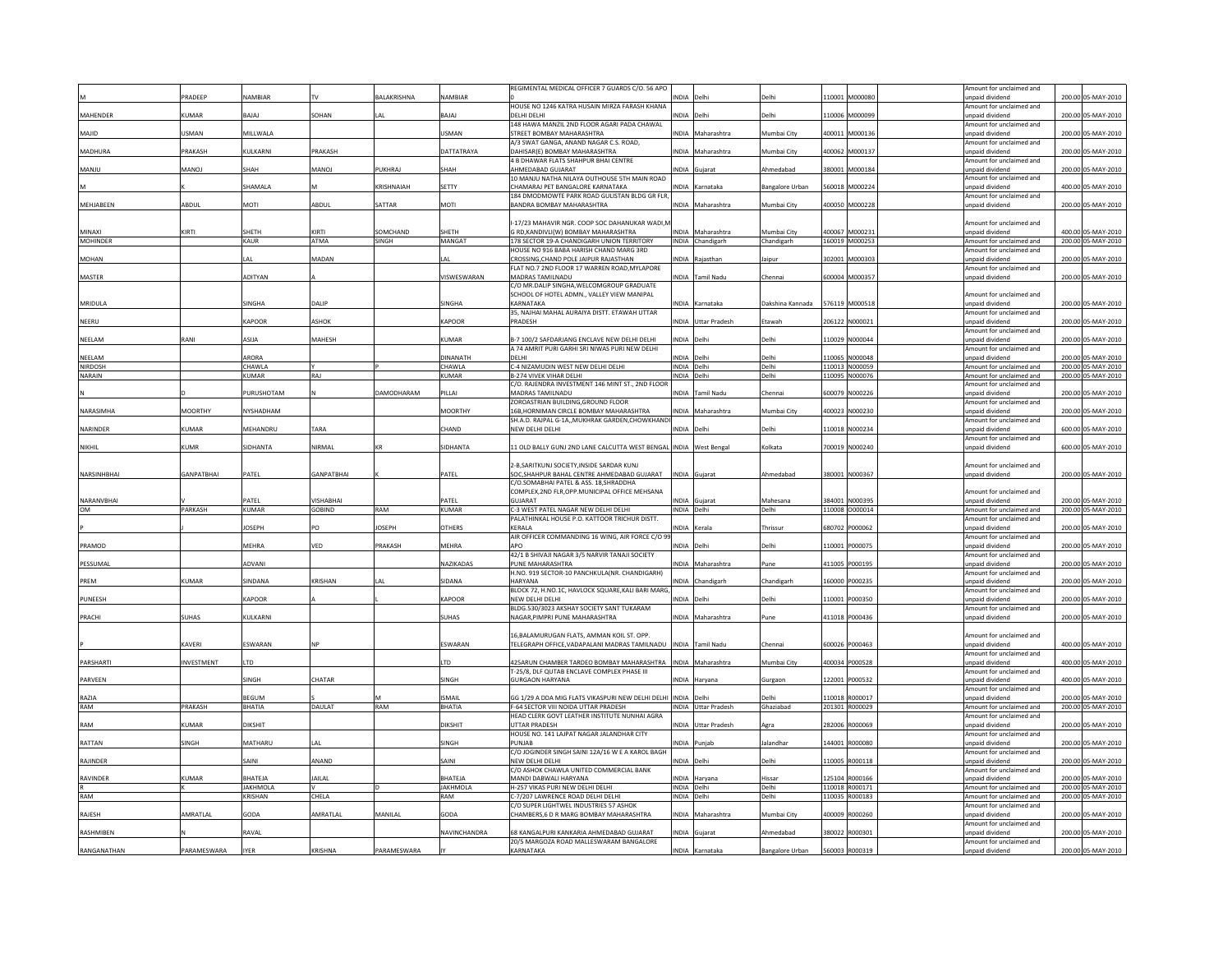|                 |                   |                            |                   |                    |                        | REGIMENTAL MEDICAL OFFICER 7 GUARDS C/O. 56 APO                                          |                            |                     |                        |        |                                  | Amount for unclaimed and                             |        |                                          |  |
|-----------------|-------------------|----------------------------|-------------------|--------------------|------------------------|------------------------------------------------------------------------------------------|----------------------------|---------------------|------------------------|--------|----------------------------------|------------------------------------------------------|--------|------------------------------------------|--|
|                 | PRADEEP           | NAMBIAR                    |                   | <b>BALAKRISHNA</b> | <b>NAMBIAR</b>         | HOUSE NO 1246 KATRA HUSAIN MIRZA FARASH KHANA                                            | NDIA Delh                  |                     |                        |        | 10001 M000080                    | unpaid dividend<br>Amount for unclaimed and          |        | 200.00 05-MAY-2010                       |  |
| MAHENDER        | KUMAR             | <b>BAJAJ</b>               | SOHAN             |                    | BAJAJ                  | DELHI DELHI                                                                              | INDIA Delhi                |                     | <b>Delhi</b>           |        | 110006 M000099                   | unpaid dividend                                      |        | 200.00 05-MAY-2010                       |  |
| MAJID           | <b>JSMAN</b>      | MILLWALA                   |                   |                    | USMAN                  | 148 HAWA MANZIL 2ND FLOOR AGARI PADA CHAWAL<br>STREET BOMBAY MAHARASHTRA                 |                            | INDIA Maharashtra   | Mumbai City            |        | 400011 M000136                   | Amount for unclaimed and<br>unpaid dividend          |        | 200.00 05-MAY-2010                       |  |
|                 |                   |                            |                   |                    |                        | A/3 SWAT GANGA, ANAND NAGAR C.S. ROAD.                                                   |                            |                     |                        |        |                                  | Amount for unclaimed and                             |        |                                          |  |
| MADHURA         | PRAKASH           | KULKARNI                   | <b>RAKASH</b>     |                    | DATTATRAYA             | DAHISAR(E) BOMBAY MAHARASHTRA<br><b>4 B DHAWAR FLATS SHAHPUR BHAI CENTRE</b>             |                            | INDIA Maharashtra   | Mumbai City            |        | 400062 M000137                   | unpaid dividend<br>Amount for unclaimed and          |        | 200.00 05-MAY-2010                       |  |
| MANJU           | <b>MANOJ</b>      | SHAH                       | MANOJ             | UKHRAJ             | SHAH                   | AHMEDABAD GUJARAT                                                                        | <b>NDIA</b>                | Guiarat             | Ahmedabad              |        | 380001 M000184                   | unpaid dividend                                      |        | 200.00 05-MAY-2010                       |  |
|                 |                   |                            |                   |                    | SETTY                  | 10 MANJU NATHA NILAYA OUTHOUSE 5TH MAIN ROAD                                             |                            |                     |                        |        |                                  | Amount for unclaimed and                             |        |                                          |  |
|                 |                   | SHAMALA                    |                   | <b>RISHNAIAH</b>   |                        | CHAMARAJ PET BANGALORE KARNATAKA<br>184 DMODMOWTE PARK ROAD GULISTAN BLDG GR FLR,        |                            | NDIA Karnataka      | Bangalore Urban        |        | 560018 M000224                   | unpaid dividend<br>Amount for unclaimed and          |        | 400.00 05-MAY-2010                       |  |
| MEHJABEEN       | ABDUL             | MOTI                       | ABDUL             | ATTAR              | MOTI                   | BANDRA BOMBAY MAHARASHTRA                                                                | <b>NDIA</b>                | Maharashtra         | Mumbai City            | 400050 | M000228                          | npaid dividend                                       |        | 200.00 05-MAY-2010                       |  |
|                 |                   |                            |                   |                    |                        | I-17/23 MAHAVIR NGR. COOP SOC DAHANUKAR WADI, I                                          |                            |                     |                        |        |                                  | Amount for unclaimed and                             |        |                                          |  |
| MINAXI          | <b>IRTI</b>       | SHETH                      | <b>CIRTI</b>      | <b>OMCHAND</b>     | SHETH                  | G RD, KANDIVLI(W) BOMBAY MAHARASHTRA                                                     |                            | INDIA Maharashtra   | Mumbai City            |        | 400067 M000231                   | unpaid dividend                                      |        | 400.00 05-MAY-2010                       |  |
| <b>MOHINDER</b> |                   | KAUR                       | ATMA              | SINGH              | MANGAT                 | 178 SECTOR 19-A CHANDIGARH UNION TERRITORY                                               |                            | INDIA Chandigarh    | Chandigarh             |        | 160019 M000253                   | Amount for unclaimed and                             |        | 200.00 05-MAY-2010                       |  |
| <b>MOHAN</b>    |                   | I AI                       | MADAN             |                    | I AI                   | HOUSE NO 916 BABA HARISH CHAND MARG 3RD<br>CROSSING, CHAND POLE JAIPUR RAJASTHAN         |                            | INDIA Raiasthar     | laipur                 |        | 302001 M000303                   | Amount for unclaimed and<br>Innaid dividend          |        | 200.00 05-MAY-2010                       |  |
|                 |                   |                            |                   |                    |                        | FLAT NO.7 2ND FLOOR 17 WARREN ROAD, MYLAPORE                                             |                            |                     |                        |        |                                  | Amount for unclaimed and                             |        |                                          |  |
| MASTER          |                   | ADITYAN                    |                   |                    | VISWESWARAN            | <b>MADRAS TAMILNADU</b>                                                                  |                            | INDIA Tamil Nadu    | Chennai                |        | 600004 M000357                   | unpaid dividend                                      |        | 200.00 05-MAY-2010                       |  |
|                 |                   |                            |                   |                    |                        | C/O MR.DALIP SINGHA, WELCOMGROUP GRADUATE<br>SCHOOL OF HOTEL ADMN., VALLEY VIEW MANIPAL  |                            |                     |                        |        |                                  | Amount for unclaimed and                             |        |                                          |  |
| MRIDULA         |                   | SINGHA                     | DALIP             |                    | SINGHA                 | KARNATAKA                                                                                |                            | INDIA Karnataka     | Dakshina Kannada       |        | 576119 M000518                   | unpaid dividend                                      |        | 200.00 05-MAY-2010                       |  |
|                 |                   | KAPOOR                     | ASHOK             |                    | <b>KAPOOR</b>          | 35, NAJHAI MAHAL AURAIYA DISTT. ETAWAH UTTAR<br>PRADESH                                  |                            | INDIA Uttar Pradesh | Etawah                 |        | 206122 N000021                   | Amount for unclaimed and<br>unpaid dividend          |        | 200.00 05-MAY-2010                       |  |
| NEERU           |                   |                            |                   |                    |                        |                                                                                          |                            |                     |                        |        |                                  | Amount for unclaimed and                             |        |                                          |  |
| NEELAM          | RAN               | ASIJA                      | MAHESH            |                    | KUMAR                  | B-7 100/2 SAFDARJANG ENCLAVE NEW DELHI DELHI                                             | <b>INDIA</b>               |                     | Jelhi                  |        | 10029 N000044                    | unpaid dividend                                      |        | 200.00 05-MAY-2010                       |  |
| NEELAM          |                   | ARORA                      |                   |                    | <b>DINANATH</b>        | A 74 AMRIT PURI GARHI SRI NIWAS PURI NEW DELHI<br>DELHI                                  | NDIA Delh                  |                     | Jelh                   |        | 10065 N000048                    | Amount for unclaimed and<br>inpaid dividend          |        | 200.00 05-MAY-2010                       |  |
| NIRDOSH         |                   | <b>CHAWLA</b>              |                   |                    | CHAWLA                 | -4 NIZAMUDIN WEST NEW DELHI DELHI                                                        |                            | INDIA Delhi         | Delhi                  |        | 110013 N000059                   | Amount for unclaimed and                             |        | 200.00 05-MAY-2010                       |  |
| NARAIN          |                   | KUMAR                      | RAJ               |                    | <b>KUMAR</b>           | B-274 VIVEK VIHAR DELHI                                                                  | INDIA Delhi                |                     | Delhi                  |        | 110095 N000076                   | Amount for unclaimed and                             |        | 200.00 05-MAY-2010                       |  |
|                 |                   | PURUSHOTAM                 |                   | <b>JAMODHARAM</b>  | PILLAL                 | C/O. RAJENDRA INVESTMENT 146 MINT ST., 2ND FLOOR<br>MADRAS TAMILNADU                     |                            | INDIA Tamil Nadu    | Chennai                |        | 600079 N000226                   | Amount for unclaimed and<br>Innaid dividend          |        | 200.00 05-MAY-2010                       |  |
|                 |                   |                            |                   |                    |                        | ZOROASTRIAN BUILDING, GROUND FLOOR                                                       |                            |                     |                        |        |                                  | mount for unclaimed and                              |        |                                          |  |
| NARASIMHA       | <b>MOORTHY</b>    | NYSHADHAM                  |                   |                    | <b>MOORTHY</b>         | 16B.HORNIMAN CIRCLE BOMBAY MAHARASHTRA                                                   |                            | INDIA Maharashtra   | Mumbai City            |        | 400023 N000230                   | unpaid dividend                                      |        | 200.00 05-MAY-2010                       |  |
| <b>NARINDER</b> | KUMAR             | MEHANDRU                   | <b>TARA</b>       |                    | CHAND                  | SH.A.D. RAJPAL G-1A,, MUKHRAK GARDEN, CHOWKHAND<br>NEW DELHI DELHI                       | INDIA Delh                 |                     | Delhi                  |        | 110018 N000234                   | Amount for unclaimed and<br>unpaid dividend          |        | 600.00 05-MAY-2010                       |  |
|                 |                   |                            |                   |                    |                        |                                                                                          |                            |                     |                        |        |                                  | Amount for unclaimed and                             |        |                                          |  |
| NIKHIL          | <b>IJMR</b>       | SIDHANTA                   | NIRMAI            |                    | SIDHANTA               | 11 OLD BALLY GUNJ 2ND LANE CALCUTTA WEST BENGAL INDIA West Bengal                        |                            |                     | Kolkata                |        | 700019 N000240                   | inpaid dividend                                      |        | 600.00 05-MAY-2010                       |  |
|                 |                   |                            |                   |                    |                        | 2-B.SARITKUNJ SOCIETY.INSIDE SARDAR KUNJ                                                 |                            |                     |                        |        |                                  | mount for unclaimed and                              |        |                                          |  |
| NARSINHBHAI     | <b>GANPATBHAI</b> | PATEL                      | <b>GANPATBHAI</b> |                    | PATEL                  | SOC, SHAHPUR BAHAL CENTRE AHMEDABAD GUJARAT                                              | <b>INDIA</b>               |                     | Ahmedabac              |        | 380001 N000367                   | npaid dividend                                       |        | 200.00 05-MAY-2010                       |  |
|                 |                   |                            |                   |                    |                        | C/O.SOMABHAI PATEL & ASS. 18.SHRADDHA<br>COMPLEX, 2ND FLR, OPP. MUNICIPAL OFFICE MEHSANA |                            |                     |                        |        |                                  | mount for unclaimed and                              |        |                                          |  |
| NARANVBHAI      |                   | PATEL                      | <b>/ISHABHAI</b>  |                    | PATEL                  | GUJARAT                                                                                  |                            | NDIA Gujarat        | Mahesana               |        | 384001 N000395                   | unpaid dividend                                      |        | 200.00 05-MAY-2010                       |  |
| 0M              | PARKASH           | <b>KUMAR</b>               | <b>GOBIND</b>     | RAM                | <b>KUMAR</b>           | C-3 WEST PATEL NAGAR NEW DELHI DELHI                                                     | INDIA Delhi                |                     | Delhi                  |        | 110008 0000014                   | Amount for unclaimed and                             |        | 200.00 05-MAY-2010                       |  |
|                 |                   | <b>JOSEPH</b>              | PO                | OSEPH              | <b>OTHERS</b>          | PALATHINKAL HOUSE P.O. KATTOOR TRICHUR DISTT.<br>KERALA                                  |                            | INDIA Kerala        | Thrissur               |        | 80702 P000062                    | Amount for unclaimed and<br>unpaid dividend          |        | 200.00 05-MAY-2010                       |  |
|                 |                   |                            |                   |                    |                        | AIR OFFICER COMMANDING 16 WING, AIR FORCE C/O 99                                         |                            |                     |                        |        |                                  | Amount for unclaimed and                             |        |                                          |  |
| PRAMOD          |                   | MEHRA                      | VED               | <b>RAKASH</b>      | <b>MEHRA</b>           | APO.                                                                                     | <b>NDIA</b>                | Delh                | dler                   | 10001  | P000075                          | inpaid dividend                                      |        | 200.00 05-MAY-2010                       |  |
| PESSUMAL        |                   | ADVANI                     |                   |                    | <b>NAZIKADAS</b>       | 42/1 B SHIVAJI NAGAR 3/5 NARVIR TANAJI SOCIETY<br>PUNF MAHARASHTRA                       |                            | INDIA Maharashtra   | Pune                   |        | 411005 P000195                   | Amount for unclaimed and<br><b>unnaid dividend</b>   |        | 200.00 05-MAY-2010                       |  |
|                 |                   |                            |                   |                    |                        | H.NO. 919 SECTOR-10 PANCHKULA(NR. CHANDIGARH)                                            |                            |                     |                        |        |                                  | Amount for unclaimed and                             |        |                                          |  |
| PREM            | KUMAR             | SINDANA                    | KRISHAN           |                    | SIDANA                 | <b>HARYANA</b><br>BLOCK 72, H.NO.1C, HAVLOCK SQUARE, KALI BARI MARG                      |                            | NDIA Chandigart     | Chandigarh             |        | 60000 P000235                    | unpaid dividend<br>Amount for unclaimed and          |        | 200.00 05-MAY-2010                       |  |
| PUNEESH         |                   | KAPOOR                     |                   |                    | <b>KAPOOR</b>          | NEW DELHI DELHI                                                                          | INDIA Delhi                |                     | Delh                   |        | 110001 P000350                   | unpaid dividend                                      |        | 200.00 05-MAY-2010                       |  |
|                 |                   |                            |                   |                    |                        | BLDG.530/3023 AKSHAY SOCIETY SANT TUKARAM                                                |                            |                     |                        |        |                                  | Amount for unclaimed and                             |        |                                          |  |
| PRACHI          | <b>SUHAS</b>      | KULKARNI                   |                   |                    | <b>SUHAS</b>           | NAGAR.PIMPRI PUNE MAHARASHTRA                                                            |                            | INDIA Maharashtra   | Pune                   |        | 411018 P000436                   | unpaid dividend                                      |        | 200.00 05-MAY-2010                       |  |
|                 |                   |                            |                   |                    |                        | 16. BALAMURUGAN FLATS, AMMAN KOIL ST, OPP.                                               |                            |                     |                        |        |                                  | Amount for unclaimed and                             |        |                                          |  |
|                 | KAVERI            | ESWARAN                    |                   |                    | ESWARAN                | TELEGRAPH OFFICE, VADAPALANI MADRAS TAMILNADU                                            |                            | INDIA Tamil Nadu    | Chenna                 |        | 600026 P000463                   | unpaid dividend                                      |        | 400.00 05-MAY-2010                       |  |
| PARSHARTI       | INVESTMENT        | TD.                        |                   |                    | LTD                    | 425ARUN CHAMBER TARDEO BOMBAY MAHARASHTRA                                                |                            | INDIA Maharashtra   | Mumbai City            |        | 400034 P000528                   | Amount for unclaimed and<br>unpaid dividend          |        | 400.00 05-MAY-2010                       |  |
|                 |                   |                            |                   |                    |                        | T-25/8. DLF QUTAB ENCLAVE COMPLEX PHASE III                                              |                            |                     |                        |        |                                  | Amount for unclaimed and                             |        |                                          |  |
| PARVEEN         |                   | <b>SINGH</b>               | CHATAR            |                    | SINGH                  | <b>GURGAON HARYANA</b>                                                                   | <b>NDIA</b>                | Haryana             | iurgaor                | 122001 | P000532                          | unpaid dividend<br>Amount for unclaimed and          |        | 400.00 05-MAY-2010                       |  |
| RAZIA           |                   | <b>BEGUM</b>               |                   |                    | <b>ISMAIL</b>          | GG 1/29 A DDA MIG FLATS VIKASPURI NEW DELHI DELHI INDIA Delhi                            |                            |                     | Delh                   |        | 10018 R000017                    | unpaid dividend                                      |        | 200.00 05-MAY-2010                       |  |
| RAM             | PRAKASH           | BHATIA                     | DAULAT            | RAM                | <b>BHATIA</b>          | F-64 SECTOR VIII NOIDA UTTAR PRADESH                                                     |                            | INDIA Uttar Pradesh | Ghaziabad              |        | 201301 R000029                   | Amount for unclaimed and                             |        | 200.00 05-MAY-2010                       |  |
| RAM             | KUMAR             | DIKSHIT                    |                   |                    | <b>DIKSHIT</b>         | HEAD CLERK GOVT LEATHER INSTITUTE NUNHAI AGRA<br><b>UTTAR PRADESH</b>                    |                            | INDIA Uttar Pradesh | Aera                   |        | 282006 R000069                   | Amount for unclaimed and<br>unpaid dividend          |        | 200.00 05-MAY-2010                       |  |
|                 |                   |                            |                   |                    |                        | HOUSE NO. 141 LAJPAT NAGAR JALANDHAR CITY                                                |                            |                     |                        |        |                                  | Amount for unclaimed and                             |        |                                          |  |
| RATTAN          | INGH              | MATHARU                    | LAL               |                    | SINGH                  | PUNJAB                                                                                   |                            | INDIA Punjab        | alandhar               |        | 44001 R000080                    | unpaid dividend                                      |        | 200.00 05-MAY-2010                       |  |
| RAJINDER        |                   | SAINI                      | ANAND             |                    | SAINI                  | C/O JOGINDER SINGH SAINI 12A/16 W E A KAROL BAGH<br>NEW DELHI DELHI                      | INDIA Delh                 |                     | Delhi                  |        | 110005 R000118                   | Amount for unclaimed and<br>unpaid dividend          |        | 200.00 05-MAY-2010                       |  |
|                 |                   |                            |                   |                    |                        | C/O ASHOK CHAWLA UNITED COMMERCIAL BANK                                                  |                            |                     |                        |        |                                  | Amount for unclaimed and                             |        |                                          |  |
| RAVINDER        | <b>UMAR</b>       | BHATEJA                    | AILAL             |                    | BHATEJA                | MANDI DABWALI HARYANA                                                                    |                            | INDIA Haryana       | Hissar                 |        | 125104 R000166                   | unpaid dividend                                      |        | 200.00 05-MAY-2010                       |  |
| RAM             |                   | <b>JAKHMOLA</b><br>KRISHAN | CHELA             |                    | <b>JAKHMOLA</b><br>RAM | H-257 VIKAS PURI NEW DELHI DELHI<br>C-7/207 LAWRENCE ROAD DELHI DELHI                    | INDIA Delhi<br>INDIA Delhi |                     | Delhi<br>Delhi         |        | 110018 R000171<br>110035 R000183 | Amount for unclaimed and<br>Amount for unclaimed and |        | 200.00 05-MAY-2010<br>200.00 05-MAY-2010 |  |
|                 |                   |                            |                   |                    |                        | C/O SUPER LIGHTWEL INDUSTRIES 57 ASHOK                                                   |                            |                     |                        |        |                                  | Amount for unclaimed and                             |        |                                          |  |
| RAJESH          | MRATLAL           | GODA                       | <b>MRATLAL</b>    | MANILAI            | GODA                   | CHAMBERS.6 D R MARG BOMBAY MAHARASHTRA                                                   | <b>INDIA</b>               | Maharashtra         | Mumbai City            | 400009 | R000260                          | unpaid dividend                                      | 200.00 | 05-MAY-2010                              |  |
| RASHMIBEN       |                   | RAVAL                      |                   |                    | NAVINCHANDRA           | 68 KANGALPURI KANKARIA AHMEDABAD GUJARAT                                                 |                            | INDIA Gujarat       | Ahmedabad              |        | 380022 R000301                   | Amount for unclaimed and<br>unpaid dividend          |        | 200.00 05-MAY-2010                       |  |
|                 |                   |                            |                   |                    |                        | 20/5 MARGOZA ROAD MALLESWARAM BANGALORE                                                  |                            |                     |                        |        |                                  | Amount for unclaimed and                             |        |                                          |  |
| RANGANATHAN     | PARAMESWARA       | <b>IYER</b>                | KRISHNA           | PARAMESWARA        |                        | KARNATAKA                                                                                | <b>INDIA</b>               | Karnataka           | <b>Bangalore Urban</b> |        | 560003 R000319                   | unpaid dividend                                      |        | 200.00 05-MAY-2010                       |  |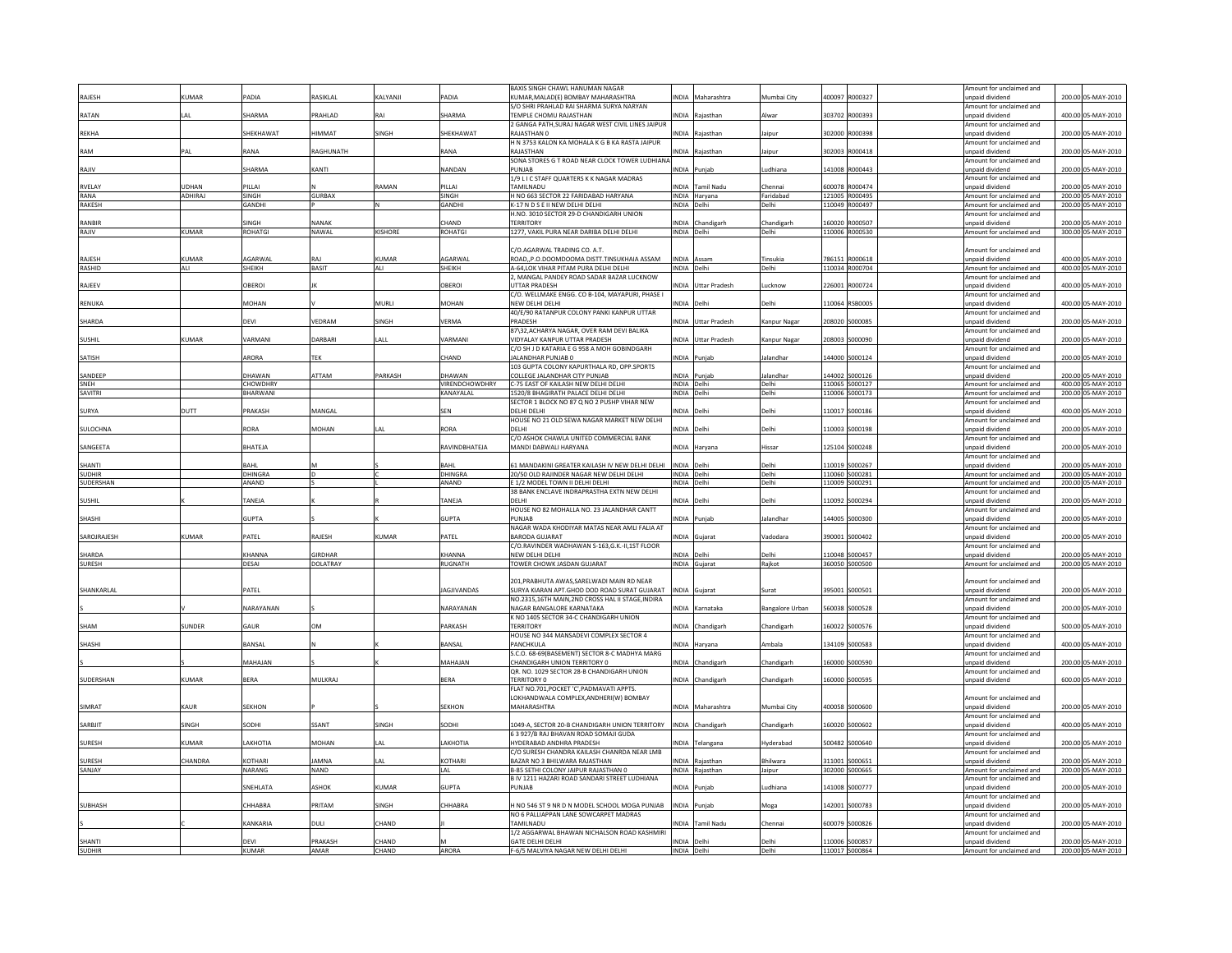|                         |               |                      |                        |                      |                       | BAXIS SINGH CHAWL HANUMAN NAGAR                                                                    |                      |                            |                        |                                  | Amount for unclaimed and                    |        |                                          |
|-------------------------|---------------|----------------------|------------------------|----------------------|-----------------------|----------------------------------------------------------------------------------------------------|----------------------|----------------------------|------------------------|----------------------------------|---------------------------------------------|--------|------------------------------------------|
| <b>RAJESH</b>           | <b>CUMAR</b>  | PADIA                | RASIKLAL               | KALYANJI             | PADIA                 | KUMAR, MALAD(E) BOMBAY MAHARASHTRA                                                                 | INDIA                | Maharashtra                | Mumbai City            | 400097 R000327                   | inpaid dividend                             |        | 200.00 05-MAY-2010                       |
|                         |               |                      |                        |                      |                       | S/O SHRI PRAHLAD RAI SHARMA SURYA NARYAN                                                           |                      |                            |                        |                                  | Amount for unclaimed and                    |        |                                          |
| RATAN                   |               | SHARMA               | PRAHLAD                | RAI                  | SHARMA                | TEMPLE CHOMU RAJASTHAN                                                                             |                      | INDIA Rajasthan            | Alwar                  | 303702 R000393                   | unpaid dividend                             |        | 400.00 05-MAY-2010                       |
|                         |               |                      |                        |                      |                       | 2 GANGA PATH.SURAJ NAGAR WEST CIVIL LINES JAIPUR                                                   |                      |                            |                        |                                  | Amount for unclaimed and                    |        |                                          |
| <b>REKHA</b>            |               | SHEKHAWAT            | HIMMAT                 | SINGH                | SHEKHAWAT             | RAJASTHAN 0<br>H N 3753 KALON KA MOHALA K G B KA RASTA JAIPUR                                      | <b>INDIA</b>         | Raiasthan                  | Jaipur                 | 302000 R000398                   | unpaid dividend<br>Amount for unclaimed and |        | 200.00 05-MAY-2010                       |
| RAM                     | PAL           | RANA                 | RAGHUNATH              |                      | RANA                  | RAJASTHAN                                                                                          |                      | INDIA Rajasthan            | Jaipur                 | 302003 R000418                   | unpaid dividend                             |        | 200.00 05-MAY-2010                       |
|                         |               |                      |                        |                      |                       | SONA STORES G T ROAD NEAR CLOCK TOWER LUDHIANA                                                     |                      |                            |                        |                                  | Amount for unclaimed and                    |        |                                          |
| RAJIV                   |               | SHARMA               | KANTI                  |                      | NANDAN                | PUNJAB                                                                                             | INDIA                | uniab                      | udhiana                | 141008 R000443                   | inpaid dividend                             |        | 200.00 05-MAY-2010                       |
|                         |               |                      |                        |                      |                       | 1/9 L I C STAFF QUARTERS K K NAGAR MADRAS                                                          |                      |                            |                        |                                  | Amount for unclaimed and                    |        |                                          |
| RVELAY                  | JDHAN         | PILLAI               |                        | AMAN                 | PILLAI                | TAMILNADU                                                                                          |                      | INDIA Tamil Nadu           | Chennai                | 600078 R000474                   | npaid dividend                              |        | 200.00 05-MAY-2010                       |
| RANA                    | ADHIRAI       | SINGH                | <b>GURBAX</b>          |                      | SINGH                 | H NO 663 SECTOR 22 FARIDABAD HARYANA                                                               |                      | INDIA Haryana              | aridabad               | 121005 R000495                   | Amount for unclaimed and                    |        | 200.00 05-MAY-2010                       |
| RAKESH                  |               | GANDHI               |                        |                      | <b>GANDHI</b>         | K-17 N D S E II NEW DELHI DELHI                                                                    | <b>INDIA</b>         | Delhi                      | Delhi                  | 110049 R000497                   | Amount for unclaimed and                    |        | 200.00 05-MAY-2010                       |
|                         |               |                      |                        |                      |                       | H.NO. 3010 SECTOR 29-D CHANDIGARH UNION                                                            |                      |                            |                        |                                  | Amount for unclaimed and                    |        |                                          |
| <b>RANBIR</b>           |               | SINGH                | NANAK                  |                      | CHAND                 | <b>TERRITORY</b>                                                                                   |                      | INDIA Chandigarh           | Chandigarh             | 160020 R000507                   | npaid dividend                              |        | 200.00 05-MAY-2010                       |
| RAJIV                   | <b>CUMAR</b>  | <b>ROHATGI</b>       | NAWAL                  | KISHORE              | <b>ROHATGI</b>        | 1277, VAKIL PURA NEAR DARIBA DELHI DELHI                                                           | INDIA Delhi          |                            | Delhi                  | 110006 R000530                   | Amount for unclaimed and                    |        | 300.00 05-MAY-2010                       |
|                         |               |                      |                        |                      |                       |                                                                                                    |                      |                            |                        |                                  |                                             |        |                                          |
|                         |               |                      |                        |                      |                       | C/O.AGARWAL TRADING CO. A.T.                                                                       |                      |                            |                        |                                  | Amount for unclaimed and                    |        |                                          |
| <b>RAIFSH</b>           | <b>CLIMAR</b> | AGARWAI              | RAI                    | KUMAR                | AGARWAI               | ROAD,,P.O.DOOMDOOMA DISTT.TINSUKHAIA ASSAM                                                         | INDIA Assam          |                            | Tinsukia               | 786151 R000618                   | inpaid dividend                             |        | 400.00 05-MAY-2010                       |
| <b>RASHID</b>           | ALI           | SHEIKH               | <b>BASIT</b>           | ALI                  | SHEIKH                | A-64.LOK VIHAR PITAM PURA DELHI DELHI                                                              | INDIA Delhi          |                            | Delhi                  | 110034 R000704                   | Amount for unclaimed and                    |        | 400.00 05-MAY-2010                       |
|                         |               |                      |                        |                      |                       | 2. MANGAL PANDEY ROAD SADAR BAZAR LUCKNOW                                                          |                      |                            |                        |                                  | Amount for unclaimed and                    |        |                                          |
| RAJEEV                  |               | OBEROI               |                        |                      | OBEROI                | <b>UTTAR PRADESH</b>                                                                               |                      | <b>INDIA</b> Uttar Pradesh | Lucknow                | 226001 R000724                   | unpaid dividend                             |        | 400.00 05-MAY-2010                       |
|                         |               |                      |                        |                      |                       | C/O. WELLMAKE ENGG. CO B-104, MAYAPURI, PHASE I                                                    |                      |                            |                        |                                  | Amount for unclaimed and                    |        |                                          |
| RENUKA                  |               | MOHAN                |                        | MURLI                | MOHAN                 | NEW DELHI DELHI                                                                                    | <b>INDIA</b>         | Delh                       | Delhi                  | 110064 RSB0005                   | inpaid dividend                             |        | 400.00 05-MAY-2010                       |
|                         |               |                      |                        |                      |                       | 40/E/90 RATANPUR COLONY PANKI KANPUR UTTAR                                                         |                      |                            |                        |                                  | Amount for unclaimed and                    |        |                                          |
| SHARDA                  |               | DEVI                 | VEDRAM                 | SINGH                | <b>VERMA</b>          | PRADESH<br>87\32.ACHARYA NAGAR. OVER RAM DEVI BALIKA                                               |                      | INDIA Uttar Pradesh        | Kanpur Nagar           | 208020 S000085                   | unpaid dividend                             |        | 200.00 05-MAY-2010                       |
| <b>SUSHIL</b>           | <b>CUMAR</b>  | VARMANI              | DARBARI                | ALL                  | VARMANI               | VIDYALAY KANPUR UTTAR PRADESH                                                                      | INDIA                | <b>Uttar Pradesh</b>       |                        | 208003 S000090                   | Amount for unclaimed and<br>inpaid dividend |        | 200.00 05-MAY-2010                       |
|                         |               |                      |                        |                      |                       |                                                                                                    |                      |                            | Kanpur Nagar           |                                  | Amount for unclaimed and                    |        |                                          |
| SATISH                  |               | ARORA                | TEK                    |                      | CHAND                 | C/O SH J D KATARIA E G 958 A MOH GOBINDGARH<br>ALANDHAR PUNJAB 0                                   | INDIA Punjab         |                            | Jalandhar              | 144000 S000124                   | inpaid dividend                             |        | 200.00 05-MAY-2010                       |
|                         |               |                      |                        |                      |                       | 103 GUPTA COLONY KAPURTHALA RD, OPP.SPORTS                                                         |                      |                            |                        |                                  | Amount for unclaimed and                    |        |                                          |
| SANDEE                  |               | DHAWAN               | ATTAM                  | PARKASH              | DHAWAN                | COLLEGE JALANDHAR CITY PUNJAB                                                                      | <b>INDIA</b>         | Punjab                     | alandha                | 144002 S000126                   | npaid dividend                              |        | 200.00 05-MAY-2010                       |
| SNEH                    |               | CHOWDHRY             |                        |                      | <b>VIRENDCHOWDHRY</b> | C-75 EAST OF KAILASH NEW DELHI DELHI                                                               | INDIA Delhi          |                            | Delhi                  | 110065 S000127                   | Amount for unclaimed and                    |        | 400.00 05-MAY-2010                       |
| SAVITRI                 |               | BHARWANI             |                        |                      | KANAYALAL             | 1520/8 BHAGIRATH PALACE DELHI DELHI                                                                | INDIA Delhi          |                            | Delhi                  | 110006 S000173                   | Amount for unclaimed and                    |        | 200.00 05-MAY-2010                       |
|                         |               |                      |                        |                      |                       | SECTOR 1 BLOCK NO 87 Q NO 2 PUSHP VIHAR NEW                                                        |                      |                            |                        |                                  | Amount for unclaimed and                    |        |                                          |
| <b>SURYA</b>            | DUTT          | PRAKASH              | MANGAI                 |                      | <b>SEN</b>            | DELHI DELHI                                                                                        | NDIA                 | Delh                       | Delhi                  | 110017 S000186                   | npaid dividend                              |        | 400.00 05-MAY-2010                       |
|                         |               |                      |                        |                      |                       | HOUSE NO 21 OLD SEWA NAGAR MARKET NEW DELHI                                                        |                      |                            |                        |                                  | Amount for unclaimed and                    |        |                                          |
| SULOCHNA                |               | RORA                 | MOHAN                  |                      | <b>RORA</b>           | DFI HI                                                                                             | INDIA                | Delh                       | Delhi                  | 110003 S000198                   | inpaid dividend                             |        | 200.00 05-MAY-2010                       |
|                         |               |                      |                        |                      |                       | C/O ASHOK CHAWLA UNITED COMMERCIAL BANK                                                            |                      |                            |                        |                                  | Amount for unclaimed and                    |        |                                          |
| SANGEETA                |               | BHATEJA              |                        |                      | RAVINDBHATEJA         | MANDI DABWALI HARYANA                                                                              | INDIA                | laryana                    | Hissar                 | 125104 S000248                   | npaid dividend                              |        | 200.00 05-MAY-2010                       |
|                         |               |                      |                        |                      |                       |                                                                                                    |                      |                            |                        |                                  | Amount for unclaimed and                    |        |                                          |
| <b>SHANTI</b>           |               | RAHI                 |                        |                      | RAHI                  | 61 MANDAKINI GREATER KAILASH IV NEW DELHI DELHI                                                    | <b>INDIA</b>         | Delhi                      | Jelhi                  | 110019 S000267                   | inpaid dividend                             |        | 200.00 05-MAY-2010                       |
|                         |               |                      |                        |                      |                       |                                                                                                    |                      |                            |                        |                                  |                                             |        |                                          |
| <b>SUDHIR</b>           |               | DHINGRA              |                        |                      | DHINGRA               | 20/50 OLD RAJINDER NAGAR NEW DELHI DELHI                                                           | INDIA Delhi          |                            | Delhi                  | 110060 S000281                   | Amount for unclaimed and                    |        | 200.00 05-MAY-2010                       |
| SUDERSHAN               |               | ANAND                |                        |                      | ANAND                 | E 1/2 MODEL TOWN II DELHI DELHI                                                                    | INDIA Delhi          |                            | Delhi                  | 110009 S000291                   | Amount for unclaimed and                    |        | 200.00 05-MAY-2010                       |
|                         |               |                      |                        |                      |                       | 38 BANK ENCLAVE INDRAPRASTHA EXTN NEW DELHI                                                        |                      |                            |                        |                                  | mount for unclaimed and                     |        |                                          |
| <b>SUSHIL</b>           |               | TANEJA               |                        |                      | TANEJA                | DFI HI                                                                                             | <b>INDIA</b>         | Delh                       | Delhi                  | 110092 S000294                   | inpaid dividend                             |        | 200.00 05-MAY-2010                       |
|                         |               |                      |                        |                      |                       | HOUSE NO 82 MOHALLA NO. 23 JALANDHAR CANTT                                                         |                      |                            |                        |                                  | Amount for unclaimed and                    |        |                                          |
| <b>SHASHI</b>           |               | <b>GUPTA</b>         |                        |                      | <b>GUPTA</b>          | PUNIAR                                                                                             | <b>INDIA</b>         | Punjab                     | lalandhai              | 144005 S000300                   | unnaid dividend                             |        | 200.00 05-MAY-2010                       |
|                         |               |                      |                        |                      |                       | NAGAR WADA KHODIYAR MATAS NEAR AMLI FALIA AT                                                       |                      |                            |                        |                                  | Amount for unclaimed and                    |        |                                          |
| SAROIRAIFSH             | <b>CLIMAR</b> | PATFI                | RAIFSH                 | <b>CLIMAR</b>        | PATEL                 | <b>BARODA GUIARAT</b>                                                                              |                      | NDIA Gujarat               | Vadodara               | 390001 5000402                   | Innaid dividend                             |        | 200.00 05-MAY-2010                       |
|                         |               |                      |                        |                      |                       | C/O.RAVINDER WADHAWAN S-163,G.K.-II,1ST FLOOR                                                      |                      |                            |                        |                                  | mount for unclaimed and                     |        |                                          |
| SHARDA                  |               | KHANNA               | <b>GIRDHAF</b>         |                      | KHANNA                | NFW DFI HI DFI HI                                                                                  | <b>AIONI</b>         | Delhi                      | Delhi                  | 110048 S000457                   | inpaid dividend                             |        | 200.00 05-MAY-2010                       |
| SURESH                  |               | DESAI                | DOLATRAY               |                      | RUGNATH               | TOWER CHOWK JASDAN GUJARAT                                                                         |                      | INDIA Gujarat              | Rajkot                 | 360050 S000500                   | Amount for unclaimed and                    |        | 200.00 05-MAY-2010                       |
|                         |               |                      |                        |                      |                       |                                                                                                    |                      |                            |                        |                                  |                                             |        |                                          |
|                         |               |                      |                        |                      |                       | 201, PRABHUTA AWAS, SARELWADI MAIN RD NEAR                                                         |                      |                            |                        |                                  | mount for unclaimed and                     |        |                                          |
| SHANKARLAL              |               | PATEL                |                        |                      | <b>JAGJIVANDAS</b>    | SURYA KIARAN APT.GHOD DOD ROAD SURAT GUJARAT                                                       |                      | INDIA Gujarat              | Surat                  | 395001 S000501                   | npaid dividend                              |        | 200.00 05-MAY-2010                       |
|                         |               |                      |                        |                      |                       | NO.2315,16TH MAIN,2ND CROSS HAL II STAGE, INDIRA                                                   | <b>INDIA</b>         | Karnataka                  |                        | 560038 S000528                   | Amount for unclaimed and<br>npaid dividend  |        | 200.00 05-MAY-2010                       |
|                         |               | NARAYANAN            |                        |                      | NARAYANAN             | NAGAR BANGALORE KARNATAKA<br>K NO 1405 SECTOR 34-C CHANDIGARH UNION                                |                      |                            | <b>Bangalore Urban</b> |                                  | Amount for unclaimed and                    |        |                                          |
| SHAM                    | SUNDER        | GAUR                 | <b>OM</b>              |                      | PARKASH               | <b>TERRITORY</b>                                                                                   | <b>INDIA</b>         | Chandigarh                 | Chandigarh             | 160022 S000576                   | npaid dividend                              |        | 500.00 05-MAY-2010                       |
|                         |               |                      |                        |                      |                       | HOUSE NO 344 MANSADEVI COMPLEX SECTOR 4                                                            |                      |                            |                        |                                  | Amount for unclaimed and                    |        |                                          |
| SHASHI                  |               | BANSAL               |                        |                      | BANSAL                | PANCHKULA                                                                                          | <b>INDIA</b>         | Haryana                    | Ambala                 | 134109 S000583                   | npaid dividend                              |        | 400.00 05-MAY-2010                       |
|                         |               |                      |                        |                      |                       | S.C.O. 68-69(BASEMENT) SECTOR 8-C MADHYA MARG                                                      |                      |                            |                        |                                  | Amount for unclaimed and                    |        |                                          |
|                         |               | MAHAJAN              |                        |                      | MAHAJAN               | CHANDIGARH UNION TERRITORY 0                                                                       |                      | INDIA Chandigarh           | Chandigarh             | 160000 S000590                   | inpaid dividend                             |        | 200.00 05-MAY-2010                       |
|                         |               |                      |                        |                      |                       | OR, NO. 1029 SECTOR 28-B CHANDIGARH UNION                                                          |                      |                            |                        |                                  | Amount for unclaimed and                    |        |                                          |
| SUDERSHAN               | KUMAR         | BERA                 | MULKRAJ                |                      | BERA                  | <b>TERRITORY 0</b>                                                                                 |                      | INDIA Chandigarh           | Chandigarh             | 160000 S000595                   | inpaid dividend                             |        | 600.00 05-MAY-2010                       |
|                         |               |                      |                        |                      |                       | FLAT NO.701.POCKET 'C'.PADMAVATI APPTS.                                                            |                      |                            |                        |                                  |                                             |        |                                          |
|                         |               |                      |                        |                      |                       | LOKHANDWALA COMPLEX, ANDHERI(W) BOMBAY                                                             |                      |                            |                        |                                  | Amount for unclaimed and                    |        |                                          |
| <b>SIMRAT</b>           | KAUR          | SEKHON               |                        |                      | SEKHON                | MAHARASHTRA                                                                                        |                      | INDIA Maharashtra          | Mumbai City            | 400058 S000600                   | inpaid dividend                             |        | 200.00 05-MAY-2010                       |
|                         |               |                      |                        |                      |                       |                                                                                                    |                      |                            |                        |                                  | Amount for unclaimed and                    |        |                                          |
| SARBJIT                 | SINGH         | <b>HOOS</b>          | SSANT                  | SINGH                | SODHI                 | 1049-A, SECTOR 20-B CHANDIGARH UNION TERRITORY                                                     | <b>INDIA</b>         | Chandigarh                 | Chandigarh             | \$0020 \$000602                  | npaid dividend                              |        | 400.00 05-MAY-2010                       |
|                         |               |                      |                        |                      |                       | 6 3 927/B RAJ BHAVAN ROAD SOMAJI GUDA                                                              |                      |                            |                        |                                  | mount for unclaimed and                     |        |                                          |
| <b>SURESH</b>           | <b>CUMAR</b>  | LAKHOTIA             | <b>MOHAN</b>           | LAL                  | LAKHOTIA              | HYDERABAD ANDHRA PRADESH                                                                           |                      | INDIA Telangana            | Hyderabad              | 500482 S000640                   | inpaid dividend                             |        | 200.00 05-MAY-2010                       |
|                         |               |                      |                        |                      |                       | C/O SURESH CHANDRA KAILASH CHANRDA NEAR LMB                                                        |                      |                            |                        |                                  | Amount for unclaimed and                    |        |                                          |
| SURESH                  | CHANDRA       | KOTHARI              | <b>JAMNA</b>           | AI                   | KOTHARI               | BAZAR NO 3 BHILWARA RAJASTHAN                                                                      | <b>INDIA</b>         | Raiasthan                  | Bhilwara               | 311001 S000651                   | inpaid dividend                             |        | 200.00 05-MAY-2010                       |
| SANJAY                  |               | <b>NARANG</b>        | <b>NAND</b>            |                      | LAL                   | B-85 SETHI COLONY JAIPUR RAJASTHAN 0                                                               |                      | INDIA Rajasthan            | Jaipur                 | 302000 S000665                   | Amount for unclaimed and                    |        | 200.00 05-MAY-2010                       |
|                         |               |                      |                        |                      |                       | B IV 1211 HAZARI ROAD SANDARI STREET LUDHIANA<br>PUNIAR                                            |                      |                            |                        |                                  | Amount for unclaimed and                    |        |                                          |
|                         |               | SNEHLATA             | <b>ASHOI</b>           | <b>CUMAR</b>         | <b>GUPTA</b>          |                                                                                                    | INDIA                | ıniat                      | udhiana                | 141008 S000777                   | npaid dividend<br>Amount for unclaimed and  |        | 200.00 05-MAY-2010                       |
|                         |               |                      |                        |                      |                       |                                                                                                    |                      |                            |                        |                                  |                                             |        |                                          |
| SUBHASH                 |               | CHHABRA              | PRITAM                 | SINGH                | CHHABRA               | H NO 546 ST 9 NR D N MODEL SCHOOL MOGA PUNJAB NDIA Punjab<br>NO 6 PALLIAPPAN LANE SOWCARPET MADRAS |                      |                            | Moga                   | 142001 S000783                   | inpaid dividend<br>mount for unclaimed and  |        | 200.00 05-MAY-2010                       |
|                         |               | KANKARIA             |                        |                      |                       | TAMILNADU                                                                                          | INDIA                |                            | Chenna                 | 600079<br>S000826                | npaid dividend                              | 200.00 |                                          |
|                         |               |                      | DULI                   | CHAND                |                       | 1/2 AGGARWAL BHAWAN NICHALSON ROAD KASHMIRI                                                        |                      | amil Nadu                  |                        |                                  | Amount for unclaimed and                    |        | 05-MAY-2010                              |
| SHANTI<br><b>SUDHIR</b> |               | DEVI<br><b>KUMAR</b> | <b>PRAKASH</b><br>AMAR | <b>HAND</b><br>CHAND | ARORA                 | <b>GATE DELHI DELHI</b><br>F-6/5 MALVIYA NAGAR NEW DELHI DELHI                                     | INDIA<br>INDIA Delhi | Delhi                      | <b>Delhi</b>           | 110006 S000857<br>110017 S000864 | inpaid dividend                             |        | 200.00 05-MAY-2010<br>200.00 05-MAY-2010 |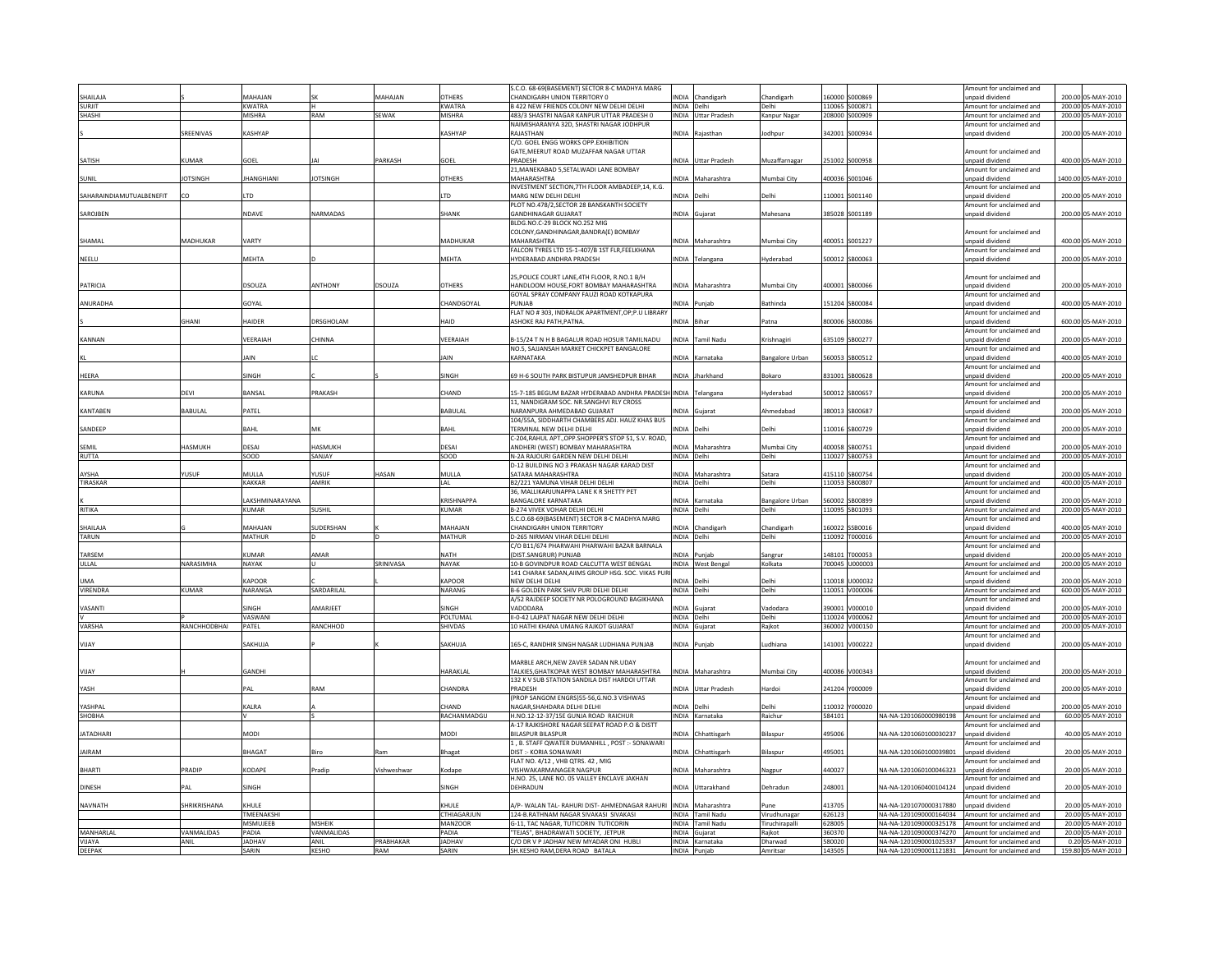|                          |                    |                            |                      |                  |                         | S.C.O. 68-69(BASEMENT) SECTOR 8-C MADHYA MARG                                              |                           |                                       |                      |                  |                                                                                                    | Amount for unclaimed and                             |                                          |
|--------------------------|--------------------|----------------------------|----------------------|------------------|-------------------------|--------------------------------------------------------------------------------------------|---------------------------|---------------------------------------|----------------------|------------------|----------------------------------------------------------------------------------------------------|------------------------------------------------------|------------------------------------------|
| HAILAJA<br><b>SURIIT</b> |                    | MAHAIAN<br><b>KWATRA</b>   |                      | MAHAJAN          | OTHERS<br><b>KWATRA</b> | CHANDIGARH UNION TERRITORY 0<br>B 422 NEW FRIENDS COLONY NEW DELHI DELHI                   | INDIA Delhi               | INDIA Chandigarh                      | Chandigarh<br>Delhi  |                  | 60000 S000869<br>110065 S000871                                                                    | unpaid dividend<br>Amount for unclaimed and          | 200.00 05-MAY-2010<br>200.00 05-MAY-2010 |
| SHASHI                   |                    | <b>MISHRA</b>              | RAM                  | SEWAK            | <b>MISHRA</b>           | 483/3 SHASTRI NAGAR KANPUR UTTAR PRADESH 0                                                 |                           | INDIA Uttar Pradesh                   | Kanpur Nagar         |                  | 208000 S000909                                                                                     | Amount for unclaimed and                             | 200.00 05-MAY-2010                       |
|                          |                    |                            |                      |                  |                         | NAIMISHARANYA 32D, SHASTRI NAGAR JODHPUR                                                   |                           |                                       |                      |                  |                                                                                                    | Amount for unclaimed and                             |                                          |
|                          | SREENIVAS          | KASHYAP                    |                      |                  | KASHYAP                 | RAJASTHAN<br>C/O. GOEL ENGG WORKS OPP.EXHIBITION                                           |                           | INDIA Rajasthan                       | odhpu                |                  | 342001 S000934                                                                                     | unpaid dividend                                      | 200.00 05-MAY-2010                       |
|                          |                    |                            |                      |                  |                         | GATE.MEERUT ROAD MUZAFFAR NAGAR UTTAR                                                      |                           |                                       |                      |                  |                                                                                                    | mount for unclaimed and                              |                                          |
| SATISH                   | KUMAR              | GOEL                       |                      | PARKASH          | GOEL                    | PRADESH                                                                                    |                           | NDIA Uttar Pradesh                    | Muzaffarnagar        |                  | 251002 S000958                                                                                     | unpaid dividend                                      | 400.00 05-MAY-2010                       |
|                          | <b>IOTSINGH</b>    | <b>JHANGHIANI</b>          | <b>JOTSINGH</b>      |                  | <b>OTHERS</b>           | 21, MANEKABAD 5, SETALWADI LANE BOMBAY<br>MAHARASHTRA                                      |                           | NDIA Maharashtra                      | Mumbai City          |                  | 400036 S001046                                                                                     | Amount for unclaimed and<br>unpaid dividend          | 1400.00 05-MAY-2010                      |
| SUNIL                    |                    |                            |                      |                  |                         | INVESTMENT SECTION, 7TH FLOOR AMBADEEP, 14, K.G.                                           |                           |                                       |                      |                  |                                                                                                    | Amount for unclaimed and                             |                                          |
| SAHARAINDIAMUTUALBENEFIT |                    | LTD                        |                      |                  | LTD                     | MARG NEW DELHI DELHI                                                                       | INDIA Delhi               |                                       | Delhi                |                  | 110001 S001140                                                                                     | unpaid dividend                                      | 200.00 05-MAY-2010                       |
|                          |                    |                            |                      |                  | <b>SHANK</b>            | PLOT NO.478/2.SECTOR 28 BANSKANTH SOCIETY                                                  |                           |                                       | Mahesana             |                  |                                                                                                    | Amount for unclaimed and<br>unpaid dividend          |                                          |
| SAROJBEN                 |                    | NDAVE                      | NARMADAS             |                  |                         | <b>GANDHINAGAR GUJARAT</b><br>BLDG.NO.C-29 BLOCK NO.252 MIG                                |                           | INDIA Gujarat                         |                      |                  | 385028 S001189                                                                                     |                                                      | 200.00 05-MAY-2010                       |
|                          |                    |                            |                      |                  |                         | COLONY, GANDHINAGAR, BANDRA(E) BOMBAY                                                      |                           |                                       |                      |                  |                                                                                                    | mount for unclaimed and                              |                                          |
| SHAMAL                   | MADHUKAR           | VARTY                      |                      |                  | MADHUKAR                | MAHARASHTRA                                                                                |                           | INDIA Maharashtra                     | Mumbai City          |                  | 400051 S001227                                                                                     | <b>unnaid dividend</b>                               | 400.00 05-MAY-2010                       |
| NEELU                    |                    | <b>MFHTA</b>               |                      |                  | <b>MFHTA</b>            | FALCON TYRES LTD 15-1-407/B 1ST FLR, FEELKHANA<br>HYDERARAD ANDHRA PRADESH                 |                           | INDIA Telangana                       | Hyderabad            |                  | 500012 SB00063                                                                                     | Amount for unclaimed and<br>Innaid dividend          | 200.00 05-MAY-2010                       |
|                          |                    |                            |                      |                  |                         |                                                                                            |                           |                                       |                      |                  |                                                                                                    |                                                      |                                          |
|                          |                    |                            |                      |                  |                         | 25 POLICE COURT LANE 4TH FLOOR. R.NO.1 B/H                                                 |                           |                                       |                      |                  |                                                                                                    | Amount for unclaimed and                             |                                          |
| PATRICIA                 |                    | DSOUZA                     | ANTHONY              | DSOUZA           | <b>OTHERS</b>           | HANDLOOM HOUSE, FORT BOMBAY MAHARASHTRA<br>GOYAL SPRAY COMPANY FAUZI ROAD KOTKAPURA        |                           | INDIA Maharashtra                     | Mumbai City          |                  | 400001 SB00066                                                                                     | unpaid dividend<br>Amount for unclaimed and          | 200.00 05-MAY-2010                       |
| ANURADHA                 |                    | GOYAL                      |                      |                  | CHANDGOYAL              | PUNJAB                                                                                     |                           | INDIA Punjab                          | <b>Bathinda</b>      |                  | 151204 SB00084                                                                                     | unpaid dividend                                      | 400.00 05-MAY-2010                       |
|                          |                    |                            |                      |                  |                         | FLAT NO #303, INDRALOK APARTMENT, OP;P.U LIBRARY                                           |                           |                                       |                      |                  |                                                                                                    | Amount for unclaimed and                             |                                          |
|                          | GHANI              | HAIDER                     | ORSGHOLAM            |                  | HAID                    | ASHOKE RAJ PATH, PATNA.                                                                    | INDIA Bihar               |                                       | Patna                |                  | 800006 SB00086                                                                                     | unpaid dividend<br>Amount for unclaimed and          | 600.00 05-MAY-2010                       |
| KANNAN                   |                    | VEFRAIAH                   | <b>CHINNA</b>        |                  | VEERAIAH                | 3-15/24 T N H B BAGALUR ROAD HOSUR TAMILNADU                                               |                           | INDIA Tamil Nadu                      | <b>Crishnagiri</b>   |                  | 35109 SB00277                                                                                      | inpaid dividend                                      | 200.00 05-MAY-2010                       |
|                          |                    |                            |                      |                  |                         | NO.5, SAJJANSAH MARKET CHICKPET BANGALORE                                                  |                           |                                       |                      |                  |                                                                                                    | Amount for unclaimed and                             |                                          |
|                          |                    | AIN                        |                      |                  | <b>IAIN</b>             | KARNATAKA                                                                                  |                           | INDIA Karnataka                       | Bangalore Urban      |                  | 560053 SB00512                                                                                     | unpaid dividend<br>Amount for unclaimed and          | 400.00 05-MAY-2010                       |
| HEERA                    |                    | <b>SINGH</b>               |                      |                  | SINGH                   | 69 H-6 SOUTH PARK BISTUPUR JAMSHEDPUR BIHAR                                                | <b>INDIA</b>              | Jharkhand                             | 3okaro               | 831001           | SB00628                                                                                            | inpaid dividend                                      | 200.00 05-MAY-2010                       |
|                          |                    |                            |                      |                  |                         |                                                                                            |                           |                                       |                      |                  |                                                                                                    | Amount for unclaimed and                             |                                          |
| KARLINA                  | DFVI               | <b>BANSAI</b>              | PRAKASH              |                  | CHAND                   | 15-7-185 BEGUM BAZAR HYDERABAD ANDHRA PRADESH INDIA Telangana                              |                           |                                       | <b>Hyderabad</b>     |                  | 500012 SB00657                                                                                     | Innaid dividend                                      | 200.00 05-MAY-2010                       |
| KANTABEN                 | <b>BABULAI</b>     | PATFI                      |                      |                  | <b>BABULAI</b>          | 11. NANDIGRAM SOC. NR.SANGHVI RLY CROSS<br>NARANPURA AHMEDARAD GUIARAT                     |                           | INDIA Guiarat                         | Ahmedabad            |                  | 380013 SB00687                                                                                     | Amount for unclaimed and<br>Innaid dividend          | 200.00 05-MAY-2010                       |
|                          |                    |                            |                      |                  |                         | 104/55A, SIDDHARTH CHAMBERS ADJ. HAUZ KHAS BUS                                             |                           |                                       |                      |                  |                                                                                                    | Amount for unclaimed and                             |                                          |
| SANDEEP                  |                    | <b>BAHI</b>                | MK                   |                  | <b>BAHI</b>             | TERMINAL NEW DELHI DELHI                                                                   | NDIA Delhi                |                                       | Jelh                 |                  | 10016 SB00729                                                                                      | Innaid dividend                                      | 200.00 05-MAY-2010                       |
| SFMIL                    | <b>JASMUKH</b>     | DESAI                      | HASMUKH              |                  | DESAL                   | C-204, RAHUL APT., OPP. SHOPPER'S STOP 51, S.V. ROAD,<br>ANDHERI (WEST) BOMBAY MAHARASHTRA |                           | NDIA Maharashtra                      | Mumhai City          |                  | 400058 SB00751                                                                                     | Amount for unclaimed and<br>hnebivib bisonu          | 200.00 05-MAY-2010                       |
| RUTTA                    |                    | SOOD                       | SANJAY               |                  | SOOD                    | N-2A RAJOURI GARDEN NEW DELHI DELHI                                                        | INDIA Delhi               |                                       | Delhi                |                  | 110027 SB00753                                                                                     | Amount for unclaimed and                             | 200.00 05-MAY-2010                       |
|                          |                    |                            |                      |                  |                         | D-12 BUILDING NO 3 PRAKASH NAGAR KARAD DIST                                                |                           |                                       |                      |                  |                                                                                                    | Amount for unclaimed and                             |                                          |
| AYSHA<br>TIRASKAR        | YUSUF              | MULLA<br>KAKKAR            | <b>USUF</b><br>AMRIK | <b>HASAN</b>     | MULLA<br>LAL            | SATARA MAHARASHTRA<br>B2/221 YAMUNA VIHAR DELHI DELHI                                      | INDIA Delhi               | NDIA Maharashtra                      | Satara<br>Delhi      |                  | 415110 SB00754<br>110053 SB00807                                                                   | unpaid dividend<br>Amount for unclaimed and          | 200.00 05-MAY-2010<br>400.00 05-MAY-2010 |
|                          |                    |                            |                      |                  |                         | 36, MALLIKARJUNAPPA LANE K R SHETTY PET                                                    |                           |                                       |                      |                  |                                                                                                    | Amount for unclaimed and                             |                                          |
|                          |                    | AKSHMINARAYANA             |                      |                  | KRISHNAPPA              | BANGALORE KARNATAKA                                                                        |                           | INDIA Karnataka                       | Bangalore Urban      |                  | 60002 SB00899                                                                                      | unpaid dividend                                      | 200.00 05-MAY-2010                       |
| RITIKA                   |                    | <b>KUMAR</b>               | SUSHIL               |                  | <b>KUMAR</b>            | B-274 VIVEK VOHAR DELHI DELHI<br>S.C.O.68-69(BASEMENT) SECTOR 8-C MADHYA MARG              | INDIA Delhi               |                                       | Delhi                |                  | 110095 SB01093                                                                                     | Amount for unclaimed and<br>Amount for unclaimed and | 200.00 05-MAY-2010                       |
| SHAILAJA                 |                    | MAHAJAN                    | SUDERSHAN            |                  | MAHAJAN                 | CHANDIGARH UNION TERRITORY                                                                 |                           | INDIA Chandigarh                      | Chandigarh           |                  | 60022 SSB0016                                                                                      | inpaid dividend                                      | 400.00 05-MAY-2010                       |
| TARUN                    |                    | MATHUR                     |                      |                  | <b>MATHUR</b>           | D-265 NIRMAN VIHAR DELHI DELHI                                                             | INDIA Delhi               |                                       | Delhi                |                  | 110092 T000016                                                                                     | Amount for unclaimed and                             | 200.00 05-MAY-2010                       |
| TARSEM                   |                    | KUMAR                      | AMAR                 |                  | <b>NATH</b>             | C/O B11/674 PHARWAHI PHARWAHI BAZAR BARNALA<br>(DIST.SANGRUR) PUNJAB                       |                           | INDIA Puniab                          | Sangrur              |                  | 148101 T000053                                                                                     | Amount for unclaimed and<br>unpaid dividend          | 200.00 05-MAY-2010                       |
| ULLAL                    | NARASIMHA          | NAYAK                      |                      | SRINIVASA        | NAYAK                   | 10-B GOVINDPUR ROAD CALCUTTA WEST BENGAL                                                   |                           | INDIA West Bengal                     | Kolkata              |                  | 700045 U000003                                                                                     | Amount for unclaimed and                             | 200.00 05-MAY-2010                       |
|                          |                    |                            |                      |                  |                         | 141 CHARAK SADAN, AIIMS GROUP HSG, SOC, VIKAS PU                                           |                           |                                       |                      |                  |                                                                                                    | Amount for unclaimed and                             |                                          |
| <b>UMA</b><br>VIRENDRA   | <b>KUMAR</b>       | KAPOOR<br>NARANGA          | SARDARILAL           |                  | KAPOOR<br>NARANG        | NEW DELHL DELHL<br>B-6 GOLDEN PARK SHIV PURI DELHI DELHI                                   | INDIA Delh<br>INDIA Delhi |                                       | Delhi<br>Delhi       |                  | 110018 U000032<br>110051 V000006                                                                   | Innaid dividend<br>Amount for unclaimed and          | 200.00 05-MAY-2010<br>600.00 05-MAY-2010 |
|                          |                    |                            |                      |                  |                         | A/52 RAIDEEP SOCIETY NR POLOGROUND BAGIKHANA                                               |                           |                                       |                      |                  |                                                                                                    | Amount for unclaimed and                             |                                          |
| <b>ASANTI</b>            |                    | <b>INGH</b>                | MARJEET              |                  | SINGH                   | VADODARA                                                                                   | NDIA                      | Gujarat                               | /adodara             | 390001           | V000010                                                                                            | inpaid dividend                                      | 200.00 05-MAY-2010                       |
| VARSHA                   | RANCHHODBHAI       | VASWANI<br>PATEL           | RANCHHOD             |                  | POLTUMAL<br>SHIVDAS     | II-0-42 LAJPAT NAGAR NEW DELHI DELHI<br>10 HATHI KHANA UMANG RAJKOT GUJARAT                | INDIA Delhi               | INDIA Gujarat                         | Delhi<br>Rajkot      |                  | 110024 V000062<br>360002 V000150                                                                   | Amount for unclaimed and<br>Amount for unclaimed and | 200.00 05-MAY-2010<br>200.00 05-MAY-2010 |
|                          |                    |                            |                      |                  |                         |                                                                                            |                           |                                       |                      |                  |                                                                                                    | Amount for unclaimed and                             |                                          |
| VIJAY                    |                    | SAKHUJA                    |                      |                  | SAKHUJA                 | 165-C, RANDHIR SINGH NAGAR LUDHIANA PUNJAB                                                 |                           | INDIA Punjab                          | udhiana              |                  | 141001 V000222                                                                                     | unpaid dividend                                      | 200.00 05-MAY-2010                       |
|                          |                    |                            |                      |                  |                         | MARBLE ARCH.NEW ZAVER SADAN NR.UDAY                                                        |                           |                                       |                      |                  |                                                                                                    | Amount for unclaimed and                             |                                          |
| VUAY                     |                    | GANDHI                     |                      |                  | HARAKLAI                | TALKIES, GHATKOPAR WEST BOMBAY MAHARASHTRA                                                 |                           | INDIA Maharashtra                     | Mumbai City          |                  | 400086 V000343                                                                                     | unpaid dividend                                      | 200.00 05-MAY-2010                       |
|                          |                    |                            |                      |                  |                         | 132 K V SUB STATION SANDILA DIST HARDOI UTTAR                                              |                           |                                       |                      |                  |                                                                                                    | Amount for unclaimed and                             |                                          |
| YASH                     |                    | PAL                        | RAM                  |                  | CHANDRA                 | PRADESH<br>(PROP SANGOM ENGRS)55-56,G.NO.3 VISHWAS                                         |                           | INDIA Uttar Pradesh                   | Hardoi               |                  | 241204 Y000009                                                                                     | unpaid dividend<br>Amount for unclaimed and          | 200.00 05-MAY-2010                       |
| YASHPAI                  |                    | KALRA                      |                      |                  | CHAND                   | NAGAR.SHAHDARA DELHI DELHI                                                                 | INDIA Delhi               |                                       | Delh                 |                  | 110032 Y000020                                                                                     | unpaid dividend                                      | 200.00 05-MAY-2010                       |
| SHOBHA                   |                    |                            |                      |                  | RACHANMADGU             | H.NO.12-12-37/15E GUNJA ROAD RAICHUR                                                       |                           | INDIA Karnataka                       | Raichur              | 584101           | NA-NA-1201060000980198 Amount for unclaimed and                                                    |                                                      | 60.00 05-MAY-2010                        |
|                          |                    |                            |                      |                  |                         | A-17 RAJKISHORE NAGAR SEEPAT ROAD P.O & DISTT                                              |                           |                                       |                      |                  |                                                                                                    | mount for unclaimed and                              |                                          |
| <b>JATADHARI</b>         |                    | MODI                       |                      |                  | MODI                    | BILASPUR BILASPUR<br>1, B. STAFF QWATER DUMANHILL, POST :- SONAWARI                        |                           | NDIA Chhattisgarh                     | Bilaspur             | 195006           | NA-NA-1201060100030237                                                                             | unpaid dividend<br>mount for unclaimed and           | 40.00 05-MAY-2010                        |
| <b>JAIRAM</b>            |                    | BHAGAT                     | ₹ir∩                 | ≷am              | Bhagat                  | DIST :- KORIA SONAWARI                                                                     |                           | NDIA Chhattisgarh                     | Bilaspur             | 495001           | NA-NA-1201060100039801                                                                             | unpaid dividend                                      | 20.00 05-MAY-2010                        |
|                          |                    |                            |                      |                  |                         | FLAT NO. 4/12, VHB QTRS. 42, MIG                                                           |                           |                                       |                      |                  |                                                                                                    | mount for unclaimed and                              |                                          |
| <b>BHARTI</b>            | PRADIP             | KODAPE                     | Pradip               | Vishweshwar      | Kodape                  | VISHWAKARMANAGER NAGPUR<br>H.NO. 25, LANE NO. 05 VALLEY ENCLAVE JAKHAN                     |                           | INDIA Maharashtra                     | Nagpur               | 440027           | NA-NA-1201060100046323                                                                             | unpaid dividend<br>Amount for unclaimed and          | 20.00 05-MAY-2010                        |
| DINESH                   | PAI                | SINGH                      |                      |                  | SINGH                   | DEHRADUN                                                                                   |                           | INDIA Uttarakhand                     | Dehradun             | 248001           | NA-NA-1201060400104124                                                                             | unpaid dividend                                      | 20.00 05-MAY-2010                        |
|                          |                    |                            |                      |                  |                         |                                                                                            |                           |                                       |                      |                  |                                                                                                    | mount for unclaimed and                              |                                          |
| NAVNATH                  | <b>HRIKRISHANA</b> | KHULE<br><b>TMFFNAKSHI</b> |                      |                  | KHULE<br>CTHIAGARIUN    | A/P- WALAN TAL- RAHURI DIST- AHMEDNAGAR RAHURI<br>124-B RATHNAM NAGAR SIVAKASI SIVAKASI    |                           | INDIA Maharashtra<br>INDIA Tamil Nadu | Pune<br>Virudhunagar | 113705<br>626123 | NA-NA-1201070000317880<br>NA-NA-1201090000164034 Amount for unclaimed and                          | unpaid dividend                                      | 20.00 05-MAY-2010<br>20.00 05-MAY-2010   |
|                          |                    | MSMUJEEB                   | <b>MSHFIK</b>        |                  | MANZOOR                 | G-11, TAC NAGAR, TUTICORIN TUTICORIN                                                       |                           | INDIA Tamil Nadu                      | Tiruchirapalli       | 628005           | NA-NA-1201090000325178 Amount for unclaimed and                                                    |                                                      | 20.00 05-MAY-2010                        |
| MANHARI AI               | VANMALIDAS         | PADIA                      | VANMALIDAS           |                  | PADIA                   | "TEJAS", BHADRAWATI SOCIETY, JETPUR                                                        |                           | INDIA Gujarat                         | Raikot               | 360370           | NA-NA-1201090000374270 Amount for unclaimed and                                                    |                                                      | 20.00 05-MAY-2010                        |
| VUAYA<br>DEEPAK          | ANIL               | <b>JADHAV</b><br>SARIN     | ANIL<br><b>KESHO</b> | PRABHAKAR<br>RAM | <b>JADHAV</b><br>SARIN  | C/O DR V P JADHAV NEW MYADAR ONI HUBLI<br>SH.KESHO RAM.DERA ROAD BATALA                    |                           | INDIA Karnataka<br>INDIA Puniab       | Dharwad<br>Amritsar  | 580020<br>143505 | NA-NA-1201090001025337 Amount for unclaimed and<br>NA-NA-1201090001121831 Amount for unclaimed and |                                                      | 0.20 05-MAY-2010<br>159.80 05-MAY-2010   |
|                          |                    |                            |                      |                  |                         |                                                                                            |                           |                                       |                      |                  |                                                                                                    |                                                      |                                          |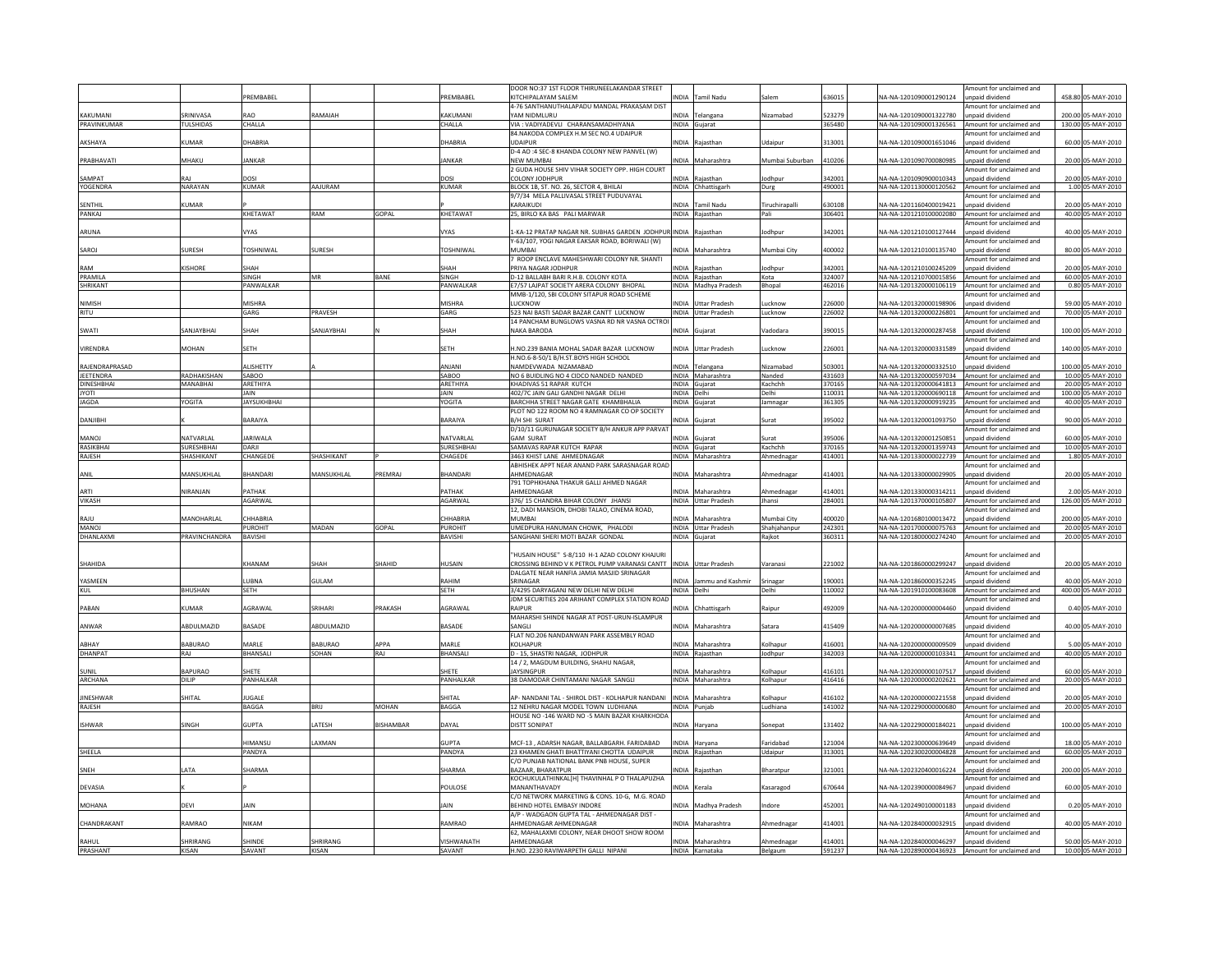|                        |                              | PREMBABEL            |                |                 | PREMBABEL            | DOOR NO:37 1ST FLOOR THIRUNEELAKANDAR STREET<br>KITCHIPALAYAM SALEM                                                 | NDIA                       | <b>Tamil Nadu</b>    | Salem             | 63601            | VA-NA-1201090001290124                                                    | Amount for unclaimed and<br>unpaid dividend                            | 458.80 05-MAY-2010                      |
|------------------------|------------------------------|----------------------|----------------|-----------------|----------------------|---------------------------------------------------------------------------------------------------------------------|----------------------------|----------------------|-------------------|------------------|---------------------------------------------------------------------------|------------------------------------------------------------------------|-----------------------------------------|
|                        |                              |                      |                |                 |                      | 4-76 SANTHANUTHALAPADU MANDAL PRAKASAM DIST                                                                         |                            |                      |                   |                  |                                                                           | Amount for unclaimed and                                               |                                         |
| KAKUMAN<br>PRAVINKUMAR | RINIVASA<br><b>TULSHIDAS</b> | <b>RAO</b>           | RAMAIAH        |                 | <b>KAKUMANI</b>      | YAM NIDMLURU<br>VIA : VADIYADEVLI CHARANSAMADHIYANA                                                                 |                            | NDIA Telangana       | Nizamabad         | 523279<br>365480 | A-NA-1201090001322780                                                     | unpaid dividend                                                        | 200.00 05-MAY-2010                      |
|                        |                              | CHALLA               |                |                 | CHALLA               | 84.NAKODA COMPLEX H.M SEC NO.4 UDAIPUR                                                                              |                            | INDIA Gujarat        |                   |                  | NA-NA-1201090001326561                                                    | Amount for unclaimed and<br>mount for unclaimed and                    | 130.00 05-MAY-2010                      |
| AKSHAYA                | KUMAR                        | DHABRIA              |                |                 | DHABRIA              | <b>UDAIPUR</b><br>D-4 AO :4 SEC-8 KHANDA COLONY NEW PANVEL (W)                                                      |                            | INDIA Rajasthar      | Jdaipur           | 313001           | NA-NA-1201090001651046                                                    | unpaid dividend<br>mount for unclaimed and                             | 60.00 05-MAY-2010                       |
| PRABHAVATI             | MHAKU                        | <b>JANKAR</b>        |                |                 | <b>JANKAR</b>        | <b>NEW MUMBAI</b>                                                                                                   |                            | NDIA Maharashtra     | Mumbai Suburban   | 410206           | NA-NA-1201090700080985                                                    | unpaid dividend                                                        | 20.00 05-MAY-2010                       |
| SAMPAT                 |                              | DOSI                 |                |                 | DOSI                 | 2 GUDA HOUSE SHIV VIHAR SOCIETY OPP. HIGH COURT<br>COLONY JODHPUR                                                   |                            | NDIA Raiasthar       | lodhoui           | 342001           | VA-NA-1201090900010343                                                    | Amount for unclaimed and<br>inpaid dividend                            | 20.00 05-MAY-2010                       |
| YOGENDRA               | NARAYAN                      | KUMAR                | AAJURAM        |                 | <b>KUMAR</b>         | BLOCK 1B, ST. NO. 26, SECTOR 4, BHILAI                                                                              |                            | INDIA Chhattisgarh   | Durg              | 490001           | NA-NA-1201130000120562 Amount for unclaimed and                           |                                                                        | 1.00 05-MAY-2010                        |
|                        |                              |                      |                |                 |                      | 9/7/34 MELA PALLIVASAL STREET PUDUVAYAL                                                                             |                            |                      |                   |                  |                                                                           | mount for unclaimed and                                                |                                         |
| SENTHIL                | <b>UMAR</b>                  |                      |                |                 |                      | KARAIKUDI                                                                                                           | <b>NDIA</b>                | <b>Tamil Nadu</b>    | Tiruchirapalli    | 30108            | VA-NA-1201160400019421                                                    | inpaid dividend                                                        | 20.00 05-MAY-2010                       |
| PANKAJ                 |                              | KHETAWAT             | RAM            | GOPAL           | KHETAWAT             | 25, BIRLO KA BAS PALI MARWAR                                                                                        |                            | INDIA Rajasthan      | Pali              | 306401           | NA-NA-1201210100002080 Amount for unclaimed and                           |                                                                        | 40.00 05-MAY-2010                       |
| ARUNA                  |                              | VYAS                 |                |                 | VYAS                 | -KA-12 PRATAP NAGAR NR. SUBHAS GARDEN JODHPUR INDIA Rajasthan<br>Y-63/107, YOGI NAGAR EAKSAR ROAD, BORIWALI (W)     |                            |                      | lodhpur           | 342001           | NA-NA-1201210100127444                                                    | mount for unclaimed and<br>unpaid dividend<br>Amount for unclaimed and | 40.00 05-MAY-2010                       |
| SAROJ                  | SURESH                       | TOSHNIWAL            | SURESH         |                 | <b>TOSHNIWAL</b>     | MUMBAL<br>7 ROOP ENCLAVE MAHESHWARI COLONY NR. SHANTI                                                               |                            | NDIA Maharashtra     | Mumbai City       | 400002           | NA-NA-1201210100135740                                                    | inpaid dividend<br>Amount for unclaimed and                            | 80.00 05-MAY-2010                       |
| RAM                    | <b>ISHORE</b>                | SHAH                 |                |                 | SHAH                 | <b>RIYA NAGAR JODHPUR</b>                                                                                           |                            | NDIA Raiasthan       | lodhpu            | 342001           | VA-NA-1201210100245209                                                    | inpaid dividend                                                        | 20.00 05-MAY-2010                       |
| PRAMII A               |                              | SINGH                | MR             | <b>BANE</b>     | <b>SINGH</b>         | D-12 BALLABH BARI R.H.B. COLONY KOTA                                                                                |                            | INDIA Rajasthan      | Kota              | 324007           | NA-NA-1201210700015856 Amount for unclaimed and                           |                                                                        | 60.00 05-MAY-2010                       |
| <b>SHRIKANT</b>        |                              | PANWALKAR            |                |                 | PANWALKAR            | E7/57 LAJPAT SOCIETY ARERA COLONY BHOPAL                                                                            |                            | INDIA Madhya Pradesh | Bhopal            | 462016           | NA-NA-1201320000106119 Amount for unclaimed and                           |                                                                        | 0.80 05-MAY-2010                        |
|                        |                              |                      |                |                 |                      | MMB-1/120, SBI COLONY SITAPUR ROAD SCHEME                                                                           |                            |                      |                   |                  |                                                                           | mount for unclaimed and                                                |                                         |
| NIMISH                 |                              | MISHRA               |                |                 | MISHRA               | LUCKNOW                                                                                                             |                            | NDIA Uttar Pradesh   | Lucknow           | 226000           | VA-NA-1201320000198906                                                    | inpaid dividend                                                        | 59.00 05-MAY-2010                       |
| <b>RITU</b>            |                              | GARG                 | PRAVESH        |                 | GARG                 | 523 NAI BASTI SADAR BAZAR CANTT LUCKNOW                                                                             |                            | INDIA Uttar Pradesh  | Lucknow           | 226002           | NA-NA-1201320000226801 Amount for unclaimed and                           | mount for unclaimed and                                                | 70.00 05-MAY-2010                       |
| SWATI                  | SANJAYBHAI                   | SHAH                 | SANJAYBHAI     |                 | SHAH                 | 14 PANCHAM BUNGLOWS VASNA RD NR VASNA OCTROI<br><b>NAKA BARODA</b>                                                  |                            | INDIA Gujarat        | Vadodara          | 390015           | NA-NA-1201320000287458                                                    | unpaid dividend                                                        | 100.00 05-MAY-2010                      |
|                        |                              |                      |                |                 |                      |                                                                                                                     |                            |                      |                   |                  |                                                                           | mount for unclaimed and                                                |                                         |
| VIRENDRA               | <b>MOHAN</b>                 | <b>SETH</b>          |                |                 | <b>SETH</b>          | H.NO.239 BANIA MOHAL SADAR BAZAR LUCKNOW<br>H.NO.6-8-50/1 B/H.ST.BOYS HIGH SCHOOL                                   |                            | INDIA Uttar Pradesh  | ucknow            | 226001           | NA-NA-1201320000331589                                                    | inpaid dividend<br>Amount for unclaimed and                            | 140.00 05-MAY-2010                      |
| RAJENDRAPRASAD         |                              | ALISHETTY            |                |                 | ANIANI               | NAMDEVWADA NIZAMABAD                                                                                                |                            | NDIA Telangana       | Nizamabad         | 503001           | VA-NA-1201320000332510                                                    | unpaid dividend                                                        | 100.00 05-MAY-2010                      |
| JEETENDRA              | RADHAKISHAN                  | SABOO                |                |                 | SABOO                | NO 6 BUIDLING NO 4 CIDCO NANDED NANDED                                                                              |                            | INDIA Maharashtra    | Nanded            | 431603           | NA-NA-1201320000597034 Amount for unclaimed and                           |                                                                        | 10.00 05-MAY-2010                       |
| <b>DINESHBHAI</b>      | MANABHAI                     | ARETHIYA             |                |                 | ARETHIYA             | KHADIVAS 51 RAPAR KUTCH                                                                                             |                            | INDIA Gujarat        | Kachchh           | 370165           | NA-NA-1201320000641813 Amount for unclaimed and                           |                                                                        | 20.00 05-MAY-2010                       |
| <b>ITOYL</b>           |                              | <b>JAIN</b>          |                |                 | <b>JAIN</b>          | 402/7C JAIN GALI GANDHI NAGAR DELHI                                                                                 | INDIA Delhi                |                      | Delhi             | 110031           | NA-NA-1201320000690118 Amount for unclaimed and                           |                                                                        | 100.00 05-MAY-2010                      |
| <b>JAGDA</b>           | YOGITA                       | <b>JAYSUKHBHAI</b>   |                |                 | <b>YOGITA</b>        | BARCHHA STREET NAGAR GATE KHAMBHALIA<br>PLOT NO 122 ROOM NO 4 RAMNAGAR CO OP SOCIETY                                |                            | INDIA Gujarat        | Jamnagar          | 361305           | NA-NA-1201320000919235 Amount for unclaimed and                           | Amount for unclaimed and                                               | 40.00 05-MAY-2010                       |
| <b>DANJIBH</b>         |                              | BARAIYA              |                |                 | BARAIYA              | <b>B/H SHI SURAT</b><br>D/10/11 GURUNAGAR SOCIETY B/H ANKUR APP PARVAT                                              |                            | INDIA Guiarat        | Surat             | 395002           | VA-NA-1201320001093750                                                    | unpaid dividend<br>Amount for unclaimed and                            | 90.00 05-MAY-2010                       |
| LONAM                  | NATVARLAL                    | <b>JARIWALA</b>      |                |                 | NATVARLAL            | <b>GAM SURAT</b>                                                                                                    |                            | NDIA Guiarat         | Surat             | 395006           | A-NA-1201320001250851                                                     | inpaid dividend                                                        | 60.00 05-MAY-2010                       |
| <b>RASIKRHAI</b>       | <b>SURFSHRHAI</b>            | DARIL                |                |                 | <b>SURESHBHA</b>     | SAMAVAS RAPAR KUTCH RAPAR                                                                                           |                            | INDIA Gujarat        | Kachchh           | 370165           | NA-NA-1201320001359743 Amount for unclaimed and                           |                                                                        | 10.00 05-MAY-2010                       |
| RAJESH                 | SHASHIKANT                   | CHANGEDE             | SHASHIKANT     |                 | CHAGEDE              | 3463 KHIST LANE AHMEDNAGAR                                                                                          |                            | INDIA Maharashtra    | Ahmednagar        | 414001           | NA-NA-1201330000022739 Amount for unclaimed and                           |                                                                        | 1.80 05-MAY-2010                        |
|                        |                              |                      |                |                 |                      | ABHISHEK APPT NEAR ANAND PARK SARASNAGAR ROAD                                                                       |                            |                      |                   |                  |                                                                           | Amount for unclaimed and                                               |                                         |
| ANIL                   | MANSUKHLA                    | BHANDARI             | MANSUKHLAL     | <b>REMRAJ</b>   | <b>BHANDARI</b>      | AHMEDNAGAR                                                                                                          |                            | INDIA Maharashtra    | Ahmednagar        | 414001           | NA-NA-1201330000029905                                                    | unpaid dividend                                                        | 20.00 05-MAY-2010                       |
| <b>ARTI</b>            | NIRANJAN                     | PATHAK               |                |                 | PATHAK               | 791 TOPHKHANA THAKUR GALLI AHMED NAGAR<br>AHMEDNAGAR                                                                |                            | INDIA Maharashtra    | Ahmednagar        | 114001           | NA-NA-1201330000314211                                                    | Amount for unclaimed and<br>inpaid dividend                            | 2.00 05-MAY-2010                        |
| VIKASH                 |                              | AGARWAL              |                |                 | AGARWAL              | 376/15 CHANDRA BIHAR COLONY JHANSI                                                                                  |                            | INDIA Uttar Pradesh  | Jhansi            | 284001           | NA-NA-1201370000105807 Amount for unclaimed and                           |                                                                        | 126.00 05-MAY-2010                      |
|                        |                              |                      |                |                 |                      | 12, DADI MANSION, DHOBI TALAO, CINEMA ROAD,                                                                         |                            |                      |                   |                  |                                                                           | mount for unclaimed and                                                |                                         |
| RAILI                  | MANOHARLAL                   | CHHABRIA             |                |                 | CHHABRIA             | MUMBAL                                                                                                              |                            | NDIA Maharashtra     | Mumbai City       | 100020           | VA-NA-1201680100013472                                                    | unpaid dividend                                                        | 200.00 05-MAY-2010                      |
| <b>MANOJ</b>           |                              | <b>PUROHIT</b>       | MADAN          | GOPAL           | PUROHIT              | UMEDPURA HANUMAN CHOWK, PHALODI                                                                                     |                            | INDIA Uttar Pradesh  | Shahjahanpur      | 242301           | NA-NA-1201700000075763 Amount for unclaimed and                           |                                                                        | 20.00 05-MAY-2010                       |
| DHANLAXM               | PRAVINCHANDRA                | <b>BAVISHI</b>       |                |                 | <b>BAVISHI</b>       | SANGHANI SHERI MOTI BAZAR GONDAL                                                                                    |                            | INDIA Gujarat        | Rajkot            | 360311           | NA-NA-1201800000274240 Amount for unclaimed and                           |                                                                        | 20.00 05-MAY-2010                       |
| SHAHIDA                |                              | KHANAM               | SHAH           | SHAHID          | <b>HUSAIN</b>        | HUSAIN HOUSE" S-8/110 H-1 AZAD COLONY KHAJURI<br>CROSSING BEHIND V K PETROL PUMP VARANASI CANTT INDIA Uttar Pradesh |                            |                      | Varanasi          | 221002           | NA-NA-1201860000299247                                                    | Amount for unclaimed and<br>unpaid dividend                            | 20.00 05-MAY-2010                       |
|                        |                              |                      |                |                 |                      | DALGATE NEAR HANFIA JAMIA MASJID SRINAGAR                                                                           |                            |                      |                   |                  |                                                                           | mount for unclaimed and                                                |                                         |
| YASMEEN<br><b>KUL</b>  | <b>BHUSHAN</b>               | LUBNA<br><b>SETH</b> | <b>GULAM</b>   |                 | RAHIM<br><b>SETH</b> | SRINAGAR<br>3/4295 DARYAGANJ NEW DELHI NEW DELHI                                                                    | <b>NDIA</b><br>INDIA Delhi | Jammu and Kashmir    | Srinagar<br>Delhi | 190001<br>110002 | NA-NA-1201860000352245<br>NA-NA-1201910100083608 Amount for unclaimed and | inpaid dividend                                                        | 40.00 05-MAY-2010<br>400.00 05-MAY-2010 |
|                        |                              |                      |                |                 |                      | JDM SECURITIES 204 ARIHANT COMPLEX STATION ROAD                                                                     |                            |                      |                   |                  |                                                                           | Amount for unclaimed and                                               |                                         |
| PABAN                  | <b>KUMAR</b>                 | AGRAWAL              | SRIHARI        | PRAKASH         | AGRAWAL              | RAIPUR                                                                                                              |                            | INDIA Chhattisgarh   | Raipur            | 492009           | VA-NA-1202000000004460                                                    | unpaid dividend                                                        | 0.40 05-MAY-2010                        |
|                        |                              |                      |                |                 |                      | MAHARSHI SHINDE NAGAR AT POST-URUN-ISLAMPUR                                                                         |                            |                      |                   |                  |                                                                           | Amount for unclaimed and                                               |                                         |
| ANWAR                  | ABDULMAZID                   | <b>BASADE</b>        | ABDULMAZID     |                 | <b>BASADE</b>        | SANGLI<br>FLAT NO.206 NANDANWAN PARK ASSEMBLY ROAD                                                                  |                            | INDIA Maharashtra    | Satara            | 415409           | NA-NA-1202000000007685                                                    | unpaid dividend<br>Amount for unclaimed and                            | 40.00 05-MAY-2010                       |
| ABHAY                  | BABURAO                      | <b>MARIF</b>         | <b>BABURAO</b> | APPA            | <b>MARIF</b>         | <b>KOLHAPUR</b>                                                                                                     | NDIA                       | Maharashtra          | Kolhapur          | 116001           | VA-NA-120200000009509                                                     | npaid dividend                                                         | 5.00 05-MAY-2010                        |
| <b>DHANPAT</b>         | RAJ                          | <b>BHANSALI</b>      | SOHAN          | RAJ             | BHANSALI             | D - 15. SHASTRI NAGAR, JODHPUR                                                                                      |                            | INDIA Raiasthan      | Jodhour           | 342003           | NA-NA-1202000000103341 Amount for unclaimed and                           |                                                                        | 40.00 05-MAY-2010                       |
| SUNIL                  | BAPURAO                      | SHETE                |                |                 | SHETE                | 14 / 2, MAGDUM BUILDING, SHAHU NAGAR,<br><b>JAYSINGPUR</b>                                                          |                            | NDIA Maharashtra     | Kolhapur          | 116101           | VA-NA-1202000000107517                                                    | mount for unclaimed and<br>unpaid dividend                             | 60.00 05-MAY-2010                       |
| ARCHANA                | DILIP                        | PANHALKAR            |                |                 | PANHALKAR            | 38 DAMODAR CHINTAMANI NAGAR SANGLI                                                                                  |                            | INDIA Maharashtra    | Kolhapur          | 416416           | NA-NA-1202000000202621                                                    | Amount for unclaimed and                                               | 20.00 05-MAY-2010                       |
|                        |                              |                      |                |                 |                      |                                                                                                                     |                            |                      |                   |                  |                                                                           | mount for unclaimed and                                                |                                         |
| INESHWAR               | SHITAL                       | JUGALE               |                |                 | SHITAL               | AP- NANDANI TAL - SHIROL DIST - KOLHAPUR NANDANI                                                                    |                            | INDIA Maharashtra    | <b>Colhapur</b>   | 116102           | VA-NA-1202000000221558                                                    | inpaid dividend                                                        | 20.00 05-MAY-2010                       |
| RAJESH                 |                              | BAGGA                | <b>BRIJ</b>    | MOHAN           | <b>BAGGA</b>         | 12 NEHRU NAGAR MODEL TOWN LUDHIANA                                                                                  |                            | INDIA Puniab         | Ludhiana          | 141002           | NA-NA-1202290000000680 Amount for unclaimed and                           |                                                                        | 20.00 05-MAY-2010                       |
| <b>ISHWAR</b>          | SINGH                        | <b>GUPTA</b>         | LATESH         | <b>ISHAMBAR</b> | DAYAL                | HOUSE NO -146 WARD NO -5 MAIN BAZAR KHARKHODA<br><b>DISTT SONIPAT</b>                                               |                            | INDIA Harvana        | sonepat           | 131402           | NA-NA-1202290000184021                                                    | Amount for unclaimed and<br>unpaid dividend                            | 100.00 05-MAY-2010                      |
|                        |                              | IIMANSU              | AXMAN          |                 | GUPTA                | MCF-13, ADARSH NAGAR, BALLABGARH. FARIDABAD                                                                         |                            | INDIA Haryana        | aridabad          | 121004           | VA-NA-1202300000639649                                                    | Amount for unclaimed and<br>npaid dividend                             | 18.00 05-MAY-2010                       |
| SHEELA                 |                              | PANDYA               |                |                 | PANDYA               | 23 KHAMEN GHATI BHATTIYANI CHOTTA UDAIPUR                                                                           |                            | INDIA Raiasthan      | Udaipur           | 313001           | NA-NA-1202300200004828 Amount for unclaimed and                           |                                                                        | 60.00 05-MAY-2010                       |
|                        |                              |                      |                |                 |                      | C/O PUNJAB NATIONAL BANK PNB HOUSE, SUPER                                                                           |                            |                      |                   |                  |                                                                           | mount for unclaimed and                                                |                                         |
| SNEH                   | <b>ATA</b>                   | SHARMA               |                |                 | SHARMA               | BAZAAR, BHARATPUR                                                                                                   |                            | NDIA Raiasthan       | Bharatpur         | 321001           | NA-NA-1202320400016224                                                    | unpaid dividend                                                        | 200.00 05-MAY-2010                      |
|                        |                              |                      |                |                 |                      | KOCHUKULATHINKAL[H] THAVINHAL P O THALAPUZHA                                                                        |                            |                      |                   |                  |                                                                           | mount for unclaimed and                                                |                                         |
| DEVASIA                |                              |                      |                |                 | POULOSE              | MANANTHAVADY                                                                                                        |                            | NDIA Kerala          | <b>Kasaragod</b>  | 570644           | VA-NA-1202390000084967                                                    | inpaid dividend                                                        | 60.00 05-MAY-2010                       |
| MOHANA                 | <b>DEVI</b>                  | <b>JAIN</b>          |                |                 | <b>JAIN</b>          | C/O NETWORK MARKETING & CONS. 10-G, M.G. ROAD<br>BEHIND HOTEL EMBASY INDORE                                         |                            | INDIA Madhya Pradesh | ndore             | 452001           | NA-NA-1202490100001183                                                    | mount for unclaimed and<br>unpaid dividend                             | 0.20 05-MAY-2010                        |
|                        |                              |                      |                |                 |                      | A/P - WADGAON GUPTA TAL - AHMEDNAGAR DIST -                                                                         |                            |                      |                   |                  |                                                                           | mount for unclaimed and                                                |                                         |
| CHANDRAKANT            | RAMRAO                       | <b>NIKAM</b>         |                |                 | RAMRAO               | AHMEDNAGAR AHMEDNAGAR<br>62, MAHALAXMI COLONY, NEAR DHOOT SHOW ROOM                                                 |                            | NDIA Maharashtra     | <b>Ihmednagar</b> | 114001           | VA-NA-1202840000032915                                                    | inpaid dividend<br>Amount for unclaimed and                            | 40.00 05-MAY-2010                       |
| RAHUL                  | HRIRANG                      | <b>HINDE</b>         | <b>HRIRANG</b> |                 | <b>ISHWANATH</b>     | AHMEDNAGAR                                                                                                          |                            | NDIA Maharashtra     | Ahmednagar        | 114001           | VA-NA-1202840000046297                                                    | unpaid dividend                                                        | 50.00 05-MAY-2010                       |
| PRASHANT               | <b>KISAN</b>                 | SAVANT               | KISAN          |                 | SAVANT               | H.NO. 2230 RAVIWARPETH GALLI NIPANI                                                                                 |                            | INDIA Karnataka      | Belgaum           | 591237           | NA-NA-1202890000436923 Amount for unclaimed and                           |                                                                        | 10.00 05-MAY-2010                       |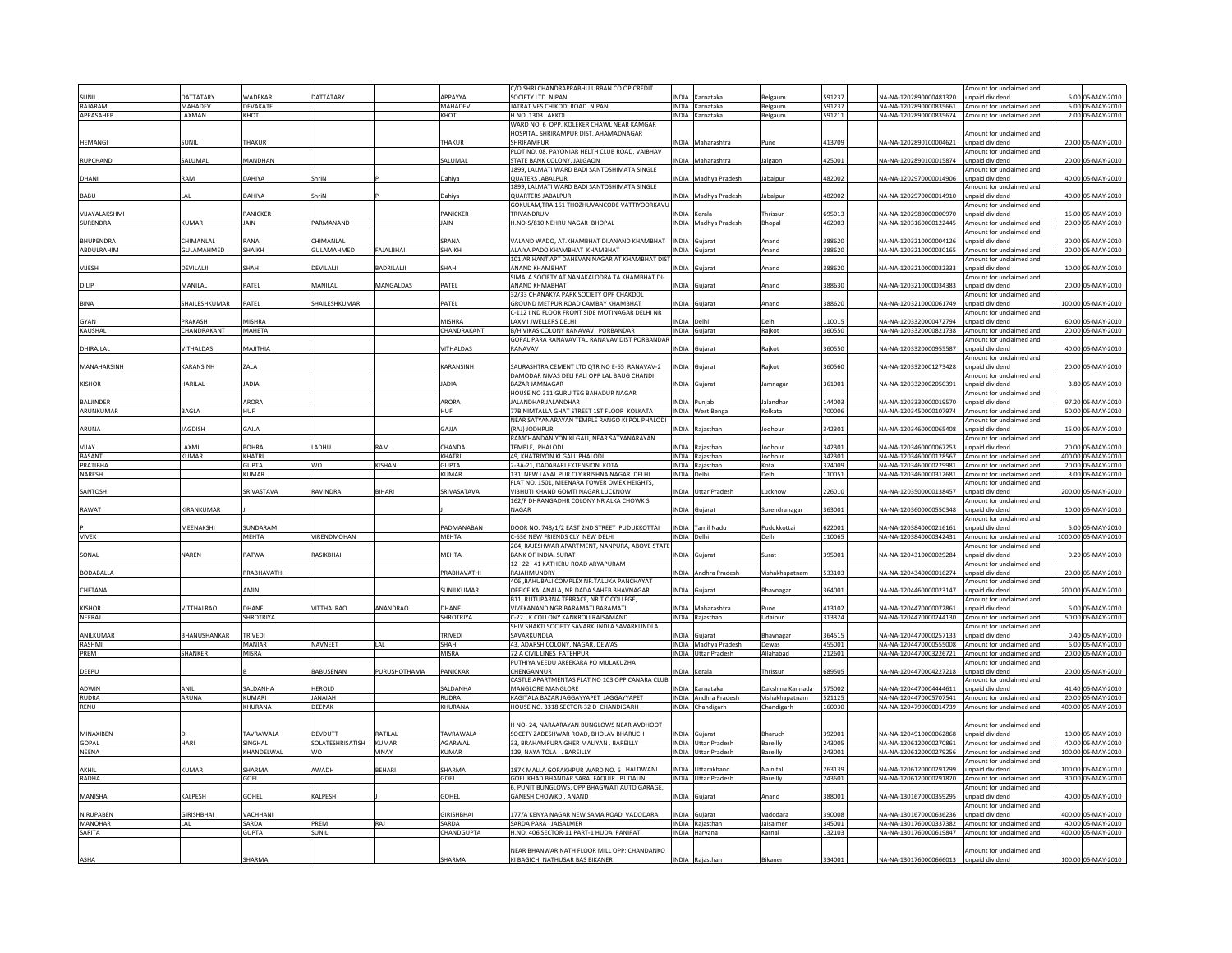|                             |                   |                  |                  |                  |                        | C/O.SHRI CHANDRAPRABHU URBAN CO OP CREDIT                               |              |                                             |                    |                  |                                                                                                    | Amount for unclaimed and                            |       |                                         |
|-----------------------------|-------------------|------------------|------------------|------------------|------------------------|-------------------------------------------------------------------------|--------------|---------------------------------------------|--------------------|------------------|----------------------------------------------------------------------------------------------------|-----------------------------------------------------|-------|-----------------------------------------|
| UNIL                        | <b>ATTATARY</b>   | WADEKAR          | <b>DATTATARY</b> |                  | APPAYYA                | SOCIETY LTD NIPANI<br><b>IATRAT VES CHIKODI ROAD NIPANI</b>             | <b>INDIA</b> | Karnataka<br>INDIA Karnataka                | Belgaum            | 591237<br>591237 | A-NA-1202890000481320                                                                              | inpaid dividend                                     |       | 5.00 05-MAY-2010<br>5.00 05-MAY-2010    |
| RAIARAM<br>APPASAHEB        | MAHADEV<br>LAXMAN | DEVAKATE<br>KHOT |                  |                  | <b>MAHADEV</b><br>KHOT | H.NO. 1303 AKKOL                                                        |              | INDIA Karnataka                             | Belgaum<br>Belgaum | 591211           | NA-NA-1202890000835661 Amount for unclaimed and<br>NA-NA-1202890000835674 Amount for unclaimed and |                                                     |       | 2.00 05-MAY-2010                        |
|                             |                   |                  |                  |                  |                        | WARD NO. 6 OPP. KOLEKER CHAWL NEAR KAMGAR                               |              |                                             |                    |                  |                                                                                                    |                                                     |       |                                         |
|                             |                   |                  |                  |                  |                        | HOSPITAL SHRIRAMPUR DIST. AHAMADNAGAR                                   |              |                                             |                    |                  |                                                                                                    | mount for unclaimed and                             |       |                                         |
| <b>HEMANGI</b>              | SUNIL             | <b>THAKUR</b>    |                  |                  | <b>THAKUR</b>          | SHRIRAMPUR                                                              | <b>INDIA</b> | Maharashtra                                 | Pune               | 413709           | VA-NA-1202890100004621                                                                             | unpaid dividend                                     |       | 20.00 05-MAY-2010                       |
|                             |                   |                  |                  |                  |                        | PLOT NO. 08, PAYONIAR HELTH CLUB ROAD, VAIBHAV                          |              |                                             |                    |                  |                                                                                                    | mount for unclaimed and                             |       |                                         |
| RUPCHAND                    | SALUMAL           | MANDHAN          |                  |                  | SALUMAI                | STATE BANK COLONY, JALGAON                                              | <b>INDIA</b> | Maharashtra                                 | Jalgaor            | 425001           | VA-NA-1202890100015874                                                                             | inpaid dividend                                     |       | 20.00 05-MAY-2010                       |
|                             |                   |                  |                  |                  |                        | 1899, LALMATI WARD BADI SANTOSHIMATA SINGLE                             |              |                                             |                    |                  |                                                                                                    | mount for unclaimed and                             |       |                                         |
| DHANI                       | RAM               | DAHIYA           | ShriN            |                  | Dahiya                 | <b>QUATERS JABALPUR</b>                                                 |              | INDIA Madhya Pradesh                        | Jabalpur           | 482002           | NA-NA-1202970000014906                                                                             | inpaid dividend                                     |       | 40.00 05-MAY-2010                       |
| <b>BABU</b>                 | I AI              | DAHIYA           | ShriN            |                  | Dahiva                 | 1899, LALMATI WARD BADI SANTOSHIMATA SINGLE<br><b>OUARTERS JABALPUR</b> | <b>INDIA</b> | Madhya Pradesh                              | lahalnur           | 482002           | NA-NA-1202970000014910                                                                             | mount for unclaimed and<br>inpaid dividend          |       | 40.00 05-MAY-2010                       |
|                             |                   |                  |                  |                  |                        | GOKULAM, TRA 161 THOZHUVANCODE VATTIYOORKAVU                            |              |                                             |                    |                  |                                                                                                    | mount for unclaimed and                             |       |                                         |
| <b>VIIAYAI AKSHMI</b>       |                   | <b>ANICKER</b>   |                  |                  | PANICKER               | TRIVANDRUM                                                              | <b>NDIA</b>  | Kerala                                      | Thrissur           | 95013            | VA-NA-1202980000000970                                                                             | nnaid dividend                                      |       | 15.00 05-MAY-2010                       |
| SURENDRA                    | <b>KUMAR</b>      | <b>JAIN</b>      | PARMANAND        |                  | JAIN                   | H.NO-S/810 NEHRU NAGAR BHOPAL                                           |              | INDIA Madhya Pradesh                        | Bhopal             | 462003           | NA-NA-1203160000122445 Amount for unclaimed and                                                    |                                                     |       | 20.00 05-MAY-2010                       |
|                             |                   |                  |                  |                  |                        |                                                                         |              |                                             |                    |                  |                                                                                                    | Amount for unclaimed and                            |       |                                         |
| HUPENDRA                    | <b>HIMANLAL</b>   | RANA             | <b>HIMANLAL</b>  |                  | <b>RANA</b>            | VALAND WADO, AT.KHAMBHAT DI.ANAND KHAMBHAT                              | <b>INDIA</b> | Gujara                                      | Anand              | 88620            | VA-NA-1203210000004126                                                                             | npaid dividend                                      |       | 30.00 05-MAY-2010                       |
| ABDULRAHIM                  | GULAMAHMED        | SHAIKH           | GULAMAHMED       | FAJALBHAI        | SHAIKH                 | ALAIYA PADO KHAMBHAT KHAMBHAT                                           |              | INDIA Guiarat                               | Anand              | 88620            | NA-NA-1203210000030165                                                                             | Amount for unclaimed and                            |       | 20.00 05-MAY-2010                       |
|                             |                   |                  |                  |                  |                        | 101 ARIHANT APT DAHEVAN NAGAR AT KHAMBHAT DIS'                          |              |                                             |                    |                  |                                                                                                    | mount for unclaimed and                             |       |                                         |
| VUESH                       | DEVILALI          | SHAH             | DEVILALI         | ADRILALI         | SHAH                   | ANAND KHAMBHAT<br>SIMALA SOCIETY AT NANAKALODRA TA KHAMBHAT DI-         | <b>INDIA</b> | Guiarat                                     | Anand              | 388620           | VA-NA-1203210000032333                                                                             | inpaid dividend<br>mount for unclaimed and          |       | 10.00 05-MAY-2010                       |
| DILIP                       | MANILAL           | PATEL            | MANILA           | MANGALDAS        | PATEL                  | ANAND KHMABHAT                                                          | NDI/         |                                             | Anano              | 8863             | VA-NA-1203210000034383                                                                             | npaid dividend                                      |       | 20.00 05-MAY-2010                       |
|                             |                   |                  |                  |                  |                        | 32/33 CHANAKYA PARK SOCIETY OPP CHAKDOL                                 |              |                                             |                    |                  |                                                                                                    | mount for unclaimed and                             |       |                                         |
| <b>BINA</b>                 | SHAILESHKUMAR     | PATEL            | SHAILESHKUMAR    |                  | PATEL                  | GROUND METPUR ROAD CAMBAY KHAMBHAT                                      | <b>INDIA</b> | Gujarat                                     | Anand              | 388620           | NA-NA-1203210000061749                                                                             | unpaid dividend                                     |       | 100.00 05-MAY-2010                      |
|                             |                   |                  |                  |                  |                        | C-112 IIND FLOOR FRONT SIDE MOTINAGAR DELHI NR                          |              |                                             |                    |                  |                                                                                                    | mount for unclaimed and                             |       |                                         |
| GYAN                        | <b>RAKASH</b>     | <b>MISHRA</b>    |                  |                  | <b>MISHRA</b>          | AXMI JWELLERS DELHI                                                     | <b>INDIA</b> | elh                                         | <b>Jelhi</b>       | 10015            | VA-NA-1203320000472794                                                                             | npaid dividend                                      | 60.00 | 5-MAY-2010                              |
| KAUSHAL                     | CHANDRAKANT       | MAHETA           |                  |                  | CHANDRAKANT            | B/H VIKAS COLONY RANAVAV PORBANDAR                                      |              | INDIA Gujarat                               | Rajkot             | 360550           | NA-NA-1203320000821738 Amount for unclaimed and                                                    |                                                     |       | 20.00 05-MAY-2010                       |
|                             |                   |                  |                  |                  |                        | GOPAL PARA RANAVAV TAL RANAVAV DIST PORBANDAF                           |              |                                             |                    |                  |                                                                                                    | mount for unclaimed and                             |       |                                         |
| DHIRAJLAL                   | VITHALDAS         | MAJITHIA         |                  |                  | VITHALDAS              | RANAVAV                                                                 | <b>INDIA</b> | Guiarat                                     | Raikot             | 360550           | NA-NA-1203320000955587                                                                             | inpaid dividend                                     |       | 40.00 05-MAY-2010                       |
| MANAHARSINH                 | KARANSINH         | ZALA             |                  |                  | KARANSINH              | SAURASHTRA CEMENT LTD QTR NO E-65 RANAVAV-2                             | <b>INDIA</b> |                                             | Rajkot             | 360560           | NA-NA-1203320001273428                                                                             | mount for unclaimed and<br>inpaid dividend          |       | 20.00 05-MAY-2010                       |
|                             |                   |                  |                  |                  |                        | DAMODAR NIVAS DELI FALI OPP LAL BAUG CHANDI                             |              | Gujarat                                     |                    |                  |                                                                                                    | mount for unclaimed and                             |       |                                         |
| <b>KISHOR</b>               | HARILAL           | <b>ADIA</b>      |                  |                  | <b>IADIA</b>           | <b>BAZAR JAMNAGAR</b>                                                   | <b>INDIA</b> | Gujarat                                     | Jamnaga            | 361001           | NA-NA-1203320002050391                                                                             | inpaid dividend                                     |       | 3.80 05-MAY-2010                        |
|                             |                   |                  |                  |                  |                        | HOUSE NO 311 GURU TEG BAHADUR NAGAR                                     |              |                                             |                    |                  |                                                                                                    | mount for unclaimed and                             |       |                                         |
| <b>BALIINDER</b>            |                   | ARORA            |                  |                  | ARORA                  | IAI ANDHAR IAI ANDHAR                                                   | <b>NDIA</b>  | Puniah                                      | lalandhar          | 144003           | NA-NA-1203330000019570                                                                             | Innaid dividend                                     |       | 97.20 05-MAY-2010                       |
| ARUNKUMAR                   | <b>BAGLA</b>      | <b>HUF</b>       |                  |                  | <b>HUF</b>             | 77B NIMTALLA GHAT STREET 1ST FLOOR KOLKATA                              |              | INDIA West Bengal                           | Kolkata            | 700006           | NA-NA-1203450000107974 Amount for unclaimed and                                                    |                                                     |       | 50.00 05-MAY-2010                       |
|                             |                   |                  |                  |                  |                        | NEAR SATYANARAYAN TEMPLE RANGO KI POL PHALODI                           |              |                                             |                    |                  |                                                                                                    | mount for unclaimed and                             |       |                                         |
| ARUNA                       | <b>IAGDISH</b>    | ALLA             |                  |                  | GAJJA                  | (RAJ) JODHPUR                                                           | <b>INDIA</b> | Rajasthan                                   | odhpu              | 342301           | NA-NA-1203460000065408                                                                             | unpaid dividend                                     |       | 15.00 05-MAY-2010                       |
| VIIAV                       | <b>AXMI</b>       | ROHRA            |                  | <b>BAM</b>       | CHANDA                 | RAMCHANDANIYON KI GALI, NEAR SATYANARAYAN                               | <b>INDIA</b> |                                             |                    |                  |                                                                                                    | mount for unclaimed and                             |       |                                         |
| <b>BASANT</b>               | <b>KUMAR</b>      | KHATRI           | ADHU             |                  | KHATRI                 | TEMPLE, PHALODI<br>49. KHATRIYON KI GALI PHALODI                        |              | ajasthar<br>INDIA Rajasthan                 | odhpu<br>Jodhpur   | 34230<br>342301  | NA-NA-1203460000067253<br>NA-NA-1203460000128567                                                   | npaid dividend<br>Amount for unclaimed and          |       | 20.00 05-MAY-2010<br>400.00 05-MAY-2010 |
| PRATIBHA                    |                   | <b>GUPTA</b>     | wo               | <b>KISHAN</b>    | <b>GUPTA</b>           | 2-BA-21, DADABARI EXTENSION KOTA                                        |              | INDIA Rajasthan                             | Kota               | 324009           | NA-NA-1203460000229981                                                                             | Amount for unclaimed and                            |       | 20.00 05-MAY-2010                       |
| NARESH                      |                   | <b>CUMAR</b>     |                  |                  | <b>KUMAR</b>           | 131 NEW LAYAL PUR CLY KRISHNA NAGAR DELHI                               | <b>INDIA</b> | Delhi                                       | Delhi              | 110051           | NA-NA-1203460000312681                                                                             | Amount for unclaimed and                            |       | 3.00 05-MAY-2010                        |
|                             |                   |                  |                  |                  |                        | FLAT NO. 1501. MEENARA TOWER OMEX HEIGHTS                               |              |                                             |                    |                  |                                                                                                    | mount for unclaimed and                             |       |                                         |
| SANTOSH                     |                   | SRIVASTAVA       | RAVINDRA         | <b>BIHARI</b>    | SRIVASATAVA            | VIBHUTI KHAND GOMTI NAGAR LUCKNOW                                       | <b>INDIA</b> | <b>Uttar Pradesh</b>                        | ucknow             | 226010           | NA-NA-1203500000138457                                                                             | inpaid dividend                                     |       | 200.00 05-MAY-2010                      |
|                             |                   |                  |                  |                  |                        | 162/F DHRANGADHR COLONY NR ALKA CHOWK S                                 |              |                                             |                    |                  |                                                                                                    | mount for unclaimed and                             |       |                                         |
| RAWAT                       | KIRANKUMAR        |                  |                  |                  |                        | <b>NAGAR</b>                                                            | <b>INDIA</b> | Guiarat                                     | Surendranagar      | 363001           | NA-NA-1203600000550348                                                                             | npaid dividend                                      |       | 10.00 05-MAY-2010                       |
|                             |                   |                  |                  |                  |                        |                                                                         |              |                                             |                    |                  |                                                                                                    | mount for unclaimed and                             |       |                                         |
|                             | MEENAKSHI         | <b>IUNDARAM</b>  |                  |                  | PADMANARAN             | DOOR NO. 748/1/2 EAST 2ND STREET PUDUKKOTTAI                            | <b>INDIA</b> | Tamil Nadu                                  | Pudukkottai        | 622001           | VA-NA-1203840000216161                                                                             | nnaid dividend                                      |       | 5.00 05-MAY-2010                        |
| VIVEK                       |                   | MEHTA            | VIRENDMOHAN      |                  | <b>MEHTA</b>           | C-636 NEW FRIENDS CLY NEW DELHI                                         | <b>INDIA</b> | Delhi                                       | Delhi              | 110065           | NA-NA-1203840000342431                                                                             | Amount for unclaimed and                            |       | 1000.00 05-MAY-2010                     |
|                             |                   |                  | RASIKBHAI        |                  | MEHTA                  | 204, RAJESHWAR APARTMENT, NANPURA, ABOVE STATE                          | <b>INDIA</b> |                                             |                    |                  |                                                                                                    | mount for unclaimed and                             |       |                                         |
| SONAL                       | NAREN             | PATWA            |                  |                  |                        | BANK OF INDIA, SURAT<br>12 22 41 KATHERU ROAD ARYAPURAM                 |              | Gujarat                                     | surat              | 395001           | NA-NA-1204310000029284                                                                             | inpaid dividend<br>mount for unclaimed and          |       | 0.20 05-MAY-2010                        |
| <b>BODABALLA</b>            |                   | PRABHAVATH       |                  |                  | PRABHAVATHI            | RAJAHMUNDRY                                                             | <b>INDIA</b> | Andhra Pradesh                              | Vishakhapatnan     | 533103           | NA-NA-1204340000016274                                                                             | inpaid dividend                                     |       | 20.00 05-MAY-2010                       |
|                             |                   |                  |                  |                  |                        | 406 BAHUBALI COMPLEX NR.TALUKA PANCHAYAT                                |              |                                             |                    |                  |                                                                                                    | mount for unclaimed and                             |       |                                         |
| CHETANA                     |                   | AMIN             |                  |                  | SUNILKUMAR             | OFFICE KALANALA, NR.DADA SAHEB BHAVNAGAR                                | <b>INDIA</b> | Guiarat                                     | Bhavnagai          | 364001           | NA-NA-1204460000023147                                                                             | inpaid dividend                                     |       | 200.00 05-MAY-2010                      |
|                             |                   |                  |                  |                  |                        | B11, RUTUPARNA TERRACE, NR T C COLLEGE,                                 |              |                                             |                    |                  |                                                                                                    | mount for unclaimed and                             |       |                                         |
| <b>KISHOR</b>               | VITTHALRAO        | <b>HANE</b>      | <b>ITTHALRAO</b> | <b>NANDRAO</b>   | DHANF                  | VIVEKANAND NGR BARAMATI BARAMATI                                        | <b>INDIA</b> | Maharashtra                                 | une                | 113102           | NA-NA-1204470000072861                                                                             | inpaid dividend                                     |       | 6.00 05-MAY-2010                        |
| NEERAJ                      |                   | <b>SHROTRIYA</b> |                  |                  | SHROTRIYA              | C-22 J.K COLLONY KANKROLI RAJSAMAND                                     |              | INDIA Rajasthan                             | Udaipur            | 313324           | NA-NA-1204470000244130 Amount for unclaimed and                                                    |                                                     |       | 50.00 05-MAY-2010                       |
|                             | RHANUSHANKAR      | TRIVEDI          |                  |                  | <b>TRIVEDI</b>         | SHIV SHAKTI SOCIETY SAVARKUNDLA SAVARKUNDLA                             |              |                                             |                    | 364515           | NA-NA-1204470000257133                                                                             | mount for unclaimed and                             |       | 0.40 05-MAY-2010                        |
| <b>ANII KUMAF</b><br>RASHMI |                   | MANIAR           |                  | LAL              | SHAH                   | <b>SAVARKUNDI A</b>                                                     | <b>INDIA</b> | Guiarat                                     | Bhavnaga           |                  |                                                                                                    | Innaid dividend                                     |       |                                         |
|                             |                   | <b>MISRA</b>     | NAVNEET          |                  | <b>MISRA</b>           | 43, ADARSH COLONY, NAGAR, DEWAS                                         |              | INDIA Madhya Pradesh<br>INDIA Uttar Pradesh | Dewas<br>Allahabad | 455001<br>212601 | NA-NA-1204470000555008 Amount for unclaimed and<br>NA-NA-1204470003226721 Amount for unclaimed and |                                                     |       | 6.00 05-MAY-2010                        |
| PRFM                        | <b>SHANKER</b>    |                  |                  |                  |                        | 72 A CIVIL LINES FATEHPUR<br>PUTHIYA VEEDU AREEKARA PO MULAKUZHA        |              |                                             |                    |                  |                                                                                                    | mount for unclaimed and                             |       | 20.00 05-MAY-2010                       |
| DEEPU                       |                   |                  | BABUSENAN        | PURUSHOTHAMA     | PANICKAR               | CHENGANNUR                                                              | <b>INDIA</b> | Kerala                                      | Thrissur           | 89505            | NA-NA-1204470004227218                                                                             | npaid dividend                                      |       | 20.00 05-MAY-2010                       |
|                             |                   |                  |                  |                  |                        | CASTLE APARTMENTAS FLAT NO 103 OPP CANARA CLUB                          |              |                                             |                    |                  |                                                                                                    | Amount for unclaimed and                            |       |                                         |
| ADWIN                       | ANIL              | ALDANHA          | HEROLD           |                  | SALDANHA               | MANGLORE MANGLORE                                                       |              | NDIA Karnataka                              | Dakshina Kannada   | 575002           | VA-NA-1204470004444611                                                                             | inpaid dividend                                     |       | 41.40 05-MAY-2010                       |
| <b>RUDRA</b>                | ARUNA             | KUMARI           | <b>IANAIAH</b>   |                  | RUDRA                  | KAGITALA BAZAR JAGGAYYAPET JAGGAYYAPET                                  |              | INDIA Andhra Pradesh                        | Vishakhapatnam     | 521125           | NA-NA-1204470005707541                                                                             | Amount for unclaimed and                            |       | 20.00 05-MAY-2010                       |
| RENU                        |                   | KHURANA          | DEEPAK           |                  | KHURANA                | HOUSE NO. 3318 SECTOR-32 D CHANDIGARH                                   |              | INDIA Chandigarh                            | Chandigarh         | 160030           | NA-NA-1204790000014739 Amount for unclaimed and                                                    |                                                     |       | 400.00 05-MAY-2010                      |
|                             |                   |                  |                  |                  |                        |                                                                         |              |                                             |                    |                  |                                                                                                    |                                                     |       |                                         |
|                             |                   |                  |                  |                  |                        | H NO-24, NARAARAYAN BUNGLOWS NEAR AVDHOOT                               |              |                                             |                    |                  |                                                                                                    | nount for unclaimed and                             |       |                                         |
| MINAXIBEN<br>GOPAL          | <b>HARI</b>       | TAVRAWALA        | DEVDUTT          | RATILAL<br>KUMAR | TAVRAWALA              | SOCETY ZADESHWAR ROAD, BHOLAV BHARUCH                                   | <b>INDIA</b> | Guiarat                                     | Bharuch            | 392001           | NA-NA-1204910000062868                                                                             | inpaid dividend                                     |       | 10.00 05-MAY-2010                       |
|                             |                   | SINGHAL          | SOLATESHRISATISH |                  | AGARWAL                | 33. BRAHAMPURA GHER MALIYAN, BAREILLY                                   |              | INDIA Uttar Pradesh                         | Bareilly           | 243005           | NA-NA-1206120000270861                                                                             | Amount for unclaimed and                            |       | 40.00 05-MAY-2010                       |
| NEENA                       |                   | KHANDELWAL       | WO               | <b>VINAY</b>     | KUMAR                  | 129, NAYA TOLA BAREILLY                                                 |              | INDIA Uttar Pradesh                         | <b>Bareilly</b>    | 243001           | NA-NA-1206120000279256                                                                             | Amount for unclaimed and<br>mount for unclaimed and |       | 100.00 05-MAY-2010                      |
| AKHIL                       | KUMAR             | SHARMA           | AWADH            | <b>BEHARI</b>    | SHARMA                 | 187K MALLA GORAKHPUR WARD NO. 6 . HALDWANI                              |              | INDIA Uttarakhand                           | Nainital           | 263139           | VA-NA-1206120000291299                                                                             | unpaid dividend                                     |       | 100.00 05-MAY-2010                      |
| <b>RADHA</b>                |                   | GOEL             |                  |                  | GOEL                   | GOEL KHAD BHANDAR SARAI FAQUIR, BUDAUN                                  |              | INDIA Uttar Pradesh                         | Bareilly           | 243601           | NA-NA-1206120000291820 Amount for unclaimed and                                                    |                                                     |       | 30.00 05-MAY-2010                       |
|                             |                   |                  |                  |                  |                        | 6, PUNIT BUNGLOWS, OPP.BHAGWATI AUTO GARAGE,                            |              |                                             |                    |                  |                                                                                                    | mount for unclaimed and                             |       |                                         |
| MANISHA                     | KALPESH           | GOHEL            | KALPESH          |                  | GOHEL                  | GANESH CHOWKDI, ANAND                                                   | <b>INDIA</b> | Guiarat                                     | Anand              | 388001           | NA-NA-1301670000359295                                                                             | npaid dividend                                      |       | 40.00 05-MAY-2010                       |
|                             |                   |                  |                  |                  |                        |                                                                         |              |                                             |                    |                  |                                                                                                    | mount for unclaimed and                             |       |                                         |
| NIRUPABEN                   | <b>GIRISHBHAI</b> | <b>ACHHAN</b>    |                  |                  | <b>GIRISHBHA</b>       | 177/A KENYA NAGAR NEW SAMA ROAD VADODARA                                |              | INDIA Guiarat                               | Vadodara           | 390008           | VA-NA-1301670000636236                                                                             | npaid dividend                                      |       | 400.00 05-MAY-2010                      |
| MANOHAR                     | I AI              | SARDA            | PRFM             | RAI              | SARDA                  | SARDA PARA JAISALMER                                                    |              | INDIA Rajasthan                             | laisalmer          | 345001           | NA-NA-1301760000337382                                                                             | Amount for unclaimed and                            |       | 40.00 05-MAY-2010                       |
| SARITA                      |                   | <b>GUPTA</b>     | SUNIL            |                  | CHANDGUPTA             | H.NO. 406 SECTOR-11 PART-1 HUDA PANIPAT.                                |              | INDIA Haryana                               | Karnal             | 132103           | NA-NA-1301760000619847 Amount for unclaimed and                                                    |                                                     |       | 400.00 05-MAY-2010                      |
|                             |                   |                  |                  |                  |                        | NEAR BHANWAR NATH FLOOR MILL OPP: CHANDANKO                             |              |                                             |                    |                  |                                                                                                    | mount for unclaimed and                             |       |                                         |
| ASHA                        |                   | <b>HARMA</b>     |                  |                  | SHARMA                 | KI BAGICHI NATHUSAR BAS BIKANER                                         |              | INDIA Rajasthan                             | Bikaner            | 334001           | NA-NA-1301760000666013                                                                             | unpaid dividend                                     |       | 100.00 05-MAY-2010                      |
|                             |                   |                  |                  |                  |                        |                                                                         |              |                                             |                    |                  |                                                                                                    |                                                     |       |                                         |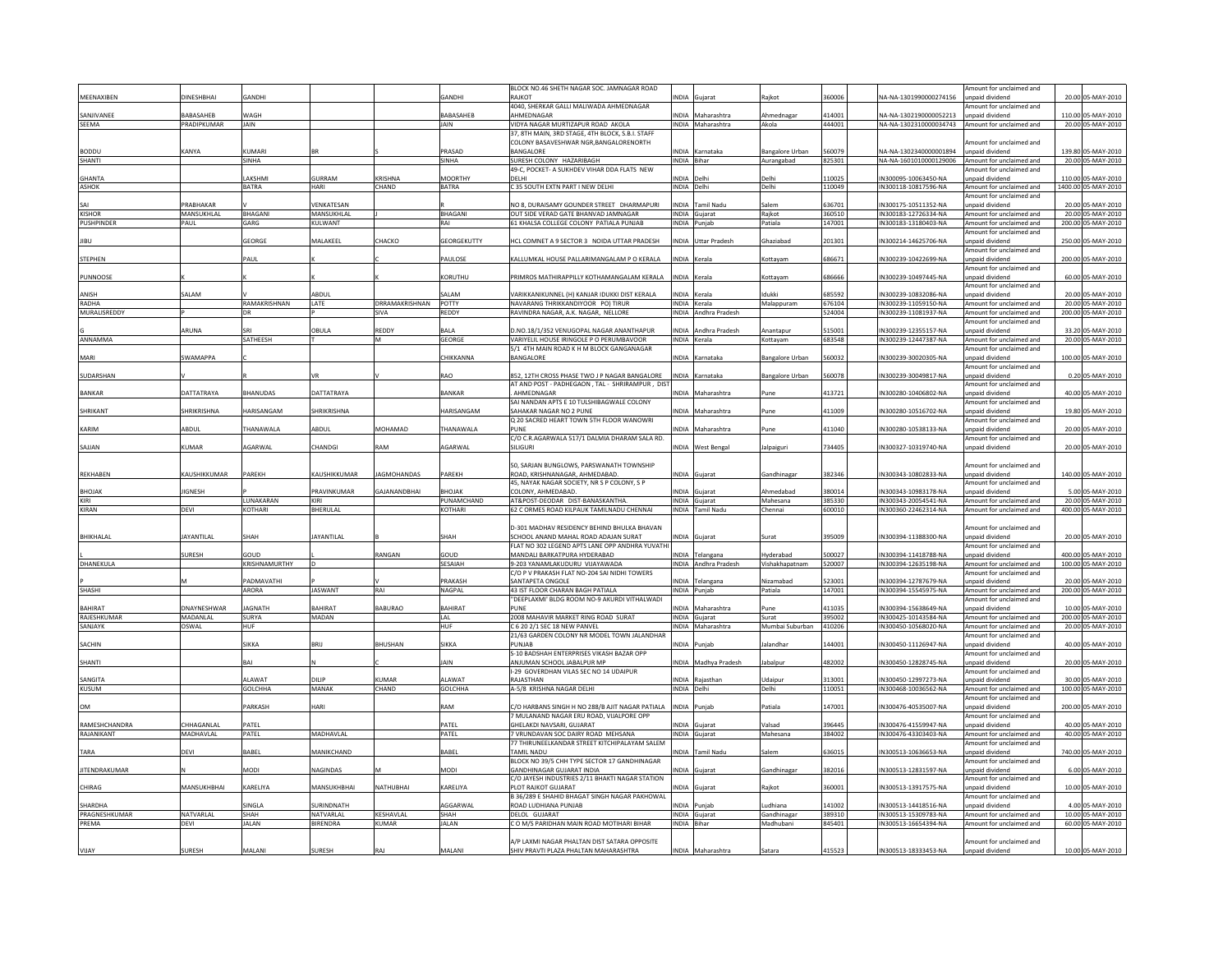|                       |                    |                 |                     |                               |                       | BLOCK NO.46 SHETH NAGAR SOC. JAMNAGAR ROAD                                            |              |                                      |                        |                  |                                                 | Amount for unclaimed and                             |       |                                         |
|-----------------------|--------------------|-----------------|---------------------|-------------------------------|-----------------------|---------------------------------------------------------------------------------------|--------------|--------------------------------------|------------------------|------------------|-------------------------------------------------|------------------------------------------------------|-------|-----------------------------------------|
| MEENAXIBEN            | DINESHBHAI         | GANDH           |                     |                               | <b>GANDHI</b>         | RAIKOT                                                                                |              | INDIA Gujarat                        | ajkot                  | 360006           | NA-NA-1301990000274156                          | unpaid dividend                                      |       | 20.00 05-MAY-2010                       |
|                       |                    |                 |                     |                               |                       | 4040. SHERKAR GALLI MALIWADA AHMEDNAGAR                                               |              |                                      |                        |                  |                                                 | Amount for unclaimed and                             |       |                                         |
| SANJIVANEE            | <b>ABASAHEB</b>    | WAGH            |                     |                               | BABASAHEB             | AHMEDNAGAR                                                                            |              | INDIA Maharashtra                    | Ahmednagar             | 114001           | NA-NA-1302190000052213                          | unpaid dividend                                      |       | 110.00 05-MAY-2010                      |
| <b>SFFMA</b>          | PRADIPKUMAR        | <b>JAIN</b>     |                     |                               | <b>JAIN</b>           | VIDYA NAGAR MURTIZAPUR ROAD AKOLA                                                     |              | INDIA Maharashtra                    | Akola                  | 444001           | NA-NA-1302310000034743 Amount for unclaimed and |                                                      |       | 20.00 05-MAY-2010                       |
|                       |                    |                 |                     |                               |                       | 37. 8TH MAIN, 3RD STAGE, 4TH BLOCK, S.B.I. STAFI                                      |              |                                      |                        |                  |                                                 |                                                      |       |                                         |
|                       |                    |                 |                     |                               |                       | COLONY BASAVESHWAR NGR.BANGALORENORTH                                                 |              |                                      |                        |                  |                                                 | mount for unclaimed and                              |       |                                         |
| <b>BODDU</b>          | KANYA              | KUMARI          |                     |                               | PRASAD                | <b>BANGALORE</b>                                                                      |              | INDIA Karnataka                      | Bangalore Urban        | 560079           | NA-NA-1302340000001894                          | unpaid dividend                                      |       | 139.80 05-MAY-2010                      |
| <b>SHANTI</b>         |                    | SINHA           |                     |                               | SINHA                 | SURESH COLONY HAZARIBAGH                                                              | INDIA Bihar  |                                      | Aurangabad             | 825301           | NA-NA-1601010000129006 Amount for unclaimed and |                                                      |       | 20.00 05-MAY-2010                       |
|                       |                    |                 |                     |                               |                       | 49-C. POCKET- A SUKHDEV VIHAR DDA FLATS NEW                                           |              |                                      |                        |                  |                                                 | mount for unclaimed and                              |       |                                         |
| <b>GHANTA</b>         |                    | LAKSHMI         | GURRAM              | <b>CRISHNA</b>                | <b>MOORTHY</b>        | DELHI                                                                                 | INDIA Delh   |                                      | Delhi                  | 110025           | IN300095-10063450-NA                            | npaid dividend                                       |       | 110.00 05-MAY-2010                      |
| ASHOK                 |                    | <b>BATRA</b>    | HARI                | CHAND                         | <b>BATRA</b>          | C 35 SOUTH EXTN PART I NEW DELHI                                                      | INDIA Delhi  |                                      | Delhi                  | 110049           | IN300118-10817596-NA                            | Amount for unclaimed and                             |       | 1400.00 05-MAY-2010                     |
|                       |                    |                 |                     |                               |                       |                                                                                       |              |                                      |                        |                  |                                                 | mount for unclaimed and                              |       |                                         |
|                       | PRABHAKAF          |                 | VENKATESAN          |                               |                       | NO 8, DURAISAMY GOUNDER STREET DHARMAPURI                                             | <b>INDIA</b> | Tamil Nad                            |                        | 636701           | IN300175-10511352-NA                            | npaid dividend                                       | 20.00 | 05-MAY-2010                             |
| KISHOR                | MANSUKHLAL         | BHAGANI         | MANSUKHLAL          |                               | <b>BHAGANI</b>        | OUT SIDE VERAD GATE BHANVAD JAMNAGAR                                                  |              | INDIA Gujarat                        | Rajkot                 | 360510           | IN300183-12726334-NA                            | Amount for unclaimed and                             |       | 20.00 05-MAY-2010                       |
| <b>PUSHPINDER</b>     | PAUL               | GARG            | KULWANT             |                               | RAI                   | 61 KHALSA COLLEGE COLONY PATIALA PUNJAB                                               |              | INDIA Punjab                         | Patiala                | 147001           | IN300183-13180403-NA                            | Amount for unclaimed and                             |       | 200.00 05-MAY-2010                      |
|                       |                    |                 |                     |                               |                       |                                                                                       |              |                                      |                        |                  |                                                 | mount for unclaimed and                              |       |                                         |
| <b>HBU</b>            |                    | GEORGE          | MAI AKFFI           | CHACKO                        | GEORGEKUTTY           | HCL COMNET A 9 SECTOR 3 NOIDA UTTAR PRADESH                                           |              | INDIA Uttar Pradesh                  | Ghaziahad              | 201301           | IN300214-14625706-NA                            | inpaid dividend                                      |       | 250.00 05-MAY-2010                      |
|                       |                    |                 |                     |                               |                       |                                                                                       |              |                                      |                        |                  |                                                 | Amount for unclaimed and                             |       |                                         |
| <b>STEPHEN</b>        |                    | PAUL            |                     |                               | PAULOSE               | KALLUMKAL HOUSE PALLARIMANGALAM P O KERALA                                            | INDIA Kerala |                                      | Kottayam               | 686671           | IN300239-10422699-NA                            | Innaid dividend                                      |       | 200.00 05-MAY-2010                      |
|                       |                    |                 |                     |                               |                       |                                                                                       |              |                                      |                        |                  |                                                 | Amount for unclaimed and                             |       |                                         |
| PUNNOOSE              |                    |                 |                     |                               | KORUTHU               | PRIMROS MATHIRAPPILLY KOTHAMANGALAM KERALA                                            |              | INDIA Kerala                         | Kottavam               | 686666           | IN300239-10497445-NA                            | Innaid dividend                                      |       | 60.00 05-MAY-2010                       |
|                       |                    |                 |                     |                               |                       |                                                                                       |              |                                      |                        |                  |                                                 | Amount for unclaimed and                             |       |                                         |
| ANISH                 | SALAM              |                 | ABDUL               |                               | SALAM                 | VARIKKANIKUNNEL (H) KANJAR IDUKKI DIST KERALA                                         |              | INDIA Kerala                         | dukki                  | 685592           | IN300239-10832086-NA                            | npaid dividend                                       |       | 20.00 05-MAY-2010                       |
|                       |                    | RAMAKRISHNAN    |                     |                               |                       |                                                                                       |              |                                      |                        |                  |                                                 |                                                      |       |                                         |
| RADHA<br>MURALISREDDY |                    | DR              | LATE                | DRRAMAKRISHNAN<br><b>SIVA</b> | POTTY<br><b>REDDY</b> | NAVARANG THRIKKANDIYOOR PO) TIRUR<br>RAVINDRA NAGAR, A.K. NAGAR, NELLORE              |              | INDIA Kerala<br>INDIA Andhra Pradesh | Malappuram             | 676104<br>524004 | IN300239-11059150-NA<br>IN300239-11081937-NA    | Amount for unclaimed and<br>Amount for unclaimed and |       | 20.00 05-MAY-2010<br>200.00 05-MAY-2010 |
|                       |                    |                 |                     |                               |                       |                                                                                       |              |                                      |                        |                  |                                                 |                                                      |       |                                         |
|                       | ARUNA              |                 | OBULA               | REDDY                         | <b>BALA</b>           | D.NO.18/1/352 VENUGOPAL NAGAR ANANTHAPUR                                              |              | INDIA Andhra Pradesh                 | Anantapur              | 515001           | IN300239-12355157-NA                            | Amount for unclaimed and<br>inpaid dividend          |       | 33.20 05-MAY-2010                       |
| ANNAMMA               |                    |                 |                     | M                             |                       |                                                                                       |              |                                      |                        |                  |                                                 |                                                      |       |                                         |
|                       |                    | SATHEESH        |                     |                               | <b>GEORGE</b>         | VARIYELIL HOUSE IRINGOLE P O PERUMBAVOOR                                              |              | INDIA Kerala                         | Kottayam               | 683548           | IN300239-12447387-NA                            | Amount for unclaimed and                             |       | 20.00 05-MAY-2010                       |
|                       |                    |                 |                     |                               |                       | 5/1 4TH MAIN ROAD K H M BLOCK GANGANAGAR                                              |              |                                      |                        |                  |                                                 | Amount for unclaimed and                             |       |                                         |
| MARI                  | <b>SWAMAPPA</b>    |                 |                     |                               | CHIKKANNA             | BANGALORE                                                                             |              | INDIA Karnataka                      | <b>Bangalore Urban</b> | 560032           | IN300239-30020305-NA                            | npaid dividend                                       |       | 100.00 05-MAY-2010                      |
|                       |                    |                 |                     |                               |                       |                                                                                       |              |                                      |                        |                  |                                                 | mount for unclaimed and                              |       |                                         |
| SUDARSHAN             |                    |                 |                     |                               | <b>RAO</b>            | 852, 12TH CROSS PHASE TWO J P NAGAR BANGALORE                                         | <b>INDIA</b> | Karnataka                            | angalore Urban         | 6007             | IN300239-30049817-NA                            | npaid dividend                                       |       | 0.20 05-MAY-2010                        |
|                       |                    |                 |                     |                               |                       | AT AND POST - PADHEGAON, TAL - SHRIRAMPUR, DIST                                       |              |                                      |                        |                  |                                                 | mount for unclaimed and                              |       |                                         |
| <b>BANKAR</b>         | DATTATRAYA         | <b>BHANUDAS</b> | DATTATRAYA          |                               | <b>BANKAR</b>         | AHMEDNAGAR                                                                            |              | INDIA Maharashtra                    | une                    | 413721           | IN300280-10406802-NA                            | Innaid dividend                                      |       | 40.00 05-MAY-2010                       |
|                       |                    |                 |                     |                               |                       | SAI NANDAN APTS E 10 TULSHIBAGWALE COLONY                                             |              |                                      |                        |                  |                                                 | mount for unclaimed and                              |       |                                         |
| SHRIKANT              | <b>SHRIKRISHNA</b> | HARISANGAM      | <b>SHRIKRISHNA</b>  |                               | HARISANGAM            | SAHAKAR NAGAR NO 2 PUNE                                                               |              | INDIA Maharashtra                    | une                    | 411009           | IN300280-10516702-NA                            | Innabivib bisonu                                     |       | 19.80 05-MAY-2010                       |
|                       |                    |                 |                     |                               |                       | Q 20 SACRED HEART TOWN 5TH FLOOR WANOWRI                                              |              |                                      |                        |                  |                                                 | Amount for unclaimed and                             |       |                                         |
| KARIM                 | <b>ARDUI</b>       | THANAWALA       | <b>ARDUI</b>        | MOHAMAD                       | THANAWAI A            | PUNE                                                                                  |              | INDIA Maharashtra                    | Pune                   | 111040           | IN300280-10538133-NA                            | Innaid dividend                                      |       | 20.00 05-MAY-2010                       |
|                       |                    |                 |                     |                               |                       | C/O C.R.AGARWALA 517/1 DALMIA DHARAM SALA RD.                                         |              |                                      |                        |                  |                                                 | Amount for unclaimed and                             |       |                                         |
| SAJJAN                | KUMAR              | AGARWAI         | CHANDGI             | MA <sub>5</sub>               | AGARWAI               | <b>SILIGURI</b>                                                                       |              | INDIA West Benga                     | alpaiguri              | 734405           | IN300327-10319740-NA                            | inpaid dividend                                      |       | 20.00 05-MAY-2010                       |
|                       |                    |                 |                     |                               |                       |                                                                                       |              |                                      |                        |                  |                                                 |                                                      |       |                                         |
|                       |                    |                 |                     |                               |                       | 50, SARJAN BUNGLOWS, PARSWANATH TOWNSHIP                                              |              |                                      |                        |                  |                                                 | mount for unclaimed and                              |       |                                         |
| REKHABEN              | KAUSHIKKUMAR       | PAREKH          | KAUSHIKKUMAR        | AGMOHANDAS                    | PAREKH                | ROAD, KRISHNANAGAR, AHMEDABAD.                                                        |              | INDIA Gujarat                        | <b>Gandhinaga</b>      | 382346           | IN300343-10802833-NA                            | inpaid dividend                                      |       | 140.00 05-MAY-2010                      |
|                       |                    |                 |                     |                               |                       | 45, NAYAK NAGAR SOCIETY, NR S P COLONY, S P                                           |              |                                      |                        |                  |                                                 | Amount for unclaimed and                             |       |                                         |
| <b>BHOJAK</b>         | JIGNESH            |                 | PRAVINKUMAR         | <b>GAJANANDBHAI</b>           | <b>BHOJAK</b>         | COLONY, AHMEDABAD                                                                     |              | NDIA Gujarat                         | Ahmedabad              | 380014           | IN300343-10983178-NA                            | npaid dividend                                       |       | 5.00 05-MAY-2010                        |
| KIRI                  |                    | LUNAKARAN       | KIRI                |                               | UNAMCHAND             | AT&POST-DEODAR DIST-BANASKANTHA                                                       |              | <b>INDIA</b> Gujarat                 | Mahesana               | 385330           | IN300343-20054541-NA                            | Amount for unclaimed and                             |       | 20.00 05-MAY-2010                       |
| KIRAN                 | DEVI               | <b>KOTHARI</b>  | <b>BHERULAL</b>     |                               | KOTHARI               | 62 C ORMES ROAD KILPAUK TAMILNADU CHENNAI                                             |              | INDIA Tamil Nadu                     | Chennai                | 600010           | IN300360-22462314-NA                            | Amount for unclaimed and                             |       | 400.00 05-MAY-2010                      |
|                       |                    |                 |                     |                               |                       |                                                                                       |              |                                      |                        |                  |                                                 |                                                      |       |                                         |
|                       |                    |                 |                     |                               |                       | D-301 MADHAV RESIDENCY BEHIND BHULKA BHAVAN                                           |              |                                      |                        |                  |                                                 | mount for unclaimed and                              |       |                                         |
| BHIKHALAL             | <b>JAYANTILAL</b>  | SHAH            | <b>JAYANTILAL</b>   |                               | SHAH                  | SCHOOL ANAND MAHAL ROAD ADAJAN SURAT                                                  |              | INDIA Gujarat                        | Surat                  | 395009           | IN300394-11388300-NA                            | unpaid dividend                                      |       | 20.00 05-MAY-2010                       |
|                       |                    |                 |                     |                               |                       | FLAT NO 302 LEGEND APTS LANE OPP ANDHRA YUVATH                                        |              |                                      |                        |                  |                                                 | Amount for unclaimed and                             |       |                                         |
|                       | SURESH             | GOUD            |                     | <b>ANGAN</b>                  | GOUD                  | MANDALI BARKATPURA HYDERABAD                                                          |              | INDIA Telangana                      | Hyderabac              | 500027           | IN300394-11418788-NA                            | unpaid dividend                                      |       | 400.00 05-MAY-2010                      |
| <b>DHANFKULA</b>      |                    | KRISHNAMURTHY   |                     |                               | <b>SESAIAH</b>        | 9-203 YANAMI AKUDURU VIIAYAWADA                                                       |              | INDIA Andhra Pradesh                 | Vishakhapatnam         | 520007           | IN300394-12635198-NA                            | Amount for unclaimed and                             |       | 100.00 05-MAY-2010                      |
|                       |                    |                 |                     |                               |                       | C/O P V PRAKASH FLAT NO-204 SAI NIDHI TOWERS                                          |              |                                      |                        |                  |                                                 | mount for unclaimed and                              |       |                                         |
|                       |                    | PADMAVATH       |                     |                               | PRAKASH               | SANTAPETA ONGOLF                                                                      |              | INDIA Telangana                      | Nizamahad              | 523001           | IN300394-12787679-NA                            | Innaid dividend                                      |       | 20.00 05-MAY-2010                       |
| SHASHI                |                    | ARORA           | <b>JASWANT</b>      | RAI                           | NAGPAL                | 43 IST FLOOR CHARAN BAGH PATIALA                                                      |              | INDIA Punjab                         | Patiala                | 147001           | IN300394-15545975-NA                            | Amount for unclaimed and                             |       | 200.00 05-MAY-2010                      |
|                       |                    |                 |                     |                               |                       | "DEEPLAXMI" BLDG ROOM NO-9 AKURDI VITHALWADI                                          |              |                                      |                        |                  |                                                 | Amount for unclaimed and                             |       |                                         |
| <b>BAHIRAT</b>        | DNAYNESHWAR        | <b>AGNATH</b>   | BAHIRA <sup>-</sup> | BABURAO                       | <b>BAHIRAT</b>        | PUNE                                                                                  |              | NDIA Maharashtra                     |                        | 411035           | IN300394-15638649-NA                            | npaid dividend                                       |       | 10.00 05-MAY-2010                       |
| RAJESHKUMAR           | MADANLAL           | <b>SURYA</b>    | MADAN               |                               | LAL                   | 2008 MAHAVIR MARKET RING ROAD SURAT                                                   |              | INDIA Guiarat                        | Surat                  | 395002           | IN300425-10143584-NA                            | Amount for unclaimed and                             |       | 200.00 05-MAY-2010                      |
|                       |                    |                 |                     |                               |                       |                                                                                       |              |                                      |                        |                  |                                                 |                                                      |       |                                         |
| SANJAYK               | OSWAL              | HUF             |                     |                               | HUF                   | C 6 20 2/1 SEC 18 NEW PANVEL<br>21/63 GARDEN COLONY NR MODEL TOWN JALANDHAF           |              | INDIA Maharashtra                    | Mumbai Suburban        | 410206           | IN300450-10568020-NA                            | Amount for unclaimed and<br>Amount for unclaimed and |       | 20.00 05-MAY-2010                       |
| SACHIN                |                    | <b>SIKKA</b>    | <b>BRII</b>         | BHUSHAN                       | <b>SIKKA</b>          | PUNIAR                                                                                | <b>INDIA</b> | Punjab                               | lalandhai              | 144001           | IN300450-11126947-NA                            | npaid dividend                                       |       | 40.00 05-MAY-2010                       |
|                       |                    |                 |                     |                               |                       | S-10 BADSHAH ENTERPRISES VIKASH BAZAR OPP                                             |              |                                      |                        |                  |                                                 | Amount for unclaimed and                             |       |                                         |
|                       |                    |                 |                     |                               |                       |                                                                                       |              |                                      |                        |                  |                                                 |                                                      |       |                                         |
| SHANTI                |                    | BAI             |                     |                               | <b>JAIN</b>           | ANJUMAN SCHOOL JABALPUR MP                                                            |              | INDIA Madhya Pradesh                 | labalpur               | 482002           | IN300450-12828745-NA                            | inpaid dividend                                      |       | 20.00 05-MAY-2010                       |
| SANGITA               |                    |                 |                     |                               |                       |                                                                                       |              |                                      |                        |                  |                                                 |                                                      |       |                                         |
|                       |                    |                 |                     |                               |                       | -29 GOVERDHAN VILAS SEC NO 14 UDAIPUR                                                 |              |                                      |                        |                  |                                                 | mount for unclaimed and                              |       | 30.00 05-MAY-2010                       |
|                       |                    | AI AWAT         | DILIP               | KUMAR                         | AI AWAT               | RAJASTHAN                                                                             |              | INDIA Rajasthar                      | Jdaipur                | 313001           | IN300450-12997273-NA                            | npaid dividend                                       |       |                                         |
| KUSUM                 |                    | <b>GOLCHHA</b>  | MANAK               | CHAND                         | <b>GOLCHHA</b>        | A-5/8 KRISHNA NAGAR DELHI                                                             | INDIA Delhi  |                                      | Delhi                  | 110051           | IN300468-10036562-NA                            | Amount for unclaimed and                             |       | 100.00 05-MAY-2010                      |
|                       |                    |                 |                     |                               |                       |                                                                                       |              |                                      |                        |                  |                                                 | Amount for unclaimed and                             |       |                                         |
| OM                    |                    | PARKASH         | HARI                |                               | RAM                   | C/O HARBANS SINGH H NO 288/B AJIT NAGAR PATIALA                                       |              | INDIA Puniab                         | Patiala                | 147001           | IN300476-40535007-NA                            | unpaid dividend                                      |       | 200.00 05-MAY-2010                      |
|                       |                    |                 |                     |                               |                       | 7 MULANAND NAGAR ERU ROAD, VIJALPORE OPP                                              |              |                                      |                        |                  |                                                 | Amount for unclaimed and                             |       |                                         |
| RAMESHCHANDRA         | CHHAGANLAI         | PATEL           |                     |                               | PATEL                 | GHELAKDI NAVSARI, GUJARAT                                                             |              | INDIA Gujarat                        | Valsad                 | 96445            | IN300476-41559947-NA                            | unpaid dividend                                      |       | 40.00 05-MAY-2010                       |
| RAJANIKANT            | MADHAVLAL          | PATEL           | MADHAVLAL           |                               | PATEL                 | 7 VRUNDAVAN SOC DAIRY ROAD MEHSANA                                                    |              | INDIA Gujarat                        | Mahesana               | 384002           | IN300476-43303403-NA                            | Amount for unclaimed and                             |       | 40.00 05-MAY-2010                       |
|                       |                    |                 |                     |                               |                       | 77 THIRUNEELKANDAR STREET KITCHIPALAYAM SALEM                                         |              |                                      |                        |                  |                                                 | Amount for unclaimed and                             |       |                                         |
| TARA                  | DEVI               | BABEL           | MANIKCHAND          |                               | BABEL                 | <b>TAMIL NADU</b>                                                                     |              | NDIA Tamil Nadu                      | alem:                  | 636015           | IN300513-10636653-NA                            | unpaid dividend                                      |       | 740.00 05-MAY-2010                      |
|                       |                    |                 |                     |                               |                       | BLOCK NO 39/5 CHH TYPE SECTOR 17 GANDHINAGAR                                          |              |                                      |                        |                  |                                                 | Amount for unclaimed and                             |       |                                         |
| <b>JITENDRAKUMAR</b>  |                    | MODI            | NAGINDAS            |                               | MODI                  | <b>GANDHINAGAR GUJARAT INDIA</b>                                                      |              | NDIA Gujarat                         | Gandhinagar            | 382016           | IN300513-12831597-NA                            | inpaid dividend                                      |       | 6.00 05-MAY-2010                        |
|                       |                    |                 |                     |                               |                       | C/O JAYESH INDUSTRIES 2/11 BHAKTI NAGAR STATION                                       |              |                                      |                        |                  |                                                 | Amount for unclaimed and                             |       |                                         |
| CHIRAG                | MANSUKHBHAI        | KARELIYA        | MANSUKHBHAI         | NATHUBHAI                     | KARELIYA              | PLOT RAJKOT GUJARAT                                                                   |              | INDIA Gujarat                        | Rajkot                 | 360001           | IN300513-13917575-NA                            | unpaid dividend                                      |       | 10.00 05-MAY-2010                       |
|                       |                    |                 |                     |                               |                       | B 36/289 E SHAHID BHAGAT SINGH NAGAR PAKHOWAL                                         |              |                                      |                        |                  |                                                 | Amount for unclaimed and                             |       |                                         |
| SHARDHA               |                    | SINGLA          | SURINDNATH          |                               | AGGARWAI              | ROAD LUDHIANA PUNJAB                                                                  |              | INDIA Punjab                         | udhiana                | 141002           | IN300513-14418516-NA                            | inpaid dividend                                      |       | 4.00 05-MAY-2010                        |
| PRAGNESHKUMAR         | NATVARI AI         | SHAH            | NATVARLAL           | KESHAVLAL                     | SHAH                  | <b>DELOL GUJARAT</b>                                                                  |              | INDIA Gujarat                        | Gandhinagar            | 389310           | IN300513-15309783-NA                            | Amount for unclaimed and                             |       | 10.00 05-MAY-2010                       |
| PREMA                 | DEVI               | JALAN           | <b>BIRENDRA</b>     | KUMAR                         | <b>JALAN</b>          | C O M/S PARIDHAN MAIN ROAD MOTIHARI BIHAR                                             | INDIA Bihar  |                                      | Madhubani              | 845401           | IN300513-16654394-NA                            | Amount for unclaimed and                             |       | 60.00 05-MAY-2010                       |
|                       |                    |                 |                     |                               |                       |                                                                                       |              |                                      |                        |                  |                                                 |                                                      |       |                                         |
| VUAY                  | <b>SURFSH</b>      | MAI AN          | <b>SURESH</b>       |                               | MAI ANI               | A/P LAXMI NAGAR PHALTAN DIST SATARA OPPOSITE<br>SHIV PRAVTI PLAZA PHALTAN MAHARASHTRA |              | INDIA Maharashtra                    | Satara                 | 415523           | IN300513-18333453-NA                            | mount for unclaimed and<br>inpaid dividend           |       | 10.00 05-MAY-2010                       |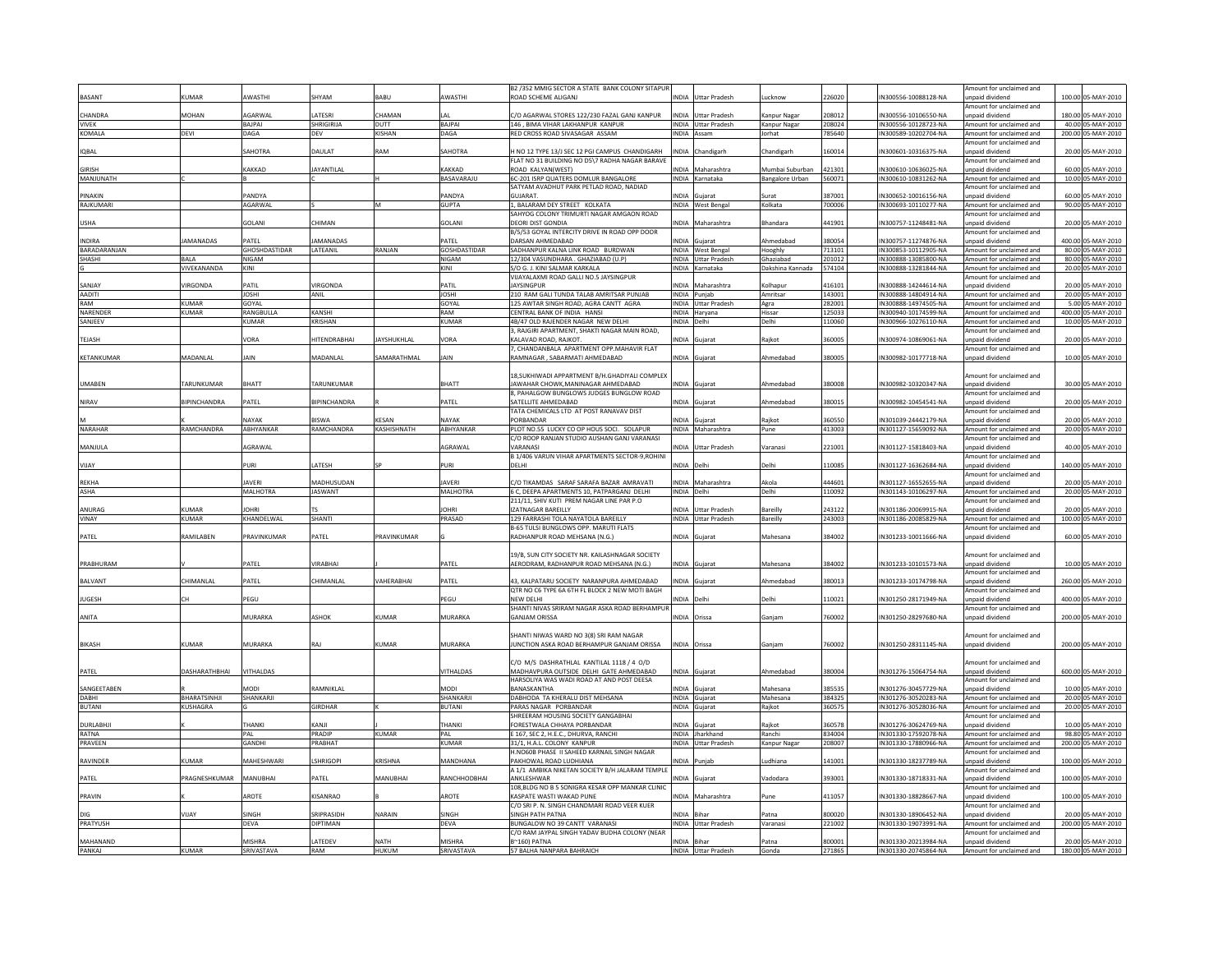|                 |                          |                    |                     |                   |                  | B2 /352 MMIG SECTOR A STATE BANK COLONY SITAPUR                                             |              |                            |                        |        |                      | mount for unclaimed and                     |                    |
|-----------------|--------------------------|--------------------|---------------------|-------------------|------------------|---------------------------------------------------------------------------------------------|--------------|----------------------------|------------------------|--------|----------------------|---------------------------------------------|--------------------|
| BASANT          | KUMAR                    | AWASTHI            | <b>HYAM</b>         | <b>BARU</b>       | AWASTHI          | ROAD SCHEME ALIGANI                                                                         |              | <b>INDIA</b> Uttar Pradesh | ucknow                 | 226020 | IN300556-10088128-NA | unpaid dividend                             | 100.00 05-MAY-2010 |
|                 |                          |                    |                     |                   |                  |                                                                                             |              |                            |                        |        |                      | mount for unclaimed and                     |                    |
| CHANDRA         | MOHAN                    | AGARWAL            | ATESRI              | <b>HAMAN</b>      | ا ۱۵             | C/O AGARWAL STORES 122/230 FAZAL GANJ KANPUR                                                |              | NDIA Uttar Pradesh         | Kanpur Nagar           | 208012 | IN300556-10106550-NA | inpaid dividend                             | 180.00 05-MAY-2010 |
| <b>VIVEK</b>    |                          | BAJPAI             | SHRIGIRIJA          | DUTT              | BAJPAI           | 146 . BIMA VIHAR LAKHANPUR KANPUR                                                           |              | INDIA Uttar Pradesh        | Kanpur Nagar           | 208024 | IN300556-10128723-NA | Amount for unclaimed and                    | 40.00 05-MAY-2010  |
| KOMALA          | DEVI                     | DAGA               | DEV                 | KISHAN            | DAGA             | RED CROSS ROAD SIVASAGAR ASSAM                                                              |              | INDIA Assam                | Jorhat                 | 785640 | IN300589-10202704-NA | Amount for unclaimed and                    | 200.00 05-MAY-2010 |
|                 |                          |                    |                     |                   |                  |                                                                                             |              |                            |                        |        |                      | Amount for unclaimed and                    |                    |
| <b>IOBAL</b>    |                          | SAHOTRA            | <b>DAULAT</b>       | <b>MAR</b>        | SAHOTRA          | H NO 12 TYPE 13/J SEC 12 PGI CAMPUS CHANDIGARH                                              |              | INDIA Chandigarh           | Chandigarh             | 160014 | IN300601-10316375-NA | unpaid dividend                             | 20.00 05-MAY-2010  |
|                 |                          |                    |                     |                   |                  | FLAT NO 31 BUILDING NO D5\7 RADHA NAGAR BARAVE                                              |              |                            |                        |        |                      | Amount for unclaimed and                    |                    |
| GIRISH          |                          | <b>AKKAD</b>       | AYANTILAL           |                   | KAKKAD           | ROAD KALYAN(WEST)                                                                           |              | <b>NDIA</b> Maharashtra    | Mumbai Suburban        | 421301 | IN300610-10636025-NA | inpaid dividend                             | 60.00 05-MAY-2010  |
| MANJUNATH       |                          |                    |                     |                   | BASAVARAJL       | 6C-201 ISRP QUATERS DOMLUR BANGALORE                                                        |              | INDIA Karnataka            | <b>Bangalore Urban</b> | 560071 | IN300610-10831262-NA | Amount for unclaimed and                    | 10.00 05-MAY-2010  |
|                 |                          |                    |                     |                   |                  | SATYAM AVADHUT PARK PETLAD ROAD, NADIAD                                                     |              |                            |                        |        |                      | mount for unclaimed and                     |                    |
| PINAKIN         |                          | PANDYA             |                     |                   | PANDYA           | GUIARAT.                                                                                    |              | NDIA Gujarat               | surat                  | 387001 | IN300652-10016156-NA | Innaid dividend                             | 60.00 05-MAY-2010  |
| RAJKUMARI       |                          | AGARWAL            |                     |                   | <b>GUPTA</b>     | , BALARAM DEY STREET KOLKATA                                                                |              | INDIA West Bengal          | Kolkata                | 700006 | IN300693-10110277-NA | Amount for unclaimed and                    | 90.00 05-MAY-2010  |
|                 |                          |                    |                     |                   |                  | SAHYOG COLONY TRIMURTI NAGAR AMGAON ROAD                                                    |              |                            |                        |        |                      | Amount for unclaimed and                    |                    |
| <b>USHA</b>     |                          | GOLANI             | <b>HIMAN</b>        |                   | <b>GOLANI</b>    | DEORI DIST GONDIA                                                                           |              | NDIA Maharashtra           | <b>Bhandara</b>        | 441901 | IN300757-11248481-NA | unpaid dividend                             | 20.00 05-MAY-2010  |
|                 |                          |                    |                     |                   |                  | B/5/53 GOYAL INTERCITY DRIVE IN ROAD OPP DOOR                                               |              |                            |                        |        |                      | Amount for unclaimed and                    |                    |
| <b>INDIRA</b>   | AMANADAS                 | PATEL              | AMANADAS            |                   | PATEL            | DARSAN AHMEDABAD                                                                            |              | INDIA Guiarat              | Ahmedabac              | 880054 | IN300757-11274876-NA | unpaid dividend                             | 400.00 05-MAY-2010 |
| BARADARANJAN    |                          | GHOSHDASTIDAR      | LATEANIL            | RANIAN            | GOSHDASTIDAR     | SADHANPUR KALNA LINK ROAD BURDWAN                                                           |              | INDIA West Bengal          | Hooghly                | 713101 | IN300853-10112905-NA | Amount for unclaimed and                    | 80.00 05-MAY-2010  |
| SHASHI          | <b>BALA</b>              | NIGAM              |                     |                   | <b>NIGAM</b>     | 12/304 VASUNDHARA . GHAZIABAD (U.P)                                                         |              | INDIA Uttar Pradesh        | Ghaziabad              | 201012 | IN300888-13085800-NA | Amount for unclaimed and                    | 80.00 05-MAY-2010  |
|                 | VIVEKANANDA              | KINI               |                     |                   | KINI             | S/O G. J. KINI SALMAR KARKALA                                                               |              | INDIA Karnataka            | Dakshina Kannada       | 574104 | IN300888-13281844-NA | Amount for unclaimed and                    | 20.00 05-MAY-2010  |
|                 |                          |                    |                     |                   |                  | VIJAYALAXMI ROAD GALLI NO.5 JAYSINGPUR                                                      |              |                            |                        |        |                      | Amount for unclaimed and                    |                    |
| SANJAY          | <b>IRGONDA</b>           | PATIL              | <b>/IRGONDA</b>     |                   | PATIL            | <b>JAYSINGPUR</b>                                                                           |              | NDIA Maharashtra           | Kolhapur               | 416101 | IN300888-14244614-NA | unpaid dividend                             | 20.00 05-MAY-2010  |
| AADITI          |                          | <b>IRZOL</b>       | ANIL                |                   | <b>JOSHI</b>     | 210 RAM GALI TUNDA TALAB AMRITSAR PUNJAB                                                    |              | INDIA Punjab               | Amritsar               | 143001 | IN300888-14804914-NA | Amount for unclaimed and                    | 20.00 05-MAY-2010  |
| RAM             | KUMAR                    | GOYAL              |                     |                   | GOYAL            | 125 AWTAR SINGH ROAD, AGRA CANTT AGRA                                                       |              | INDIA Uttar Pradesh        | Agra                   | 282001 | IN300888-14974505-NA | Amount for unclaimed and                    | 5.00 05-MAY-2010   |
| NARENDEI        | KUMAR                    | RANGBULLA          | KANSHI              |                   | RAM              | CENTRAL BANK OF INDIA HANSI                                                                 |              | INDIA Haryana              | Hissar                 | 125033 | IN300940-10174599-NA | Amount for unclaimed and                    | 400.00 05-MAY-2010 |
| SANJEEV         |                          | KUMAR              | KRISHAN             |                   | <b>KUMAR</b>     | 4B/47 OLD RAJENDER NAGAR NEW DELHI                                                          | INDIA Delhi  |                            | Delhi                  | 110060 | IN300966-10276110-NA | Amount for unclaimed and                    | 10.00 05-MAY-2010  |
|                 |                          |                    |                     |                   |                  | 3, RAJGIRI APARTMENT, SHAKTI NAGAR MAIN ROAD,                                               |              |                            |                        |        |                      | Amount for unclaimed and                    |                    |
| TEJASH          |                          | VORA               | HITENDRABHAI        | AYSHUKHLAL        | VORA             | KALAVAD ROAD, RAJKOT                                                                        |              | NDIA Gujarat               | Rajkot                 | 360005 | IN300974-10869061-NA | unpaid dividend                             | 20.00 05-MAY-2010  |
|                 |                          |                    |                     |                   |                  | 7. CHANDANBALA APARTMENT OPP.MAHAVIR FLAT                                                   |              |                            |                        |        |                      | Amount for unclaimed and                    |                    |
| KETANKUMAR      | MADANLAL                 | JAIN               | MADANLAL            | <b>AMARATHMAL</b> | JAIN             | RAMNAGAR, SABARMATI AHMEDABAD                                                               |              | INDIA Gujarat              | Ahmedabad              | 380005 | IN300982-10177718-NA | unpaid dividend                             | 10.00 05-MAY-2010  |
|                 |                          |                    |                     |                   |                  |                                                                                             |              |                            |                        |        |                      |                                             |                    |
|                 |                          |                    |                     |                   |                  | 18. SUKHIWADI APPARTMENT B/H. GHADIYALI COMPLE)                                             |              |                            |                        |        |                      | mount for unclaimed and                     |                    |
| UMABEN          | <b><i>FARUNKUMAR</i></b> | <b>BHATT</b>       | <b>TARUNKUMAR</b>   |                   | <b>BHATT</b>     | JAWAHAR CHOWK, MANINAGAR AHMEDABAD                                                          |              | INDIA Gujarat              | Ahmedabad              | 380008 | IN300982-10320347-NA | unpaid dividend                             | 30.00 05-MAY-2010  |
|                 |                          |                    |                     |                   |                  | 8, PAHALGOW BUNGLOWS JUDGES BUNGLOW ROAD                                                    |              |                            |                        |        |                      | Amount for unclaimed and                    |                    |
| <b>NIRAV</b>    | <b>IPINCHANDRA</b>       | PATEL              | <b>BIPINCHANDRA</b> |                   | PATEL            | SATELLITE AHMEDARAD                                                                         |              | INDIA Gujarat              | Ahmedabad              | 880015 | IN300982-10454541-NA | Innaid dividend                             | 20.00 05-MAY-2010  |
|                 |                          |                    |                     |                   |                  | TATA CHEMICALS LTD AT POST RANAVAV DIST                                                     |              |                            |                        |        |                      | Amount for unclaimed and                    |                    |
|                 |                          | NAYAK              | <b>BISWA</b>        | <b>KESAN</b>      | NAYAK            | PORBANDAR                                                                                   |              | INDIA Guiarat              | Raikot                 | 360550 | IN301039-24442179-NA | unpaid dividend                             | 20.00 05-MAY-2010  |
| NARAHAR         | RAMCHANDRA               | ABHYANKAR          | RAMCHANDRA          | KASHISHNATH       | ABHYANKAR        | PLOT NO.55 LUCKY CO OP HOUS SOCI. SOLAPUR                                                   |              | INDIA Maharashtra          | Pune                   | 413003 | IN301127-15659092-NA | Amount for unclaimed and                    | 20.00 05-MAY-2010  |
|                 |                          |                    |                     |                   |                  | C/O ROOP RANJAN STUDIO AUSHAN GANJ VARANASI                                                 |              |                            |                        |        |                      | mount for unclaimed and                     |                    |
| MANJULA         |                          | AGRAWAL            |                     |                   | AGRAWAL          | VARANAS                                                                                     |              | INDIA Uttar Pradesh        | Varanas                | 221001 | IN301127-15818403-NA | unpaid dividend                             | 40.00 05-MAY-2010  |
|                 |                          |                    |                     |                   |                  | B 1/406 VARUN VIHAR APARTMENTS SECTOR-9, ROHINI                                             |              |                            |                        |        |                      | Amount for unclaimed and                    |                    |
| VIJAY           |                          | PURI               | <b>ATESH</b>        |                   | PURI             | DELHI                                                                                       | INDIA Delhi  |                            | Delhi                  | 10085  | IN301127-16362684-NA | inpaid dividend                             | 140.00 05-MAY-2010 |
|                 |                          |                    |                     |                   |                  |                                                                                             |              |                            |                        |        |                      | Amount for unclaimed and                    |                    |
| REKHA           |                          | AVFRI              | <b>MADHUSUDAN</b>   |                   | <b>IAVER</b>     | C/O TIKAMDAS SARAF SARAFA BAZAR AMRAVATI                                                    | <b>INDIA</b> | Maharashtra                | Akola                  | 44460  | IN301127-16552655-NA | npaid dividend                              | 20.00 05-MAY-2010  |
| ASHA            |                          | MALHOTRA           | <b>JASWANT</b>      |                   | MALHOTRA         | 6 C, DEEPA APARTMENTS 10, PATPARGANJ DELHI                                                  | INDIA Delhi  |                            | Delhi                  | 110092 | IN301143-10106297-NA | Amount for unclaimed and                    | 20.00 05-MAY-2010  |
|                 |                          |                    |                     |                   |                  | 211/11. SHIV KUTI PREM NAGAR LINE PAR P.O.                                                  |              |                            |                        |        |                      | mount for unclaimed and                     |                    |
| ANURAG          | UMAR                     | <b>JOHRI</b>       |                     |                   | JOHRI            | <b>IZATNAGAR BAREILLY</b>                                                                   |              | NDIA Uttar Pradesh         | <b>Bareilly</b>        | 243122 | IN301186-20069915-NA | inpaid dividend                             | 20.00 05-MAY-2010  |
| VINAY           | KUMAR                    | <b>KHANDEI WAI</b> | SHANTI              |                   | PRASAD           | 129 FARRASHI TOLA NAYATOLA BAREILLY                                                         |              | INDIA Uttar Pradesh        | Bareilly               | 243003 | IN301186-20085829-NA | Amount for unclaimed and                    | 100.00 05-MAY-2010 |
|                 |                          |                    |                     |                   |                  | B-65 TULSI BUNGLOWS OPP. MARUTI FLATS                                                       |              |                            |                        |        |                      | mount for unclaimed and                     |                    |
| PATEL           | RAMILABEN                | PRAVINKUMAR        | ATEL                | <b>RAVINKUMAR</b> |                  | RADHANPUR ROAD MEHSANA (N.G.)                                                               |              | INDIA Gujarat              | Mahesana               | 84002  | IN301233-10011666-NA | Innaid dividend                             | 60.00 05-MAY-2010  |
|                 |                          |                    |                     |                   |                  |                                                                                             |              |                            |                        |        |                      |                                             |                    |
|                 |                          |                    |                     |                   |                  | 19/B. SUN CITY SOCIETY NR. KAILASHNAGAR SOCIETY                                             |              |                            |                        |        |                      | mount for unclaimed and                     |                    |
| PRABHURAM       |                          | PATEL              | VIRABHAI            |                   | PATEL            | AERODRAM, RADHANPUR ROAD MEHSANA (N.G.)                                                     |              | INDIA Gujarat              | Mahesana               | 384002 | IN301233-10101573-NA | unpaid dividend                             | 10.00 05-MAY-2010  |
|                 |                          |                    |                     |                   |                  |                                                                                             |              |                            |                        |        |                      | Amount for unclaimed and                    |                    |
| BALVANT         | <b>HIMANLAL</b>          | PATEL              | <b>HIMANLA</b>      | AHERABHAI         | PATEL            | 43, KALPATARU SOCIETY NARANPURA AHMEDABAD<br>OTR NO C6 TYPE 6A 6TH FL BLOCK 2 NEW MOTI BAGH | NDIA         |                            | hmedabac               | 8001   | N301233-10174798-NA  | inpaid dividend<br>Amount for unclaimed and | 260.00 05-MAY-2010 |
|                 |                          |                    |                     |                   |                  |                                                                                             |              |                            |                        |        |                      |                                             |                    |
| <b>IUGESH</b>   |                          | PEGU               |                     |                   | PEGU             | <b>NEW DELHI</b><br>SHANTI NIVAS SRIRAM NAGAR ASKA ROAD BERHAMPUR                           | NDIA Delhi   |                            | Delhi                  | 110021 | IN301250-28171949-NA | unpaid dividend                             | 400.00 05-MAY-2010 |
|                 |                          | MURARKA            | ASHOK               | (UMAR             | MURARKA          | <b>GANIAM ORISSA</b>                                                                        |              |                            |                        |        |                      | Amount for unclaimed and                    |                    |
| ANITA           |                          |                    |                     |                   |                  |                                                                                             |              | NDIA Orissa                | Ganjam                 | 760002 | IN301250-28297680-NA | inpaid dividend                             | 200.00 05-MAY-2010 |
|                 |                          |                    |                     |                   |                  | SHANTI NIWAS WARD NO 3(8) SRI RAM NAGAR                                                     |              |                            |                        |        |                      | mount for unclaimed and                     |                    |
| BIKASH          | UMAR                     | MURARKA            | RAJ                 | <b>UMAR</b>       | MURARKA          | JUNCTION ASKA ROAD BERHAMPUR GANJAM ORISSA                                                  |              | INDIA Orissa               | Ganjam                 | 760002 | IN301250-28311145-NA | inpaid dividend                             | 200.00 05-MAY-2010 |
|                 |                          |                    |                     |                   |                  |                                                                                             |              |                            |                        |        |                      |                                             |                    |
|                 |                          |                    |                     |                   |                  | C/O M/S DASHRATHLAL KANTILAL 1118 / 4 O/D                                                   |              |                            |                        |        |                      | mount for unclaimed and                     |                    |
| PATEL           | DASHARATHBHAI            | VITHALDAS          |                     |                   | <b>VITHALDAS</b> | MADHAVPURA OUTSIDE DELHI GATE AHMEDABAD                                                     |              | INDIA Gujarat              | Ahmedabad              | 380004 | IN301276-15064754-NA | unpaid dividend                             | 600.00 05-MAY-2010 |
|                 |                          |                    |                     |                   |                  | HARSOLIYA WAS WADI ROAD AT AND POST DEESA                                                   |              |                            |                        |        |                      | mount for unclaimed and                     |                    |
| SANGFFTAREN     |                          | MODI               | AMNIKI AI           |                   | MODI             | <b>BANASKANTHA</b>                                                                          |              | NDIA Gujarat               | Mahesana               | 385535 | IN301276-30457729-NA | Innaid dividend                             | 10.00 05-MAY-2010  |
| DABHI           | BHARATSINHJI             | SHANKARJI          |                     |                   | SHANKARJI        | DABHODA TA KHERALU DIST MEHSANA                                                             |              | INDIA Gujarat              | Mahesana               | 384325 | IN301276-30520283-NA | Amount for unclaimed and                    | 20.00 05-MAY-2010  |
| <b>BUTANI</b>   | KUSHAGRA                 |                    | <b>GIRDHAR</b>      |                   | <b>BUTANI</b>    | PARAS NAGAR PORBANDAR                                                                       |              | INDIA Gujarat              | Rajkot                 | 360575 | IN301276-30528036-NA | Amount for unclaimed and                    | 20.00 05-MAY-2010  |
|                 |                          |                    |                     |                   |                  | SHREERAM HOUSING SOCIETY GANGABHAI                                                          |              |                            |                        |        |                      | mount for unclaimed and                     |                    |
| <b>DURLABHI</b> |                          | THANKI             | <b>CANIL</b>        |                   | THANKI           | FORESTWAI A CHHAYA PORBANDAR                                                                |              | INDIA Guiarat              | Raikot                 | 360578 | IN301276-30624769-NA | bnebivib bisoni                             | 10.00 05-MAY-2010  |
| RATNA           |                          | PAL                | PRADIP              | KUMAR             | PAL              | E 167, SEC 2, H.E.C., DHURVA, RANCHI                                                        |              | INDIA Jharkhand            | Ranchi                 | 834004 | IN301330-17592078-NA | Amount for unclaimed and                    | 98.80 05-MAY-2010  |
| PRAVEEN         |                          | GANDHI             | <b>RABHAT</b>       |                   | <b>KUMAR</b>     | 31/1, H.A.L. COLONY KANPUR                                                                  |              | NDIA Uttar Pradesh         | Kanpur Nagar           | 208007 | IN301330-17880966-NA | Amount for unclaimed and                    | 200.00 05-MAY-2010 |
|                 |                          |                    |                     |                   |                  | H.NO60B PHASE II SAHEED KARNAIL SINGH NAGAR                                                 |              |                            |                        |        |                      | Amount for unclaimed and                    |                    |
| <b>RAVINDER</b> | KUMAR                    | MAHESHWARI         | SHRIGOPI            | <b>CRISHNA</b>    | MANDHANA         | PAKHOWAL ROAD LUDHIANA                                                                      |              | NDIA Puniab                | udhiana                | 141001 | IN301330-18237789-NA | unpaid dividend                             | 100.00 05-MAY-2010 |
|                 |                          |                    |                     |                   |                  | A 1/1 AMBIKA NIKETAN SOCIETY B/H JALARAM TEMPLE                                             |              |                            |                        |        |                      | Amount for unclaimed and                    |                    |
| PATEL           | PRAGNESHKUMAR            | MANUBHAI           | PATEL               | MANUBHAI          | RANCHHODBHAI     | ANKLESHWAF                                                                                  |              | <b>NDIA</b> Gujarat        | Vadodara               | 393001 | IN301330-18718331-NA | unpaid dividend                             | 100.00 05-MAY-2010 |
|                 |                          |                    |                     |                   |                  | 108, BLDG NO B 5 SONIGRA KESAR OPP MANKAR CLINIC                                            |              |                            |                        |        |                      | Amount for unclaimed and                    |                    |
| PRAVIN          |                          | AROTE              | KISANRAO            |                   | AROTE            | KASPATE WASTI WAKAD PUNE                                                                    |              | INDIA Maharashtra          | Pune                   | 411057 | IN301330-18828667-NA | unpaid dividend                             | 100.00 05-MAY-2010 |
|                 |                          |                    |                     |                   |                  | C/O SRI P. N. SINGH CHANDMARI ROAD VEER KUER                                                |              |                            |                        |        |                      | Amount for unclaimed and                    |                    |
| DIG             | /IJAY                    | <b>INGH</b>        | SRIPRASIDH          | VARAIN            | SINGH            | SINGH PATH PATNA                                                                            | NDIA Bihar   |                            | Patna                  | 800020 | IN301330-18906452-NA | inpaid dividend                             | 20.00 05-MAY-2010  |
| PRATYUSH        |                          | DEVA               | <b>DIPTIMAN</b>     |                   | DEVA             | BUNGALOW NO 39 CANTT VARANASI                                                               |              | INDIA Uttar Pradesh        | Varanasi               | 221002 | IN301330-19073991-NA | Amount for unclaimed and                    | 200.00 05-MAY-2010 |
| MAHANAND        |                          | MISHRA             | <b>ATFDFV</b>       | NATH              | MISHRA           | C/O RAM JAYPAL SINGH YADAV BUDHA COLONY (NEAR                                               |              |                            |                        |        | IN301330-20213984-NA | Amount for unclaimed and                    | 20.00 05-MAY-2010  |
|                 |                          |                    |                     |                   |                  | B~160) PATNA                                                                                | INDIA Bihar  |                            | Patna                  | 800001 |                      | Innaid dividend                             |                    |
| PANKAJ          | <b>KUMAR</b>             | SRIVASTAVA         | RAM                 | HUKUM             | SRIVASTAVA       | 57 BALHA NANPARA BAHRAICH                                                                   |              | INDIA Uttar Pradesh        | Gonda                  | 271865 | IN301330-20745864-NA | Amount for unclaimed and                    | 180.00 05-MAY-2010 |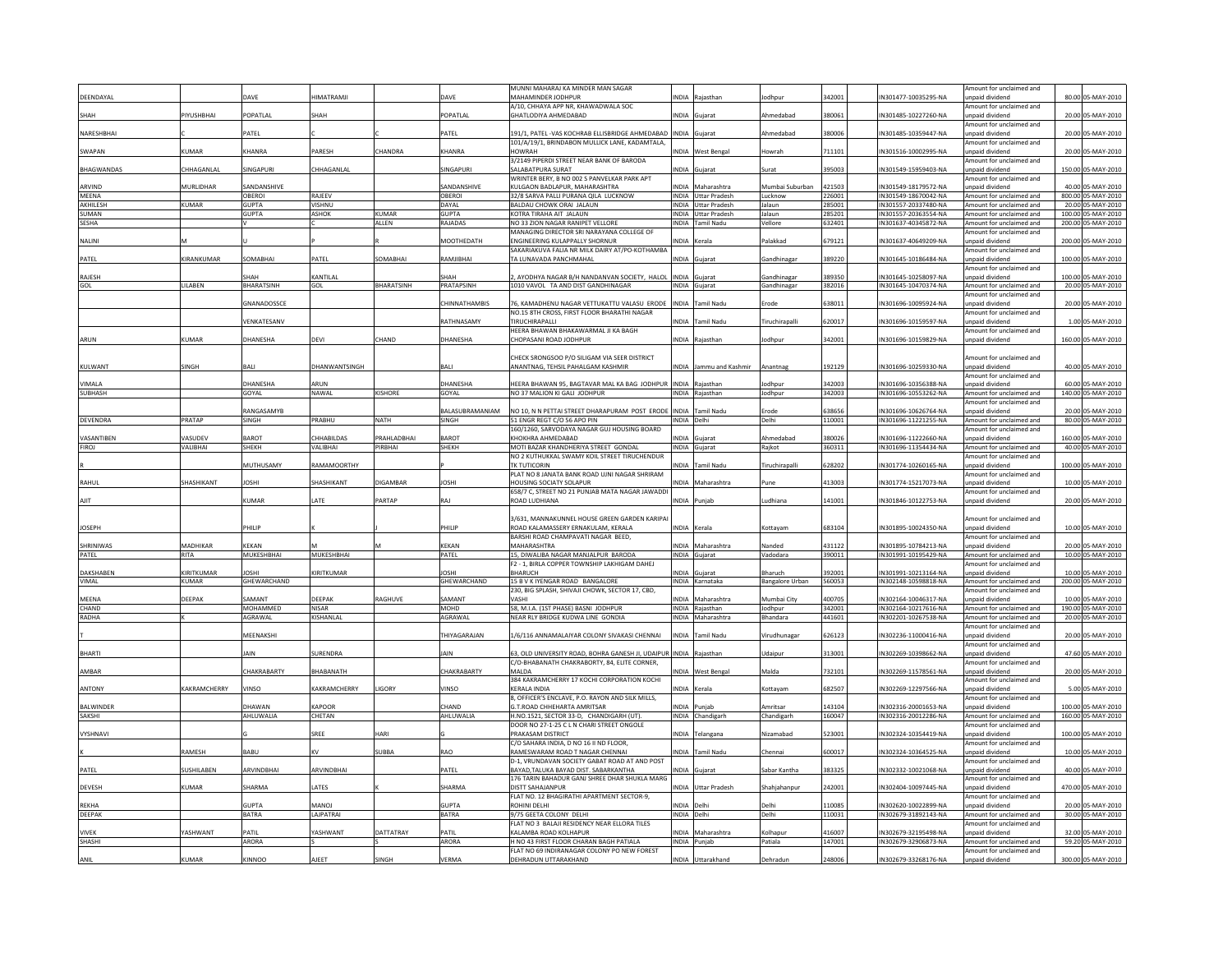|                        |              |                   |                   |                   |                       | MUNNI MAHARAJ KA MINDER MAN SAGAR                                                 |              |                                   |                        |                  |                                              | Amount for unclaimed and                             |        |                                        |
|------------------------|--------------|-------------------|-------------------|-------------------|-----------------------|-----------------------------------------------------------------------------------|--------------|-----------------------------------|------------------------|------------------|----------------------------------------------|------------------------------------------------------|--------|----------------------------------------|
| DEENDAYAL              |              | DAVE              | <b>ILMATRAMJI</b> |                   | DAVE                  | MAHAMINDER JODHPUR<br>A/10. CHHAYA APP NR. KHAWADWALA SOC.                        | <b>INDIA</b> | Raiasthan                         | lodhpur                | 342001           | IN301477-10035295-NA                         | unpaid dividend<br>Amount for unclaimed and          |        | 80.00 05-MAY-2010                      |
| SHAH                   | PIYUSHBHAI   | POPATLAL          | SHAH              |                   | POPATLAL              | GHATLODIYA AHMEDABAD                                                              |              | INDIA Gujarat                     | Ahmedabad              | 380061           | IN301485-10227260-NA                         | npaid dividend                                       |        | 20.00 05-MAY-2010                      |
| NARESHBHAI             |              | PATFI             |                   |                   | PATFI                 | 191/1, PATEL - VAS KOCHRAB ELLISBRIDGE AHMEDABAD INDIA                            |              | iuiara                            | Ahmedabad              | 38000            | IN301485-10359447-NA                         | Amount for unclaimed and<br>npaid dividend           |        | 20.00 05-MAY-2010                      |
| SWAPAN                 | KUMAR        | KHANRA            | PARESH            | CHANDRA           | KHANRA                | 101/A/19/1, BRINDABON MULLICK LANE, KADAMTALA,<br><b>HOWRAH</b>                   |              | INDIA West Bengal                 | Howrah                 | 711101           | IN301516-10002995-NA                         | mount for unclaimed and<br>npaid dividend            |        | 20.00 05-MAY-2010                      |
|                        |              |                   |                   |                   |                       | 3/2149 PIPERDI STREET NEAR BANK OF BARODA                                         |              |                                   |                        |                  |                                              | Amount for unclaimed and                             |        |                                        |
| <b>BHAGWANDAS</b>      | CHHAGANLAI   | SINGAPURI         | CHHAGANLAL        |                   | SINGAPURI             | SALABATPURA SURAT                                                                 |              | INDIA Guiarat                     | Surat                  | 395003           | IN301549-15959403-NA                         | unpaid dividend                                      |        | 150.00 05-MAY-2010                     |
| ARVIND                 | MURLIDHAR    | SANDANSHIV        |                   |                   | SANDANSHIV            | WRINTER BERY, B NO 002 S PANVELKAR PARK APT<br>KULGAON BADLAPUR, MAHARASHTRA      |              | INDIA Maharashtra                 | Mumbai Suburba         | 421503           | IN301549-18179572-NA                         | Amount for unclaimed and<br>inpaid dividend          |        | 40.00 05-MAY-2010                      |
| MEENA                  |              | <b>OBEROI</b>     | RAJEEV            |                   | OBEROI                | 32/8 SARVA PALLI PURANA QILA LUCKNOW                                              |              | INDIA Uttar Pradesh               | Lucknow                | 226001           | IN301549-18670042-NA                         | Amount for unclaimed and                             |        | 800.00 05-MAY-2010                     |
| AKHILESH               | <b>KUMAR</b> | <b>GUPTA</b>      | <b>VISHNU</b>     |                   | DAYAL                 | BALDAU CHOWK ORAI JALAUN                                                          |              | INDIA Uttar Pradesh               | Jalaun                 | 285001           | IN301557-20337480-NA                         | Amount for unclaimed and                             |        | 20.00 05-MAY-2010                      |
| SUMAN                  |              | <b>GUPTA</b>      | <b>ASHOK</b>      | KUMAR             | GUPTA                 | KOTRA TIRAHA AIT IAI AUN                                                          |              | INDIA Uttar Pradesh               | lalaun                 | 285201           | IN301557-20363554-NA                         | Amount for unclaimed and                             |        | 100.00 05-MAY-2010                     |
| SESHA                  |              |                   |                   | ALLEN             | RAJADAS               | NO 33 ZION NAGAR RANIPET VELLORE<br>MANAGING DIRECTOR SRI NARAYANA COLLEGE OF     |              | INDIA Tamil Nadu                  | Vellore                | 632401           | IN301637-40345872-NA                         | Amount for unclaimed and<br>Amount for unclaimed and |        | 200.00 05-MAY-2010                     |
| NALINI                 |              |                   |                   |                   | MOOTHEDATH            | ENGINEERING KULAPPALLY SHORNUR                                                    |              | INDIA Kerala                      | Palakkad               | 679121           | IN301637-40649209-NA                         | inpaid dividend                                      |        | 200.00 05-MAY-2010                     |
|                        |              |                   |                   |                   |                       | SAKARIAKUVA FALIA NR MILK DAIRY AT/PO-KOTHAMBA                                    |              |                                   |                        |                  |                                              | Amount for unclaimed and                             |        |                                        |
| PATEL                  | KIRANKUMAR   | SOMARHAI          | PATFI             | SOMARHA           | RAMIIRHAI             | TA I UNAVADA PANCHMAHAI                                                           | <b>NDIA</b>  | Gujarat                           | <b>Gandhinagar</b>     | 389220           | IN301645-10186484-NA                         | npaid dividend<br>mount for unclaimed and            | 100.00 | 05-MAY-2010                            |
| RAJESH                 |              | <b>SHAH</b>       | KANTILAL          |                   | <b>HAH</b>            | , AYODHYA NAGAR B/H NANDANVAN SOCIETY, HALOL                                      |              | INDIA Gujarat                     | <b>Gandhinagar</b>     | 389350           | IN301645-10258097-NA                         | npaid dividend                                       |        | 100.00 05-MAY-2010                     |
| GOL                    | LILABEN      | <b>BHARATSINH</b> | GOL               | <b>BHARATSINH</b> | PRATAPSINH            | 1010 VAVOL TA AND DIST GANDHINAGAR                                                |              | INDIA Guiarat                     | Gandhinagar            | 382016           | IN301645-10470374-NA                         | Amount for unclaimed and                             |        | 20.00 05-MAY-2010                      |
|                        |              | GNANADOSSCE       |                   |                   | CHINNATHAMBIS         | 76, KAMADHENU NAGAR VETTUKATTU VALASU ERODE                                       |              | INDIA Tamil Nadu                  | Erode                  | 638011           | IN301696-10095924-NA                         | Amount for unclaimed and<br>unpaid dividend          |        | 20.00 05-MAY-2010                      |
|                        |              |                   |                   |                   |                       | NO.15 8TH CROSS, FIRST FLOOR BHARATHI NAGAR                                       |              |                                   |                        |                  |                                              | Amount for unclaimed and                             |        |                                        |
|                        |              | VENKATESANV       |                   |                   | RATHNASAMY            | TIRUCHIRAPALLI<br>HEERA BHAWAN BHAKAWARMAL JI KA BAGH                             | INDIA        | amil Nadu                         | <b>Firuchirapalli</b>  | 62001            | IN301696-10159597-NA                         | npaid dividend<br>Amount for unclaimed and           |        | 1.00 05-MAY-2010                       |
| ARUN                   | KUMAR        | DHANFSHA          | DFVI              | CHAND             | DHANESHA              | CHOPASANI ROAD JODHPUR                                                            |              | INDIA Raiasthan                   | lodhpur                | 342001           | IN301696-10159829-NA                         | <b>unnaid dividend</b>                               |        | 160.00 05-MAY-2010                     |
|                        |              |                   |                   |                   |                       |                                                                                   |              |                                   |                        |                  |                                              |                                                      |        |                                        |
| KULWANT                | SINGH        | <b>BALI</b>       | DHANWANTSINGH     |                   | BALI                  | CHECK SRONGSOO P/O SILIGAM VIA SEER DISTRICT<br>ANANTNAG, TEHSIL PAHALGAM KASHMIR |              | INDIA Jammu and Kashmir           | Anantnag               | 192129           | IN301696-10259330-NA                         | mount for unclaimed and<br>unpaid dividend           |        | 40.00 05-MAY-2010                      |
|                        |              |                   |                   |                   |                       |                                                                                   |              |                                   |                        |                  |                                              | Amount for unclaimed and                             |        |                                        |
| VIMAI A                |              | DHANESHA          | <b>ARIIN</b>      |                   | DHANESHA              | HEERA BHAWAN 95, BAGTAVAR MAL KA BAG JODHPUR                                      | <b>INDIA</b> | Rajasthar                         | odhpur                 | 342003           | IN301696-10356388-NA                         | npaid dividend                                       |        | 60.00 05-MAY-2010                      |
| SUBHASH                |              | GOYAL             | NAWAL             | <b>KISHORE</b>    | GOYAL                 | NO 37 MALION KI GALI JODHPUR                                                      |              | INDIA Raiasthan                   | Jodhpur                | 342003           | IN301696-10553262-NA                         | Amount for unclaimed and                             |        | 140.00 05-MAY-2010                     |
|                        |              | RANGASAMYB        |                   |                   | BALASUBRAMANIAM       | NO 10, N N PETTAI STREET DHARAPURAM POST ERODE                                    |              | INDIA Tamil Nad                   | Erode                  | 638656           | IN301696-10626764-NA                         | Amount for unclaimed and<br>inpaid dividend          |        | 20.00 05-MAY-2010                      |
| <b>DEVENDRA</b>        | PRATAP       | SINGH             | PRABHU            | <b>NATH</b>       | SINGH                 | 51 ENGR REGT C/O 56 APO PIN                                                       | INDIA Delhi  |                                   | Delhi                  | 110001           | IN301696-11221255-NA                         | Amount for unclaimed and                             |        | 80.00 05-MAY-2010                      |
|                        |              |                   |                   |                   |                       | 160/1260, SARVODAYA NAGAR GUJ HOUSING BOARD                                       |              |                                   |                        |                  |                                              | Amount for unclaimed and                             |        |                                        |
| VASANTIBEN             | ASUDEV       | <b>BAROT</b>      | CHHABILDAS        | PRAHLADBHAI       | BAROT                 | KHOKHRA AHMEDABAD                                                                 |              | <b>INDIA</b> Guiarat              | Ahmedabad              | 80026            | IN301696-11222660-NA                         | inpaid dividend                                      |        | 160.00 05-MAY-2010                     |
| <b>FIROJ</b>           | VALIBHAI     | SHEKH             | VALIBHAI          | PIRBHAI           | SHEKH                 | MOTI BAZAR KHANDHERIYA STREET GONDAL                                              |              | INDIA Gujarat                     | Rajkot                 | 360311           | IN301696-11354434-NA                         | Amount for unclaimed and                             |        | 40.00 05-MAY-2010                      |
|                        |              | MUTHUSAMY         | RAMAMOORTHY       |                   |                       | NO 2 KUTHUKKAL SWAMY KOIL STREET TIRUCHENDUR<br><b>TK TUTICORIN</b>               |              | NDIA Tamil Nadu                   | <b>Firuchirapalli</b>  | 628202           | IN301774-10260165-NA                         | mount for unclaimed and<br>Innaid dividend           |        | 100.00 05-MAY-2010                     |
|                        |              |                   |                   |                   |                       | PLAT NO 8 JANATA BANK ROAD UJNI NAGAR SHRIRAM                                     |              |                                   |                        |                  |                                              | mount for unclaimed and                              |        |                                        |
| RAHUL                  | SHASHIKANT   | <b>JOSHI</b>      | SHASHIKANT        | DIGAMBAR          | <b>JOSHI</b>          | <b>HOUSING SOCIATY SOLAPUR</b>                                                    |              | NDIA Maharashtra                  | <sup>o</sup> une       | 413003           | IN301774-15217073-NA                         | unpaid dividend                                      |        | 10.00 05-MAY-2010                      |
| AJIT                   |              | KUMAR             | <b>ATE</b>        | PARTAP            | RAJ                   | 658/7 C, STREET NO 21 PUNJAB MATA NAGAR JAWADDI<br>ROAD LUDHIANA                  |              | INDIA Punjab                      | udhiana                | 141001           | IN301846-10122753-NA                         | Amount for unclaimed and<br>unpaid dividend          |        | 20.00 05-MAY-2010                      |
|                        |              |                   |                   |                   |                       |                                                                                   |              |                                   |                        |                  |                                              |                                                      |        |                                        |
|                        |              |                   |                   |                   |                       | 3/631. MANNAKUNNEL HOUSE GREEN GARDEN KARIPA                                      |              |                                   |                        |                  |                                              | mount for unclaimed and                              |        |                                        |
| <b>JOSEPH</b>          |              | PHILIP            |                   |                   | PHILIP                | ROAD KALAMASSERY ERNAKULAM, KERALA<br>BARSHI ROAD CHAMPAVATI NAGAR BEED,          | INDIA Kerala |                                   | Kottayam               | 683104           | IN301895-10024350-NA                         | unpaid dividend<br>Amount for unclaimed and          |        | 10.00 05-MAY-2010                      |
| SHRINIWAS              | MADHIKAR     | KFKAN             |                   |                   | KFKAN                 | MAHARASHTRA                                                                       |              | INDIA Maharashtra                 | Nanded                 | 431122           | IN301895-10784213-NA                         | inpaid dividend                                      |        | 20.00 05-MAY-2010                      |
| PATEL                  | RITA         | MUKESHBHAI        | MUKESHBHAI        |                   | PATEL                 | 15, DIWALIBA NAGAR MANJALPUR BARODA                                               |              | INDIA Gujarat                     | Vadodara               | 390011           | IN301991-10195429-NA                         | Amount for unclaimed and                             |        | 10.00 05-MAY-2010                      |
|                        |              |                   |                   |                   |                       | F2 - 1, BIRLA COPPER TOWNSHIP LAKHIGAM DAHEJ                                      |              |                                   |                        |                  |                                              | Amount for unclaimed and                             |        |                                        |
| <b>DAKSHABEI</b>       | KIRITKUMAI   | <b>IOSH</b>       | KIRITKUMAF        |                   | OSHI                  | <b>BHARUCH</b>                                                                    | NDIA         | <b>Sujara</b>                     | <b>Bharuch</b>         | 392001           | IN301991-10213164-NA                         | npaid dividend                                       |        | 10.00 05-MAY-2010                      |
| VIMAL                  | <b>KUMAR</b> | GHEWARCHAND       |                   |                   | GHEWARCHAND           | 15 B V K IYENGAR ROAD BANGALORE                                                   |              | INDIA Karnataka                   | <b>Bangalore Urban</b> | 560053           | IN302148-10598818-NA                         | Amount for unclaimed and                             |        | 200.00 05-MAY-2010                     |
| MEENA                  | DEEPAK       | SAMANT            | DEEPAK            | RAGHUVE           | SAMANT                | 230. BIG SPLASH. SHIVAJI CHOWK, SECTOR 17, CBD<br>VASHI                           |              | INDIA Maharashtra                 | Mumbai City            | 400705           | IN302164-10046317-NA                         | Amount for unclaimed and<br>inpaid dividend          |        | 10.00 05-MAY-2010                      |
| CHAND                  |              | MOHAMMED          | <b>NISAR</b>      |                   | <b>MOHD</b>           | 58, M.I.A. (1ST PHASE) BASNI JODHPUR                                              |              | INDIA Raiasthan                   | Jodhpur                | 342001           | IN302164-10217616-NA                         | Amount for unclaimed and                             |        | 190.00 05-MAY-2010                     |
| RADHA                  |              | AGRAWAL           | KISHANLAL         |                   | AGRAWAL               | NEAR RLY BRIDGE KUDWA LINE GONDIA                                                 |              | INDIA Maharashtra                 | Bhandara               | 441601           | IN302201-10267538-NA                         | Amount for unclaimed and                             |        | 20.00 05-MAY-2010                      |
|                        |              |                   |                   |                   |                       |                                                                                   |              |                                   |                        |                  |                                              | Amount for unclaimed and                             |        |                                        |
|                        |              | MEENAKSH          |                   |                   | THIYAGARAJAN          | 1/6/116 ANNAMALAIYAR COLONY SIVAKASI CHENNAI                                      | <b>INDIA</b> | <b>Tamil Nadu</b>                 | Virudhunaga            | 626123           | IN302236-11000416-NA                         | npaid dividend<br>mount for unclaimed and            |        | 20.00 05-MAY-2010                      |
| <b>BHARTI</b>          |              | <b>IAIN</b>       | LIRENDRA          |                   | <b>JAIN</b>           | 63. OLD UNIVERSITY ROAD, BOHRA GANESH JI, UDAIPUR INDIA Rajasthar                 |              |                                   | Jdaipu                 | 313001           | IN302269-10398662-NA                         | <b>Innaid dividend</b>                               |        | 47.60 05-MAY-2010                      |
|                        |              |                   |                   |                   |                       | C/O-BHABANATH CHAKRABORTY, 84, ELITE CORNER,                                      |              |                                   |                        |                  |                                              | Amount for unclaimed and                             |        |                                        |
| AMRAR                  |              | CHAKRABARTY       | <b>BHABANATH</b>  |                   | CHAKRABARTY           | MAI DA<br>384 KAKRAMCHERRY 17 KOCHI CORPORATION KOCHI                             |              | INDIA West Bengal                 | Malda                  | 732101           | IN302269-11578561-NA                         | unpaid dividend<br>Amount for unclaimed and          |        | 20.00 05-MAY-2010                      |
| <b>ANTONY</b>          | KAKRAMCHERRY | VINSO             | KAKRAMCHERRY      | LIGORY            | VINSO                 | <b>KERALA INDIA</b>                                                               | INDIA Kerala |                                   | Kottavam               | 682507           | IN302269-12297566-NA                         | unpaid dividend                                      |        | 5.00 05-MAY-2010                       |
|                        |              |                   |                   |                   |                       | 8, OFFICER'S ENCLAVE, P.O. RAYON AND SILK MILLS,                                  |              |                                   |                        |                  |                                              | Amount for unclaimed and                             |        |                                        |
| <b>BALWINDER</b>       |              | DHAWAN            | KAPOOR            |                   | CHAND                 | G.T.ROAD CHHEHARTA AMRITSAR<br>H.NO.1521, SECTOR 33-D. CHANDIGARH (UT)            |              | INDIA Punjab                      | Amritsar               | 143104           | IN302316-20001653-NA                         | unpaid dividend                                      |        | 100.00 05-MAY-2010                     |
| <b>SAKSHI</b>          |              | <b>AHI UWALIA</b> | CHETAN            |                   | AHI UWALIA            | DOOR NO 27-1-25 C L N CHARI STREET ONGOLE                                         |              | INDIA Chandigarh                  | Chandigarh             | 160047           | IN302316-20012286-NA                         | Amount for unclaimed and<br>mount for unclaimed and  |        | 160.00 05-MAY-2010                     |
| VYSHNAVI               |              |                   | SREE              | HARI              |                       | PRAKASAM DISTRICT                                                                 |              | NDIA Telangana                    | Nizamabad              | 523001           | IN302324-10354419-NA                         | unpaid dividend                                      |        | 100.00 05-MAY-2010                     |
|                        |              |                   |                   |                   |                       | C/O SAHARA INDIA, D NO 16 II ND FLOOR.                                            |              |                                   |                        |                  |                                              | Amount for unclaimed and                             |        |                                        |
|                        | RAMESH       | BABU              | KV                | <b>SUBBA</b>      | <b>RAO</b>            | RAMESWARAM ROAD T NAGAR CHENNAI<br>D-1, VRUNDAVAN SOCIETY GABAT ROAD AT AND POST  |              | INDIA Tamil Nadu                  | Chennai                | 600017           | IN302324-10364525-NA                         | unpaid dividend<br>Amount for unclaimed and          |        | 10.00 05-MAY-2010                      |
| PATEL                  | SUSHILABEN   | ARVINDBHAI        | ARVINDBHAI        |                   | PATFI                 | BAYAD, TALUKA BAYAD DIST. SABARKANTHA                                             |              | INDIA Guiarat                     | abar Kantha            | 383325           | IN302332-10021068-NA                         | unpaid dividend                                      |        | 40.00 05-MAY-2010                      |
| DEVESH                 | KUMAR        | SHARMA            | LATES             |                   | SHARMA                | 176 TARIN BAHADUR GANJ SHREE DHAR SHUKLA MARG<br>DISTT SAHAJANPUR                 |              | INDIA Uttar Pradesh               | Shahjahanpu            | 242001           | IN302404-10097445-NA                         | Amount for unclaimed and<br>unpaid dividend          |        | 470.00 05-MAY-2010                     |
|                        |              |                   |                   |                   |                       | FLAT NO. 12 BHAGIRATHI APARTMENT SECTOR-9,                                        |              |                                   |                        |                  |                                              | Amount for unclaimed and                             |        |                                        |
| REKHA                  |              | <b>GUPTA</b>      | <b>UANOJ</b>      |                   | <b>GUPTA</b>          | ROHINI DELHI                                                                      | INDIA Delh   |                                   |                        | 10085            | IN302620-10022899-NA                         | npaid dividend                                       |        | 20.00 05-MAY-2010                      |
| DEEPAK                 |              | <b>BATRA</b>      | LAJPATRAI         |                   | <b>BATRA</b>          | 9/75 GEETA COLONY DELHI                                                           | INDIA Delhi  |                                   | Delhi                  | 110031           | IN302679-31892143-NA                         | Amount for unclaimed and                             |        | 30.00 05-MAY-2010                      |
|                        |              |                   |                   |                   |                       | FLAT NO 3 BALAJI RESIDENCY NEAR ELLORA TILES                                      |              |                                   |                        |                  |                                              | mount for unclaimed and                              |        |                                        |
| <b>VIVEK</b><br>SHASHI | YASHWANT     | PATIL<br>ARORA    | YASHWANT          | DATTATRAY         | PATIL<br><b>ARORA</b> | KALAMBA ROAD KOLHAPUR<br>H NO 43 FIRST FLOOR CHARAN BAGH PATIALA                  |              | INDIA Maharashtra<br>INDIA Puniab | Kolhapur<br>Patiala    | 416007<br>147001 | IN302679-32195498-NA<br>IN302679-32906873-NA | unpaid dividend<br>Amount for unclaimed and          |        | 32.00 05-MAY-2010<br>59.20 05-MAY-2010 |
|                        |              |                   |                   |                   |                       | FLAT NO 69 INDIRANAGAR COLONY PO NEW FOREST                                       |              |                                   |                        |                  |                                              | mount for unclaimed and                              |        |                                        |
| ANIL                   | KUMAR        | <b>KINNOO</b>     | AJEET             | SINGH             | VERMA                 | DEHRADUN UTTARAKHAND                                                              |              | INDIA Uttarakhand                 | Dehradun               | 248006           | IN302679-33268176-NA                         | unpaid dividend                                      |        | 300.00 05-MAY-2010                     |